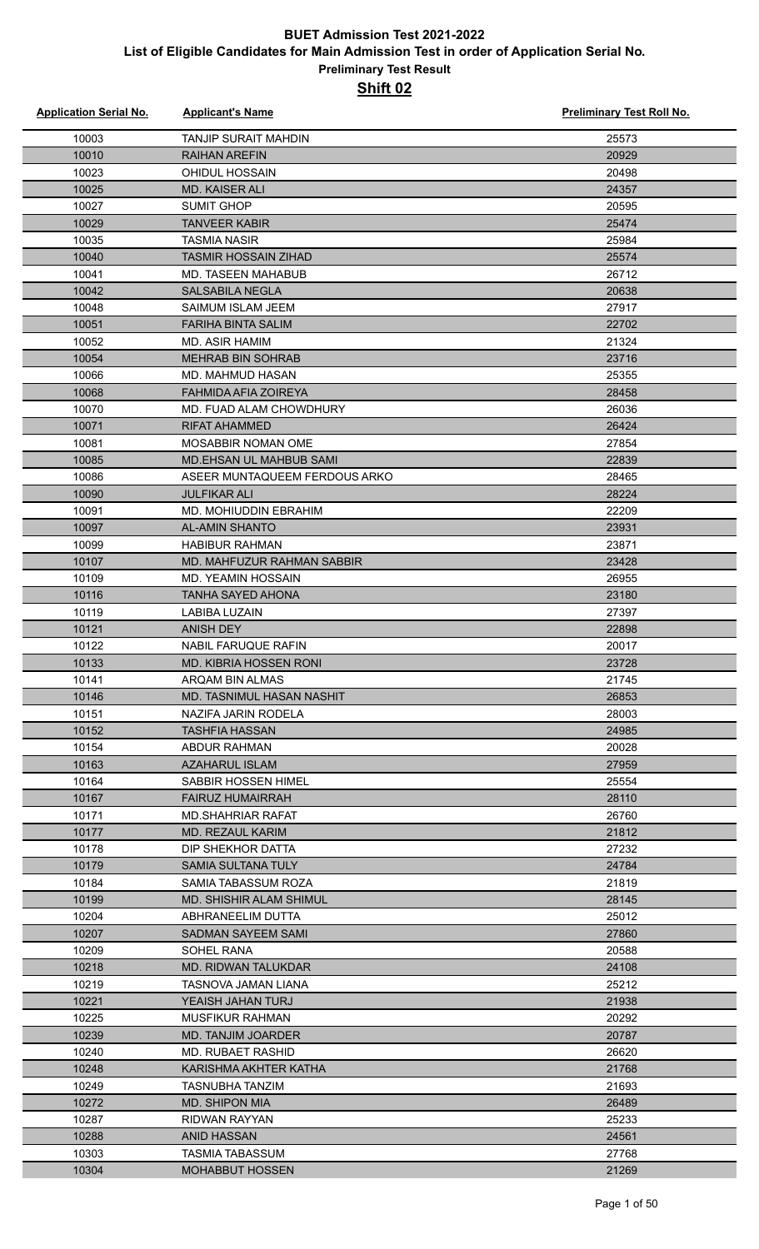| <b>Application Serial No.</b> | <b>Applicant's Name</b>          | <b>Preliminary Test Roll No.</b> |
|-------------------------------|----------------------------------|----------------------------------|
| 10003                         | <b>TANJIP SURAIT MAHDIN</b>      | 25573                            |
| 10010                         | <b>RAIHAN AREFIN</b>             | 20929                            |
| 10023                         | <b>OHIDUL HOSSAIN</b>            | 20498                            |
| 10025                         | <b>MD. KAISER ALI</b>            | 24357                            |
| 10027                         | <b>SUMIT GHOP</b>                | 20595                            |
| 10029                         | <b>TANVEER KABIR</b>             | 25474                            |
| 10035                         | <b>TASMIA NASIR</b>              | 25984                            |
| 10040                         | <b>TASMIR HOSSAIN ZIHAD</b>      | 25574                            |
| 10041                         | MD. TASEEN MAHABUB               | 26712                            |
| 10042                         | <b>SALSABILA NEGLA</b>           | 20638                            |
| 10048                         | SAIMUM ISLAM JEEM                | 27917                            |
| 10051                         | <b>FARIHA BINTA SALIM</b>        | 22702                            |
| 10052                         | <b>MD. ASIR HAMIM</b>            | 21324                            |
| 10054                         | <b>MEHRAB BIN SOHRAB</b>         | 23716                            |
| 10066                         | MD. MAHMUD HASAN                 | 25355                            |
| 10068                         | FAHMIDA AFIA ZOIREYA             | 28458                            |
| 10070                         | MD. FUAD ALAM CHOWDHURY          | 26036                            |
| 10071                         | <b>RIFAT AHAMMED</b>             | 26424                            |
| 10081                         | <b>MOSABBIR NOMAN OME</b>        | 27854                            |
| 10085                         | <b>MD.EHSAN UL MAHBUB SAMI</b>   | 22839                            |
| 10086                         | ASEER MUNTAQUEEM FERDOUS ARKO    | 28465                            |
| 10090                         | <b>JULFIKAR ALI</b>              | 28224                            |
| 10091                         | MD. MOHIUDDIN EBRAHIM            | 22209                            |
| 10097                         | <b>AL-AMIN SHANTO</b>            | 23931                            |
| 10099                         | <b>HABIBUR RAHMAN</b>            | 23871                            |
| 10107                         | MD. MAHFUZUR RAHMAN SABBIR       | 23428                            |
| 10109                         | <b>MD. YEAMIN HOSSAIN</b>        | 26955                            |
| 10116                         | <b>TANHA SAYED AHONA</b>         | 23180                            |
| 10119                         | <b>LABIBA LUZAIN</b>             | 27397                            |
| 10121                         | <b>ANISH DEY</b>                 | 22898                            |
| 10122                         | NABIL FARUQUE RAFIN              | 20017                            |
| 10133                         | MD. KIBRIA HOSSEN RONI           | 23728                            |
| 10141                         | ARQAM BIN ALMAS                  | 21745                            |
| 10146                         | <b>MD. TASNIMUL HASAN NASHIT</b> | 26853                            |
| 10151                         | NAZIFA JARIN RODELA              | 28003                            |
| 10152                         | TASHFIA HASSAN                   | 24985                            |
| 10154                         | <b>ABDUR RAHMAN</b>              | 20028                            |
| 10163                         | <b>AZAHARUL ISLAM</b>            | 27959                            |
| 10164                         | <b>SABBIR HOSSEN HIMEL</b>       | 25554                            |
| 10167                         | <b>FAIRUZ HUMAIRRAH</b>          | 28110                            |
| 10171                         | <b>MD.SHAHRIAR RAFAT</b>         | 26760                            |
| 10177                         | <b>MD. REZAUL KARIM</b>          | 21812                            |
| 10178                         | DIP SHEKHOR DATTA                | 27232                            |
| 10179                         | <b>SAMIA SULTANA TULY</b>        | 24784                            |
| 10184                         | SAMIA TABASSUM ROZA              | 21819                            |
| 10199                         | <b>MD. SHISHIR ALAM SHIMUL</b>   | 28145                            |
| 10204                         | ABHRANEELIM DUTTA                | 25012                            |
| 10207                         | <b>SADMAN SAYEEM SAMI</b>        | 27860                            |
| 10209                         | SOHEL RANA                       | 20588                            |
| 10218                         | MD. RIDWAN TALUKDAR              | 24108                            |
| 10219                         | TASNOVA JAMAN LIANA              | 25212                            |
| 10221                         | YEAISH JAHAN TURJ                | 21938                            |
| 10225                         | <b>MUSFIKUR RAHMAN</b>           | 20292                            |
| 10239                         | <b>MD. TANJIM JOARDER</b>        | 20787                            |
| 10240                         | MD. RUBAET RASHID                | 26620                            |
| 10248                         | KARISHMA AKHTER KATHA            | 21768                            |
| 10249                         | <b>TASNUBHA TANZIM</b>           | 21693                            |
| 10272                         | <b>MD. SHIPON MIA</b>            | 26489                            |
| 10287                         | <b>RIDWAN RAYYAN</b>             | 25233                            |
| 10288                         | <b>ANID HASSAN</b>               | 24561                            |
| 10303                         | <b>TASMIA TABASSUM</b>           | 27768                            |
| 10304                         | <b>MOHABBUT HOSSEN</b>           | 21269                            |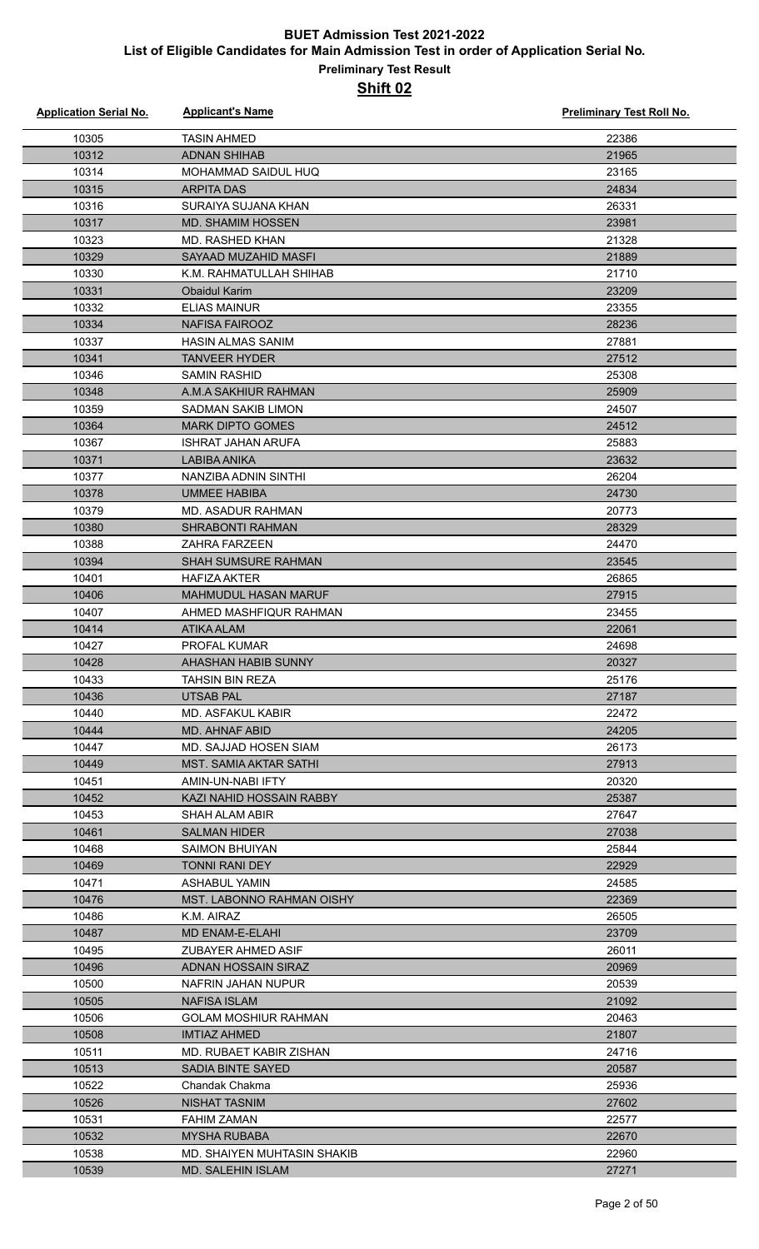| <b>Application Serial No.</b> | <b>Applicant's Name</b>                                | <b>Preliminary Test Roll No.</b> |
|-------------------------------|--------------------------------------------------------|----------------------------------|
| 10305                         | <b>TASIN AHMED</b>                                     | 22386                            |
| 10312                         | <b>ADNAN SHIHAB</b>                                    | 21965                            |
| 10314                         | MOHAMMAD SAIDUL HUQ                                    | 23165                            |
| 10315                         | <b>ARPITA DAS</b>                                      | 24834                            |
| 10316                         | SURAIYA SUJANA KHAN                                    | 26331                            |
| 10317                         | MD. SHAMIM HOSSEN                                      | 23981                            |
| 10323                         | <b>MD. RASHED KHAN</b>                                 | 21328                            |
| 10329                         | SAYAAD MUZAHID MASFI                                   | 21889                            |
| 10330                         | K.M. RAHMATULLAH SHIHAB                                | 21710                            |
| 10331                         | <b>Obaidul Karim</b>                                   | 23209                            |
| 10332                         | <b>ELIAS MAINUR</b>                                    | 23355                            |
| 10334                         | <b>NAFISA FAIROOZ</b>                                  | 28236                            |
| 10337                         | <b>HASIN ALMAS SANIM</b>                               | 27881                            |
| 10341                         | <b>TANVEER HYDER</b>                                   | 27512                            |
| 10346                         | <b>SAMIN RASHID</b>                                    | 25308                            |
| 10348                         | A.M.A SAKHIUR RAHMAN                                   | 25909                            |
| 10359                         | <b>SADMAN SAKIB LIMON</b>                              | 24507                            |
| 10364                         | <b>MARK DIPTO GOMES</b>                                | 24512                            |
| 10367                         | <b>ISHRAT JAHAN ARUFA</b>                              | 25883                            |
| 10371                         | <b>LABIBA ANIKA</b>                                    | 23632                            |
| 10377                         | NANZIBA ADNIN SINTHI                                   | 26204                            |
| 10378                         | <b>UMMEE HABIBA</b>                                    | 24730                            |
| 10379                         | <b>MD. ASADUR RAHMAN</b>                               | 20773                            |
| 10380                         | <b>SHRABONTI RAHMAN</b>                                | 28329                            |
| 10388                         | <b>ZAHRA FARZEEN</b>                                   | 24470                            |
| 10394                         | <b>SHAH SUMSURE RAHMAN</b>                             | 23545                            |
| 10401                         | <b>HAFIZA AKTER</b>                                    | 26865                            |
| 10406                         | <b>MAHMUDUL HASAN MARUF</b>                            | 27915                            |
| 10407                         | AHMED MASHFIQUR RAHMAN                                 | 23455                            |
| 10414                         | <b>ATIKA ALAM</b>                                      | 22061                            |
| 10427                         | PROFAL KUMAR                                           | 24698                            |
| 10428                         | AHASHAN HABIB SUNNY                                    | 20327                            |
| 10433                         | TAHSIN BIN REZA                                        | 25176                            |
| 10436                         | UTSAB PAL                                              | 27187                            |
| 10440                         | MD. ASFAKUL KABIR                                      | 22472                            |
| 10444<br>10447                | <b>MD. AHNAF ABID</b>                                  | 24205<br>26173                   |
|                               | MD. SAJJAD HOSEN SIAM<br><b>MST. SAMIA AKTAR SATHI</b> |                                  |
| 10449<br>10451                | AMIN-UN-NABI IFTY                                      | 27913<br>20320                   |
| 10452                         | KAZI NAHID HOSSAIN RABBY                               | 25387                            |
| 10453                         | SHAH ALAM ABIR                                         | 27647                            |
| 10461                         | <b>SALMAN HIDER</b>                                    | 27038                            |
| 10468                         | SAIMON BHUIYAN                                         | 25844                            |
| 10469                         | <b>TONNI RANI DEY</b>                                  | 22929                            |
| 10471                         | ASHABUL YAMIN                                          | 24585                            |
| 10476                         | MST. LABONNO RAHMAN OISHY                              | 22369                            |
| 10486                         | K.M. AIRAZ                                             | 26505                            |
| 10487                         | MD ENAM-E-ELAHI                                        | 23709                            |
| 10495                         | ZUBAYER AHMED ASIF                                     | 26011                            |
| 10496                         | ADNAN HOSSAIN SIRAZ                                    | 20969                            |
| 10500                         | NAFRIN JAHAN NUPUR                                     | 20539                            |
| 10505                         | NAFISA ISLAM                                           | 21092                            |
| 10506                         | <b>GOLAM MOSHIUR RAHMAN</b>                            | 20463                            |
| 10508                         | <b>IMTIAZ AHMED</b>                                    | 21807                            |
| 10511                         | MD. RUBAET KABIR ZISHAN                                | 24716                            |
| 10513                         | <b>SADIA BINTE SAYED</b>                               | 20587                            |
| 10522                         | Chandak Chakma                                         | 25936                            |
| 10526                         | NISHAT TASNIM                                          | 27602                            |
| 10531                         | <b>FAHIM ZAMAN</b>                                     | 22577                            |
| 10532                         | <b>MYSHA RUBABA</b>                                    | 22670                            |
| 10538                         | <b>MD. SHAIYEN MUHTASIN SHAKIB</b>                     | 22960                            |
| 10539                         | <b>MD. SALEHIN ISLAM</b>                               | 27271                            |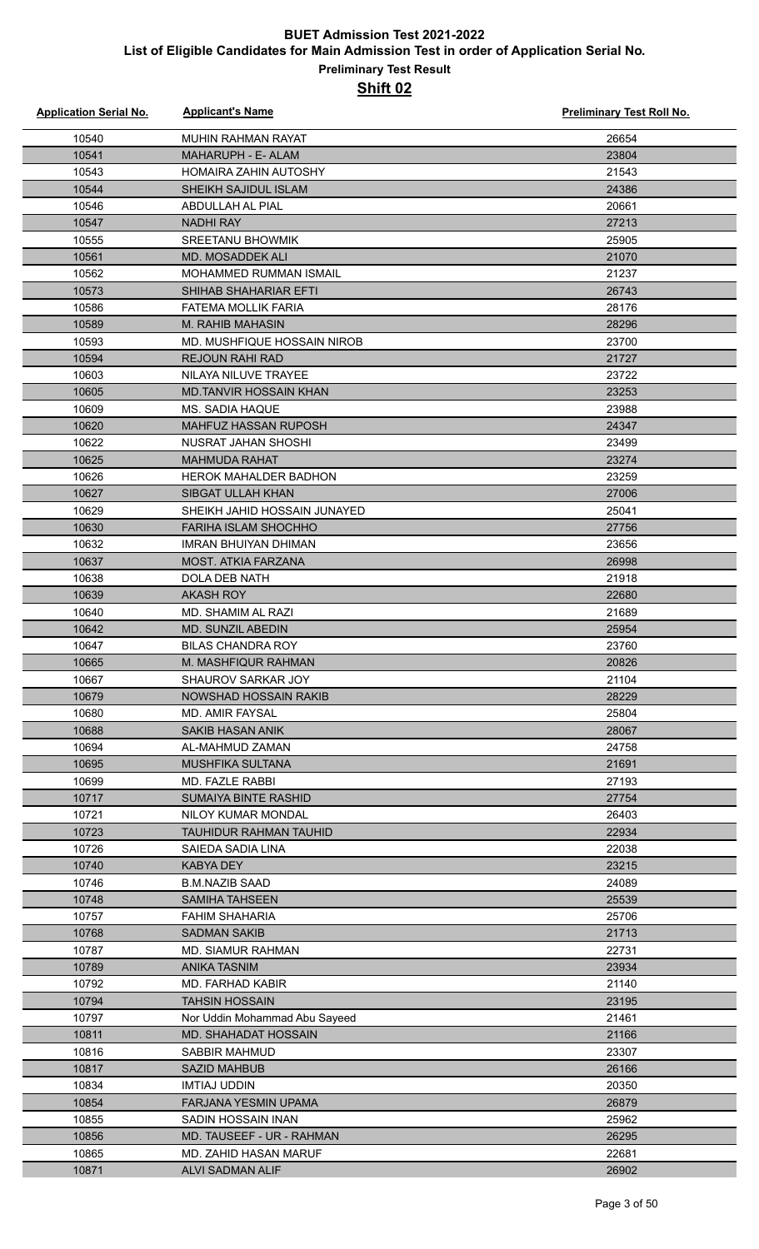| <b>Application Serial No.</b> | <b>Applicant's Name</b>       | Preliminary Test Roll No. |
|-------------------------------|-------------------------------|---------------------------|
| 10540                         | <b>MUHIN RAHMAN RAYAT</b>     | 26654                     |
| 10541                         | <b>MAHARUPH - E- ALAM</b>     | 23804                     |
| 10543                         | <b>HOMAIRA ZAHIN AUTOSHY</b>  | 21543                     |
| 10544                         | SHEIKH SAJIDUL ISLAM          | 24386                     |
| 10546                         | ABDULLAH AL PIAL              | 20661                     |
| 10547                         | <b>NADHI RAY</b>              | 27213                     |
| 10555                         | <b>SREETANU BHOWMIK</b>       | 25905                     |
| 10561                         | MD. MOSADDEK ALI              | 21070                     |
| 10562                         | MOHAMMED RUMMAN ISMAIL        | 21237                     |
| 10573                         | <b>SHIHAB SHAHARIAR EFTI</b>  | 26743                     |
| 10586                         | <b>FATEMA MOLLIK FARIA</b>    | 28176                     |
| 10589                         | M. RAHIB MAHASIN              | 28296                     |
| 10593                         | MD. MUSHFIQUE HOSSAIN NIROB   | 23700                     |
| 10594                         | <b>REJOUN RAHI RAD</b>        | 21727                     |
| 10603                         | NILAYA NILUVE TRAYEE          | 23722                     |
| 10605                         | <b>MD.TANVIR HOSSAIN KHAN</b> | 23253                     |
| 10609                         | MS. SADIA HAQUE               | 23988                     |
| 10620                         | <b>MAHFUZ HASSAN RUPOSH</b>   | 24347                     |
| 10622                         | NUSRAT JAHAN SHOSHI           | 23499                     |
| 10625                         | <b>MAHMUDA RAHAT</b>          | 23274                     |
| 10626                         | <b>HEROK MAHALDER BADHON</b>  | 23259                     |
| 10627                         | <b>SIBGAT ULLAH KHAN</b>      | 27006                     |
| 10629                         | SHEIKH JAHID HOSSAIN JUNAYED  | 25041                     |
| 10630                         | <b>FARIHA ISLAM SHOCHHO</b>   | 27756                     |
| 10632                         | IMRAN BHUIYAN DHIMAN          | 23656                     |
| 10637                         | MOST. ATKIA FARZANA           | 26998                     |
| 10638                         | DOLA DEB NATH                 | 21918                     |
| 10639                         | <b>AKASH ROY</b>              | 22680                     |
| 10640                         | MD. SHAMIM AL RAZI            | 21689                     |
| 10642                         | <b>MD. SUNZIL ABEDIN</b>      | 25954                     |
| 10647                         | <b>BILAS CHANDRA ROY</b>      | 23760                     |
| 10665                         | M. MASHFIQUR RAHMAN           | 20826                     |
| 10667                         | <b>SHAUROV SARKAR JOY</b>     | 21104                     |
| 10679                         | <b>NOWSHAD HOSSAIN RAKIB</b>  | 28229                     |
| 10680                         | MD. AMIR FAYSAL               | 25804                     |
| 10688                         | <b>SAKIB HASAN ANIK</b>       | 28067                     |
| 10694                         | AL-MAHMUD ZAMAN               | 24758                     |
| 10695                         | <b>MUSHFIKA SULTANA</b>       | 21691                     |
| 10699                         | MD. FAZLE RABBI               | 27193                     |
| 10717                         | <b>SUMAIYA BINTE RASHID</b>   | 27754                     |
| 10721                         | NILOY KUMAR MONDAL            | 26403                     |
| 10723                         | <b>TAUHIDUR RAHMAN TAUHID</b> | 22934                     |
| 10726                         | SAIEDA SADIA LINA             | 22038                     |
| 10740                         | <b>KABYA DEY</b>              | 23215                     |
| 10746                         | <b>B.M.NAZIB SAAD</b>         | 24089                     |
| 10748                         | <b>SAMIHA TAHSEEN</b>         | 25539                     |
| 10757                         | <b>FAHIM SHAHARIA</b>         | 25706                     |
| 10768                         | <b>SADMAN SAKIB</b>           | 21713                     |
| 10787                         | <b>MD. SIAMUR RAHMAN</b>      | 22731                     |
| 10789                         | <b>ANIKA TASNIM</b>           | 23934                     |
| 10792                         | <b>MD. FARHAD KABIR</b>       | 21140                     |
| 10794                         | <b>TAHSIN HOSSAIN</b>         | 23195                     |
| 10797                         | Nor Uddin Mohammad Abu Sayeed | 21461                     |
| 10811                         | <b>MD. SHAHADAT HOSSAIN</b>   | 21166                     |
| 10816                         | <b>SABBIR MAHMUD</b>          | 23307                     |
| 10817                         | <b>SAZID MAHBUB</b>           | 26166                     |
| 10834                         | <b>IMTIAJ UDDIN</b>           | 20350                     |
| 10854                         | <b>FARJANA YESMIN UPAMA</b>   | 26879                     |
| 10855                         | SADIN HOSSAIN INAN            | 25962                     |
| 10856                         | MD. TAUSEEF - UR - RAHMAN     | 26295                     |
| 10865                         | MD. ZAHID HASAN MARUF         | 22681                     |
| 10871                         | ALVI SADMAN ALIF              | 26902                     |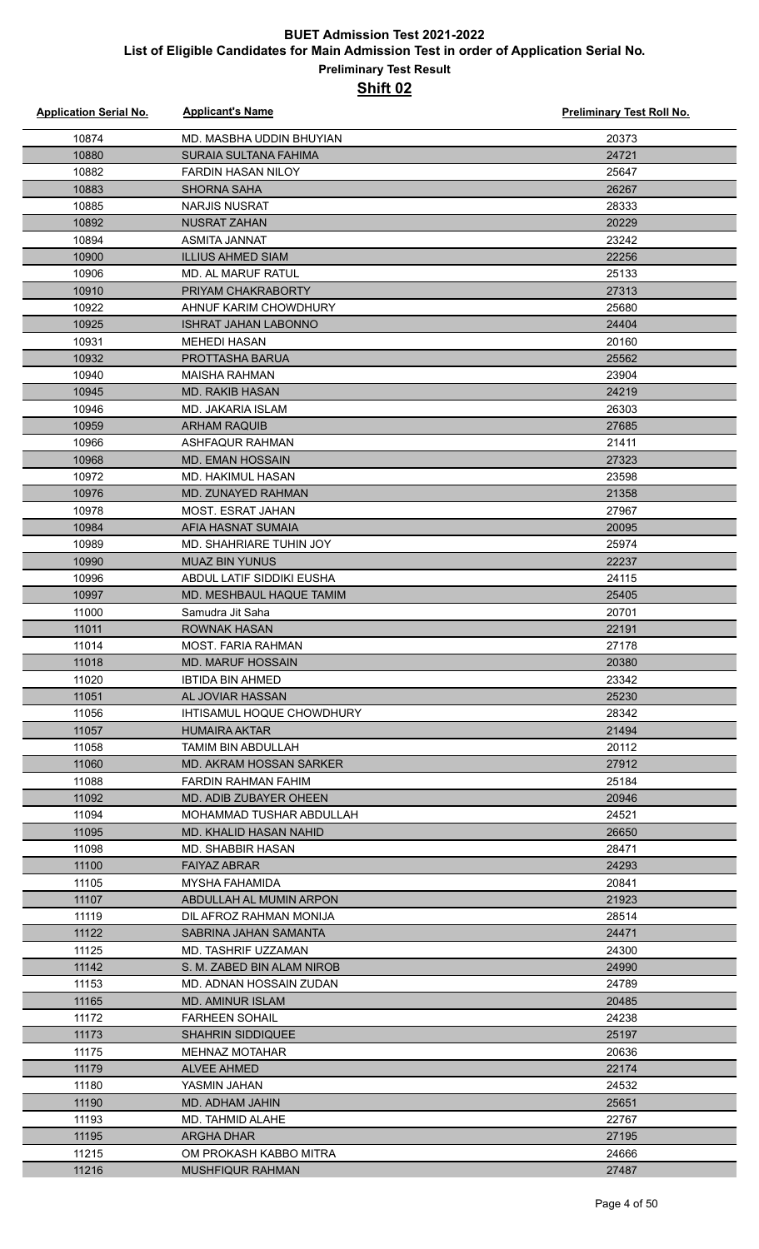| <b>Application Serial No.</b> | <b>Applicant's Name</b>                            | <b>Preliminary Test Roll No.</b> |
|-------------------------------|----------------------------------------------------|----------------------------------|
| 10874                         | MD. MASBHA UDDIN BHUYIAN                           | 20373                            |
| 10880                         | SURAIA SULTANA FAHIMA                              | 24721                            |
| 10882                         | <b>FARDIN HASAN NILOY</b>                          | 25647                            |
| 10883                         | <b>SHORNA SAHA</b>                                 | 26267                            |
| 10885                         | <b>NARJIS NUSRAT</b>                               | 28333                            |
| 10892                         | <b>NUSRAT ZAHAN</b>                                | 20229                            |
| 10894                         | ASMITA JANNAT                                      | 23242                            |
| 10900                         | <b>ILLIUS AHMED SIAM</b>                           | 22256                            |
| 10906                         | MD. AL MARUF RATUL                                 | 25133                            |
| 10910                         | PRIYAM CHAKRABORTY                                 | 27313                            |
| 10922                         | AHNUF KARIM CHOWDHURY                              | 25680                            |
| 10925                         | <b>ISHRAT JAHAN LABONNO</b>                        | 24404                            |
| 10931                         | <b>MEHEDI HASAN</b>                                | 20160                            |
| 10932                         | PROTTASHA BARUA                                    | 25562                            |
| 10940                         | <b>MAISHA RAHMAN</b>                               | 23904                            |
| 10945                         | <b>MD. RAKIB HASAN</b>                             | 24219                            |
| 10946                         | <b>MD. JAKARIA ISLAM</b>                           | 26303                            |
| 10959                         | <b>ARHAM RAQUIB</b>                                | 27685                            |
| 10966                         | <b>ASHFAQUR RAHMAN</b>                             | 21411                            |
| 10968                         | <b>MD. EMAN HOSSAIN</b>                            | 27323                            |
| 10972                         | <b>MD. HAKIMUL HASAN</b>                           | 23598                            |
| 10976                         | MD. ZUNAYED RAHMAN                                 | 21358                            |
| 10978                         | <b>MOST. ESRAT JAHAN</b>                           | 27967                            |
| 10984                         | AFIA HASNAT SUMAIA                                 | 20095                            |
| 10989                         | MD. SHAHRIARE TUHIN JOY                            | 25974                            |
| 10990                         | <b>MUAZ BIN YUNUS</b>                              | 22237                            |
| 10996                         | ABDUL LATIF SIDDIKI EUSHA                          | 24115                            |
| 10997                         | MD. MESHBAUL HAQUE TAMIM                           | 25405                            |
| 11000                         | Samudra Jit Saha                                   | 20701                            |
| 11011                         | <b>ROWNAK HASAN</b>                                | 22191                            |
| 11014                         | MOST. FARIA RAHMAN                                 | 27178                            |
| 11018                         | <b>MD. MARUF HOSSAIN</b>                           | 20380                            |
| 11020                         | IBTIDA BIN AHMED                                   | 23342                            |
| 11051                         | AL JOVIAR HASSAN                                   | 25230                            |
| 11056                         | IHTISAMUL HOQUE CHOWDHURY                          | 28342                            |
| 11057                         | <b>HUMAIRA AKTAR</b>                               | 21494                            |
| 11058                         | TAMIM BIN ABDULLAH                                 | 20112                            |
| 11060                         | <b>MD. AKRAM HOSSAN SARKER</b>                     | 27912                            |
| 11088                         | FARDIN RAHMAN FAHIM                                | 25184                            |
| 11092                         | MD. ADIB ZUBAYER OHEEN                             | 20946                            |
| 11094                         | MOHAMMAD TUSHAR ABDULLAH                           | 24521                            |
| 11095                         | MD. KHALID HASAN NAHID                             | 26650                            |
| 11098                         | MD. SHABBIR HASAN                                  | 28471                            |
| 11100                         | <b>FAIYAZ ABRAR</b>                                | 24293                            |
| 11105                         | <b>MYSHA FAHAMIDA</b>                              | 20841                            |
| 11107                         | ABDULLAH AL MUMIN ARPON                            | 21923                            |
| 11119                         | DIL AFROZ RAHMAN MONIJA                            | 28514                            |
| 11122                         | SABRINA JAHAN SAMANTA                              | 24471                            |
| 11125                         | MD. TASHRIF UZZAMAN                                | 24300                            |
| 11142                         | S. M. ZABED BIN ALAM NIROB                         | 24990                            |
| 11153<br>11165                | MD. ADNAN HOSSAIN ZUDAN<br><b>MD. AMINUR ISLAM</b> | 24789<br>20485                   |
| 11172                         | <b>FARHEEN SOHAIL</b>                              | 24238                            |
| 11173                         | <b>SHAHRIN SIDDIQUEE</b>                           | 25197                            |
| 11175                         | <b>MEHNAZ MOTAHAR</b>                              | 20636                            |
| 11179                         | <b>ALVEE AHMED</b>                                 | 22174                            |
| 11180                         | YASMIN JAHAN                                       | 24532                            |
| 11190                         | MD. ADHAM JAHIN                                    | 25651                            |
| 11193                         | MD. TAHMID ALAHE                                   | 22767                            |
| 11195                         | ARGHA DHAR                                         | 27195                            |
| 11215                         | OM PROKASH KABBO MITRA                             | 24666                            |
| 11216                         | <b>MUSHFIQUR RAHMAN</b>                            | 27487                            |
|                               |                                                    |                                  |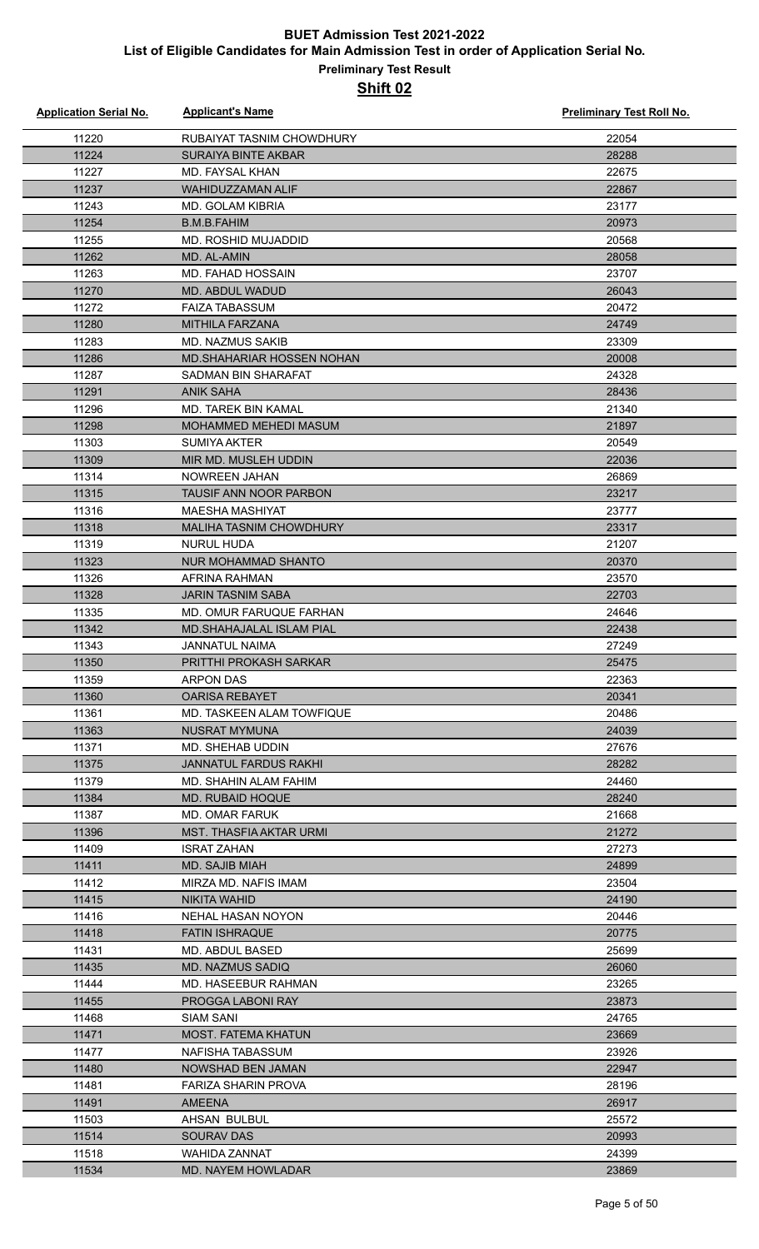| <b>Application Serial No.</b> | <b>Applicant's Name</b>                        | <b>Preliminary Test Roll No.</b> |
|-------------------------------|------------------------------------------------|----------------------------------|
| 11220                         | RUBAIYAT TASNIM CHOWDHURY                      | 22054                            |
| 11224                         | <b>SURAIYA BINTE AKBAR</b>                     | 28288                            |
| 11227                         | <b>MD. FAYSAL KHAN</b>                         | 22675                            |
| 11237                         | WAHIDUZZAMAN ALIF                              | 22867                            |
| 11243                         | <b>MD. GOLAM KIBRIA</b>                        | 23177                            |
| 11254                         | <b>B.M.B.FAHIM</b>                             | 20973                            |
| 11255                         | MD. ROSHID MUJADDID                            | 20568                            |
| 11262                         | MD. AL-AMIN                                    | 28058                            |
| 11263                         | <b>MD. FAHAD HOSSAIN</b>                       | 23707                            |
| 11270                         | MD. ABDUL WADUD                                | 26043                            |
| 11272                         | <b>FAIZA TABASSUM</b>                          | 20472                            |
| 11280                         | <b>MITHILA FARZANA</b>                         | 24749                            |
| 11283                         | <b>MD. NAZMUS SAKIB</b>                        | 23309                            |
| 11286                         | MD.SHAHARIAR HOSSEN NOHAN                      | 20008                            |
| 11287                         | SADMAN BIN SHARAFAT                            | 24328                            |
| 11291                         | <b>ANIK SAHA</b>                               | 28436                            |
| 11296                         | <b>MD. TAREK BIN KAMAL</b>                     | 21340                            |
| 11298                         | MOHAMMED MEHEDI MASUM                          | 21897                            |
| 11303                         | <b>SUMIYA AKTER</b>                            | 20549                            |
| 11309                         | MIR MD. MUSLEH UDDIN                           | 22036                            |
| 11314                         | NOWREEN JAHAN                                  | 26869                            |
| 11315                         | TAUSIF ANN NOOR PARBON                         | 23217                            |
| 11316                         | <b>MAESHA MASHIYAT</b>                         | 23777                            |
| 11318                         | MALIHA TASNIM CHOWDHURY                        | 23317                            |
| 11319                         | <b>NURUL HUDA</b>                              | 21207                            |
| 11323                         | NUR MOHAMMAD SHANTO                            | 20370                            |
| 11326                         | AFRINA RAHMAN                                  | 23570                            |
| 11328                         | <b>JARIN TASNIM SABA</b>                       | 22703                            |
| 11335                         | MD. OMUR FARUQUE FARHAN                        | 24646                            |
| 11342                         | <b>MD.SHAHAJALAL ISLAM PIAL</b>                | 22438                            |
| 11343                         | <b>JANNATUL NAIMA</b>                          | 27249                            |
| 11350                         | PRITTHI PROKASH SARKAR                         | 25475                            |
| 11359                         | <b>ARPON DAS</b>                               | 22363                            |
| 11360                         | <b>OARISA REBAYET</b>                          | 20341                            |
| 11361                         | MD. TASKEEN ALAM TOWFIQUE                      | 20486                            |
| 11363                         | <b>NUSRAT MYMUNA</b>                           | 24039                            |
| 11371                         | <b>MD. SHEHAB UDDIN</b>                        | 27676<br>28282                   |
| 11375                         | JANNATUL FARDUS RAKHI<br>MD. SHAHIN ALAM FAHIM |                                  |
| 11379                         |                                                | 24460<br>28240                   |
| 11384<br>11387                | <b>MD. RUBAID HOQUE</b><br>MD. OMAR FARUK      | 21668                            |
| 11396                         | <b>MST. THASFIA AKTAR URMI</b>                 | 21272                            |
| 11409                         | <b>ISRAT ZAHAN</b>                             | 27273                            |
| 11411                         | <b>MD. SAJIB MIAH</b>                          | 24899                            |
| 11412                         | MIRZA MD. NAFIS IMAM                           | 23504                            |
| 11415                         | <b>NIKITA WAHID</b>                            | 24190                            |
| 11416                         | NEHAL HASAN NOYON                              | 20446                            |
| 11418                         | <b>FATIN ISHRAQUE</b>                          | 20775                            |
| 11431                         | MD. ABDUL BASED                                | 25699                            |
| 11435                         | <b>MD. NAZMUS SADIQ</b>                        | 26060                            |
| 11444                         | MD. HASEEBUR RAHMAN                            | 23265                            |
| 11455                         | PROGGA LABONI RAY                              | 23873                            |
| 11468                         | <b>SIAM SANI</b>                               | 24765                            |
| 11471                         | <b>MOST. FATEMA KHATUN</b>                     | 23669                            |
| 11477                         | NAFISHA TABASSUM                               | 23926                            |
| 11480                         | <b>NOWSHAD BEN JAMAN</b>                       | 22947                            |
| 11481                         | <b>FARIZA SHARIN PROVA</b>                     | 28196                            |
| 11491                         | <b>AMEENA</b>                                  | 26917                            |
| 11503                         | <b>AHSAN BULBUL</b>                            | 25572                            |
| 11514                         | <b>SOURAV DAS</b>                              | 20993                            |
| 11518                         | <b>WAHIDA ZANNAT</b>                           | 24399                            |
| 11534                         | <b>MD. NAYEM HOWLADAR</b>                      | 23869                            |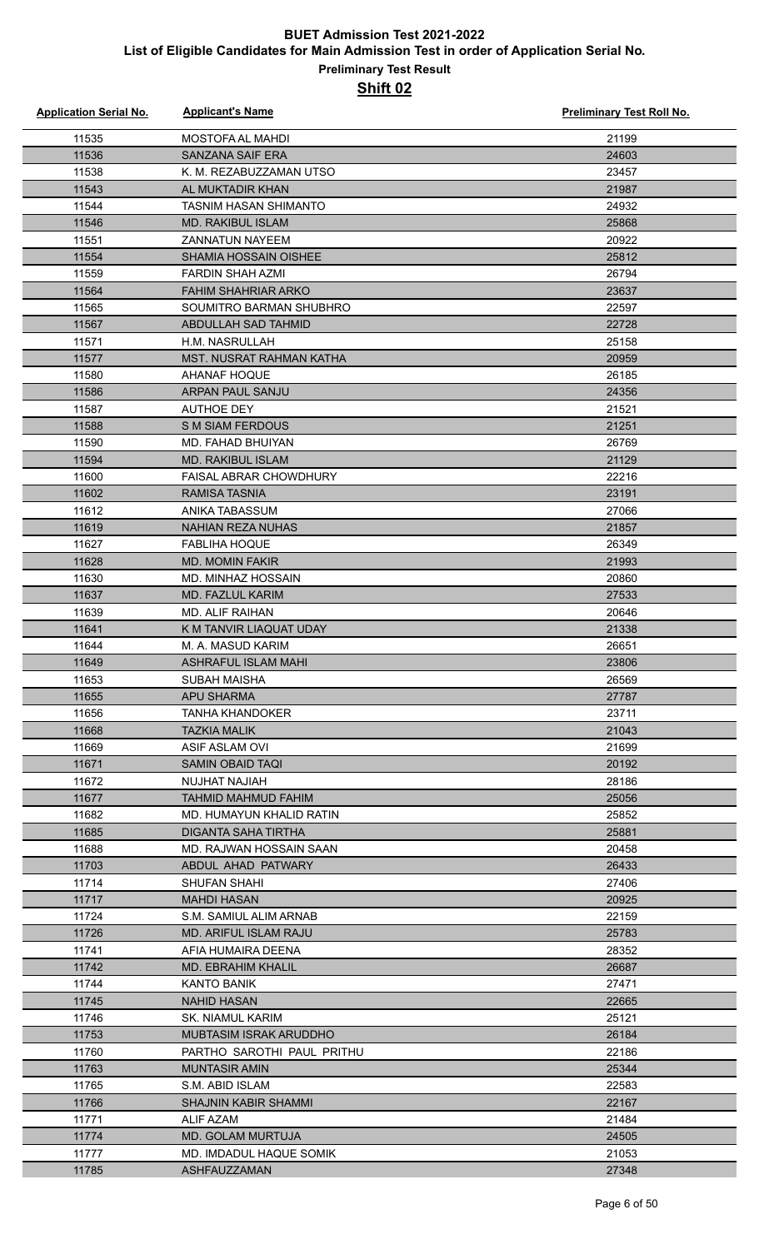| <b>Application Serial No.</b> | <b>Applicant's Name</b>                         | <b>Preliminary Test Roll No.</b> |
|-------------------------------|-------------------------------------------------|----------------------------------|
| 11535                         | MOSTOFA AL MAHDI                                | 21199                            |
| 11536                         | SANZANA SAIF ERA                                | 24603                            |
| 11538                         | K. M. REZABUZZAMAN UTSO                         | 23457                            |
| 11543                         | AL MUKTADIR KHAN                                | 21987                            |
| 11544                         | <b>TASNIM HASAN SHIMANTO</b>                    | 24932                            |
| 11546                         | <b>MD. RAKIBUL ISLAM</b>                        | 25868                            |
| 11551                         | <b>ZANNATUN NAYEEM</b>                          | 20922                            |
| 11554                         | <b>SHAMIA HOSSAIN OISHEE</b>                    | 25812                            |
| 11559                         | <b>FARDIN SHAH AZMI</b>                         | 26794                            |
| 11564                         | <b>FAHIM SHAHRIAR ARKO</b>                      | 23637                            |
| 11565                         | SOUMITRO BARMAN SHUBHRO                         | 22597                            |
| 11567                         | <b>ABDULLAH SAD TAHMID</b>                      | 22728                            |
| 11571                         | H.M. NASRULLAH                                  | 25158                            |
| 11577                         | MST. NUSRAT RAHMAN KATHA                        | 20959                            |
| 11580                         | <b>AHANAF HOQUE</b>                             | 26185                            |
| 11586                         | <b>ARPAN PAUL SANJU</b>                         | 24356                            |
| 11587                         | <b>AUTHOE DEY</b>                               | 21521                            |
| 11588                         | <b>S M SIAM FERDOUS</b>                         | 21251                            |
| 11590                         | MD. FAHAD BHUIYAN                               | 26769                            |
| 11594                         | <b>MD. RAKIBUL ISLAM</b>                        | 21129                            |
| 11600                         | <b>FAISAL ABRAR CHOWDHURY</b>                   | 22216                            |
| 11602                         | <b>RAMISA TASNIA</b>                            | 23191                            |
| 11612                         | ANIKA TABASSUM                                  | 27066                            |
| 11619                         | <b>NAHIAN REZA NUHAS</b>                        | 21857                            |
| 11627                         | <b>FABLIHA HOQUE</b>                            | 26349                            |
| 11628                         | <b>MD. MOMIN FAKIR</b>                          | 21993                            |
| 11630                         | MD. MINHAZ HOSSAIN                              | 20860                            |
| 11637                         | <b>MD. FAZLUL KARIM</b>                         | 27533                            |
| 11639                         | MD. ALIF RAIHAN                                 | 20646                            |
| 11641                         | K M TANVIR LIAQUAT UDAY                         | 21338                            |
| 11644<br>11649                | M. A. MASUD KARIM<br><b>ASHRAFUL ISLAM MAHI</b> | 26651<br>23806                   |
| 11653                         | SUBAH MAISHA                                    | 26569                            |
| 11655                         | APU SHARMA                                      | 27787                            |
| 11656                         | TANHA KHANDOKER                                 | 23711                            |
| 11668                         | <b>TAZKIA MALIK</b>                             | 21043                            |
| 11669                         | ASIF ASLAM OVI                                  | 21699                            |
| 11671                         | <b>SAMIN OBAID TAQI</b>                         | 20192                            |
| 11672                         | NUJHAT NAJIAH                                   | 28186                            |
| 11677                         | <b>TAHMID MAHMUD FAHIM</b>                      | 25056                            |
| 11682                         | MD. HUMAYUN KHALID RATIN                        | 25852                            |
| 11685                         | <b>DIGANTA SAHA TIRTHA</b>                      | 25881                            |
| 11688                         | MD. RAJWAN HOSSAIN SAAN                         | 20458                            |
| 11703                         | ABDUL AHAD PATWARY                              | 26433                            |
| 11714                         | SHUFAN SHAHI                                    | 27406                            |
| 11717                         | <b>MAHDI HASAN</b>                              | 20925                            |
| 11724                         | S.M. SAMIUL ALIM ARNAB                          | 22159                            |
| 11726                         | <b>MD. ARIFUL ISLAM RAJU</b>                    | 25783                            |
| 11741                         | AFIA HUMAIRA DEENA                              | 28352                            |
| 11742                         | <b>MD. EBRAHIM KHALIL</b>                       | 26687                            |
| 11744                         | <b>KANTO BANIK</b>                              | 27471                            |
| 11745                         | <b>NAHID HASAN</b>                              | 22665                            |
| 11746                         | SK. NIAMUL KARIM                                | 25121                            |
| 11753                         | MUBTASIM ISRAK ARUDDHO                          | 26184                            |
| 11760                         | PARTHO SAROTHI PAUL PRITHU                      | 22186                            |
| 11763                         | <b>MUNTASIR AMIN</b>                            | 25344                            |
| 11765                         | S.M. ABID ISLAM                                 | 22583                            |
| 11766                         | <b>SHAJNIN KABIR SHAMMI</b>                     | 22167                            |
| 11771                         | <b>ALIF AZAM</b>                                | 21484                            |
| 11774                         | <b>MD. GOLAM MURTUJA</b>                        | 24505                            |
| 11777<br>11785                | MD. IMDADUL HAQUE SOMIK<br>ASHFAUZZAMAN         | 21053<br>27348                   |
|                               |                                                 |                                  |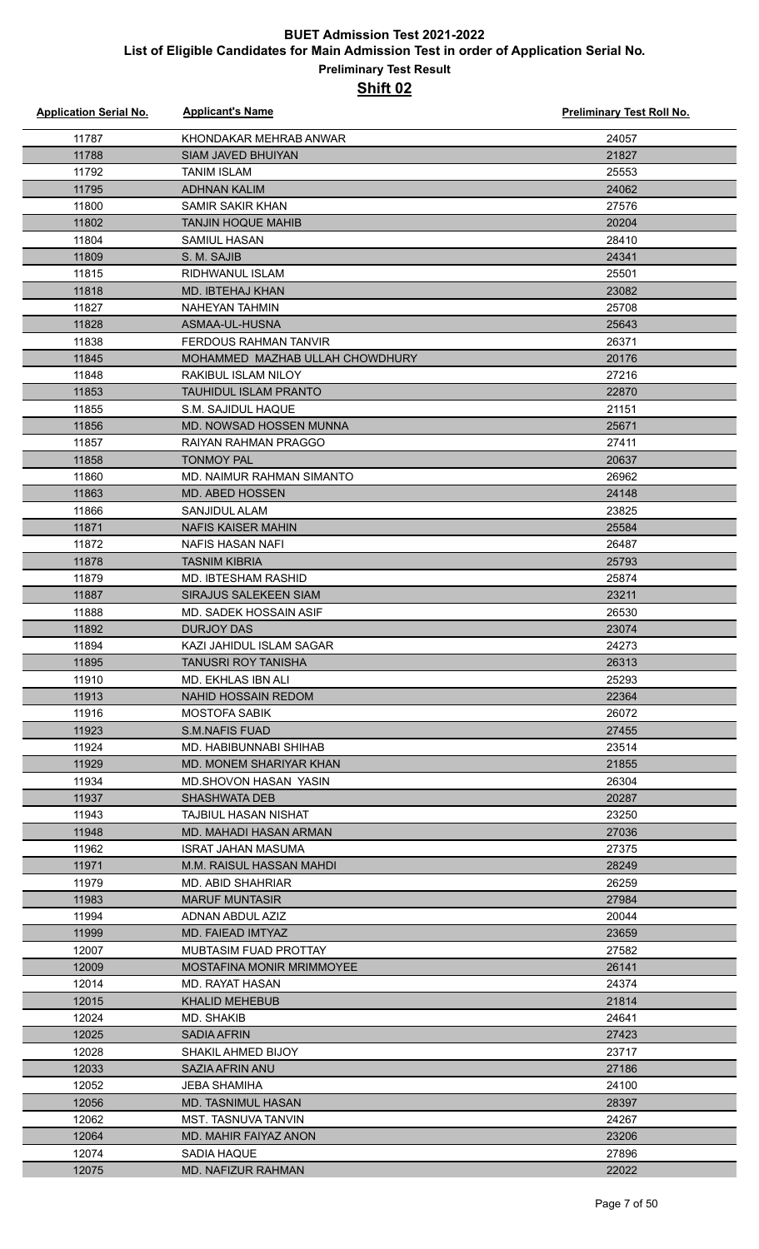| <b>Application Serial No.</b> | <b>Applicant's Name</b>                             | <b>Preliminary Test Roll No.</b> |
|-------------------------------|-----------------------------------------------------|----------------------------------|
| 11787                         | KHONDAKAR MEHRAB ANWAR                              | 24057                            |
| 11788                         | <b>SIAM JAVED BHUIYAN</b>                           | 21827                            |
| 11792                         | <b>TANIM ISLAM</b>                                  | 25553                            |
| 11795                         | <b>ADHNAN KALIM</b>                                 | 24062                            |
| 11800                         | SAMIR SAKIR KHAN                                    | 27576                            |
| 11802                         | <b>TANJIN HOQUE MAHIB</b>                           | 20204                            |
| 11804                         | <b>SAMIUL HASAN</b>                                 | 28410                            |
| 11809                         | S. M. SAJIB                                         | 24341                            |
| 11815                         | <b>RIDHWANUL ISLAM</b>                              | 25501                            |
| 11818                         | MD. IBTEHAJ KHAN                                    | 23082                            |
| 11827                         | <b>NAHEYAN TAHMIN</b>                               | 25708                            |
| 11828                         | ASMAA-UL-HUSNA                                      | 25643                            |
| 11838                         | FERDOUS RAHMAN TANVIR                               | 26371                            |
| 11845                         | MOHAMMED MAZHAB ULLAH CHOWDHURY                     | 20176                            |
| 11848                         | RAKIBUL ISLAM NILOY                                 | 27216                            |
| 11853                         | <b>TAUHIDUL ISLAM PRANTO</b>                        | 22870                            |
| 11855                         | S.M. SAJIDUL HAQUE                                  | 21151                            |
| 11856                         | MD. NOWSAD HOSSEN MUNNA                             | 25671                            |
| 11857                         | RAIYAN RAHMAN PRAGGO                                | 27411                            |
| 11858                         | <b>TONMOY PAL</b>                                   | 20637                            |
| 11860                         | MD. NAIMUR RAHMAN SIMANTO                           | 26962                            |
| 11863                         | <b>MD. ABED HOSSEN</b>                              | 24148                            |
| 11866                         | <b>SANJIDUL ALAM</b>                                | 23825                            |
| 11871                         | <b>NAFIS KAISER MAHIN</b>                           | 25584                            |
| 11872                         | NAFIS HASAN NAFI                                    | 26487                            |
| 11878                         | <b>TASNIM KIBRIA</b>                                | 25793                            |
| 11879                         | MD. IBTESHAM RASHID                                 | 25874                            |
| 11887                         | SIRAJUS SALEKEEN SIAM                               | 23211                            |
| 11888                         | <b>MD. SADEK HOSSAIN ASIF</b>                       | 26530                            |
| 11892                         | <b>DURJOY DAS</b>                                   | 23074                            |
| 11894                         | KAZI JAHIDUL ISLAM SAGAR                            | 24273                            |
| 11895                         | <b>TANUSRI ROY TANISHA</b>                          | 26313                            |
| 11910                         | MD. EKHLAS IBN ALI                                  | 25293                            |
| 11913                         | NAHID HOSSAIN REDOM                                 | 22364                            |
| 11916                         | <b>MOSTOFA SABIK</b>                                | 26072                            |
| 11923                         | S.M.NAFIS FUAD                                      | 27455                            |
| 11924                         | MD. HABIBUNNABI SHIHAB                              | 23514                            |
| 11929                         | MD. MONEM SHARIYAR KHAN                             | 21855                            |
| 11934                         | MD.SHOVON HASAN YASIN                               | 26304                            |
| 11937<br>11943                | <b>SHASHWATA DEB</b><br><b>TAJBIUL HASAN NISHAT</b> | 20287<br>23250                   |
| 11948                         | MD. MAHADI HASAN ARMAN                              | 27036                            |
| 11962                         | ISRAT JAHAN MASUMA                                  | 27375                            |
| 11971                         | M.M. RAISUL HASSAN MAHDI                            | 28249                            |
| 11979                         | MD. ABID SHAHRIAR                                   | 26259                            |
| 11983                         | <b>MARUF MUNTASIR</b>                               | 27984                            |
| 11994                         | ADNAN ABDUL AZIZ                                    | 20044                            |
| 11999                         | MD. FAIEAD IMTYAZ                                   | 23659                            |
| 12007                         | <b>MUBTASIM FUAD PROTTAY</b>                        | 27582                            |
| 12009                         | <b>MOSTAFINA MONIR MRIMMOYEE</b>                    | 26141                            |
| 12014                         | MD. RAYAT HASAN                                     | 24374                            |
| 12015                         | <b>KHALID MEHEBUB</b>                               | 21814                            |
| 12024                         | MD. SHAKIB                                          | 24641                            |
| 12025                         | <b>SADIA AFRIN</b>                                  | 27423                            |
| 12028                         | <b>SHAKIL AHMED BIJOY</b>                           | 23717                            |
| 12033                         | SAZIA AFRIN ANU                                     | 27186                            |
| 12052                         | JEBA SHAMIHA                                        | 24100                            |
| 12056                         | MD. TASNIMUL HASAN                                  | 28397                            |
| 12062                         | <b>MST. TASNUVA TANVIN</b>                          | 24267                            |
| 12064                         | MD. MAHIR FAIYAZ ANON                               | 23206                            |
| 12074                         | <b>SADIA HAQUE</b>                                  | 27896                            |
| 12075                         | <b>MD. NAFIZUR RAHMAN</b>                           | 22022                            |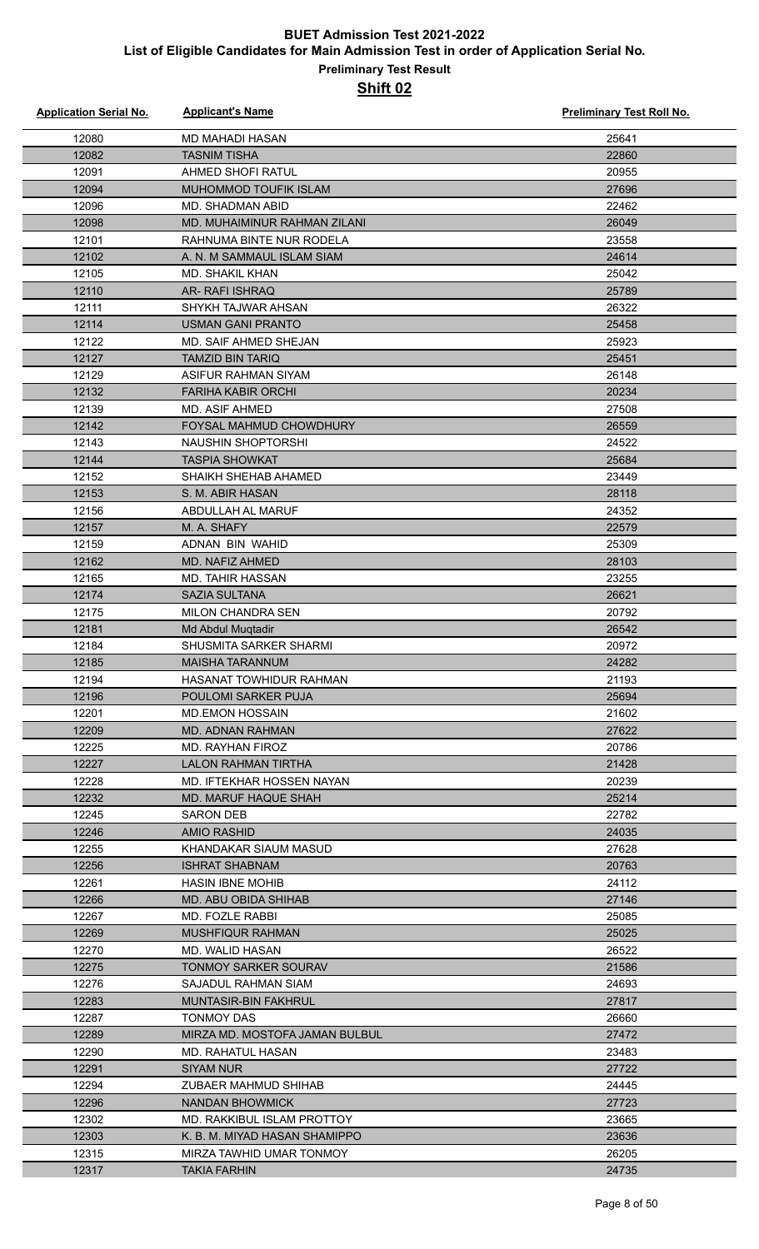#### **Preliminary Test Result Shift 02**

| <b>Application Serial No.</b> | <b>Applicant's Name</b>                 | <b>Preliminary Test Roll No.</b> |
|-------------------------------|-----------------------------------------|----------------------------------|
| 12080                         | MD MAHADI HASAN                         | 25641                            |
| 12082                         | <b>TASNIM TISHA</b>                     | 22860                            |
| 12091                         | AHMED SHOFI RATUL                       | 20955                            |
| 12094                         | MUHOMMOD TOUFIK ISLAM                   | 27696                            |
| 12096                         | MD. SHADMAN ABID                        | 22462                            |
| 12098                         | MD. MUHAIMINUR RAHMAN ZILANI            | 26049                            |
| 12101                         | RAHNUMA BINTE NUR RODELA                | 23558                            |
| 12102                         | A. N. M SAMMAUL ISLAM SIAM              | 24614                            |
| 12105                         | <b>MD. SHAKIL KHAN</b>                  | 25042                            |
| 12110                         | AR-RAFI ISHRAQ                          | 25789                            |
| 12111                         | SHYKH TAJWAR AHSAN                      | 26322                            |
| 12114                         | <b>USMAN GANI PRANTO</b>                | 25458                            |
| 12122                         | MD. SAIF AHMED SHEJAN                   | 25923                            |
| 12127                         | <b>TAMZID BIN TARIQ</b>                 | 25451                            |
| 12129                         | ASIFUR RAHMAN SIYAM                     | 26148                            |
| 12132                         | <b>FARIHA KABIR ORCHI</b>               | 20234                            |
| 12139                         | <b>MD. ASIF AHMED</b>                   | 27508                            |
| 12142                         | FOYSAL MAHMUD CHOWDHURY                 | 26559                            |
| 12143                         | <b>NAUSHIN SHOPTORSHI</b>               | 24522                            |
| 12144                         | <b>TASPIA SHOWKAT</b>                   | 25684                            |
| 12152                         | SHAIKH SHEHAB AHAMED                    | 23449                            |
| 12153                         | S. M. ABIR HASAN                        | 28118                            |
| 12156                         | ABDULLAH AL MARUF                       | 24352                            |
| 12157                         | M. A. SHAFY                             | 22579                            |
| 12159                         | ADNAN BIN WAHID                         | 25309                            |
| 12162                         | MD. NAFIZ AHMED                         | 28103                            |
| 12165                         | <b>MD. TAHIR HASSAN</b>                 | 23255                            |
| 12174                         | SAZIA SULTANA                           | 26621                            |
| 12175                         | MILON CHANDRA SEN                       | 20792                            |
| 12181                         | Md Abdul Muqtadir                       | 26542                            |
| 12184                         | <b>SHUSMITA SARKER SHARMI</b>           | 20972                            |
| 12185                         | MAISHA TARANNUM                         | 24282                            |
| 12194                         | HASANAT TOWHIDUR RAHMAN                 | 21193                            |
| 12196                         | POULOMI SARKER PUJA                     | 25694                            |
| 12201                         | <b>MD.EMON HOSSAIN</b>                  | 21602                            |
| 12209                         | MD. ADNAN RAHMAN                        | 27622                            |
| 12225                         | MD. RAYHAN FIROZ                        | 20786                            |
| 12227                         | <b>LALON RAHMAN TIRTHA</b>              | 21428                            |
| 12228                         | MD. IFTEKHAR HOSSEN NAYAN               | 20239                            |
| 12232                         | <b>MD. MARUF HAQUE SHAH</b>             | 25214                            |
| 12245                         | SARON DEB                               | 22782                            |
| 12246                         | AMIO RASHID                             | 24035                            |
| 12255                         | KHANDAKAR SIAUM MASUD                   | 27628                            |
| 12256<br>12261                | <b>ISHRAT SHABNAM</b>                   | 20763<br>24112                   |
| 12266                         | <b>HASIN IBNE MOHIB</b>                 | 27146                            |
| 12267                         | MD. ABU OBIDA SHIHAB<br>MD. FOZLE RABBI | 25085                            |
| 12269                         | <b>MUSHFIQUR RAHMAN</b>                 | 25025                            |
| 12270                         | MD. WALID HASAN                         | 26522                            |
| 12275                         | TONMOY SARKER SOURAV                    | 21586                            |
| 12276                         | SAJADUL RAHMAN SIAM                     | 24693                            |
| 12283                         | <b>MUNTASIR-BIN FAKHRUL</b>             | 27817                            |
| 12287                         | <b>TONMOY DAS</b>                       | 26660                            |
| 12289                         | MIRZA MD. MOSTOFA JAMAN BULBUL          | 27472                            |
| 12290                         | MD. RAHATUL HASAN                       | 23483                            |
| 12291                         | SIYAM NUR                               | 27722                            |
| 12294                         | ZUBAER MAHMUD SHIHAB                    | 24445                            |
| 12296                         | NANDAN BHOWMICK                         | 27723                            |
| 12302                         | MD. RAKKIBUL ISLAM PROTTOY              | 23665                            |
| 12303                         | K. B. M. MIYAD HASAN SHAMIPPO           | 23636                            |
| 12315                         | MIRZA TAWHID UMAR TONMOY                | 26205                            |
| 12317                         | <b>TAKIA FARHIN</b>                     | 24735                            |
|                               |                                         |                                  |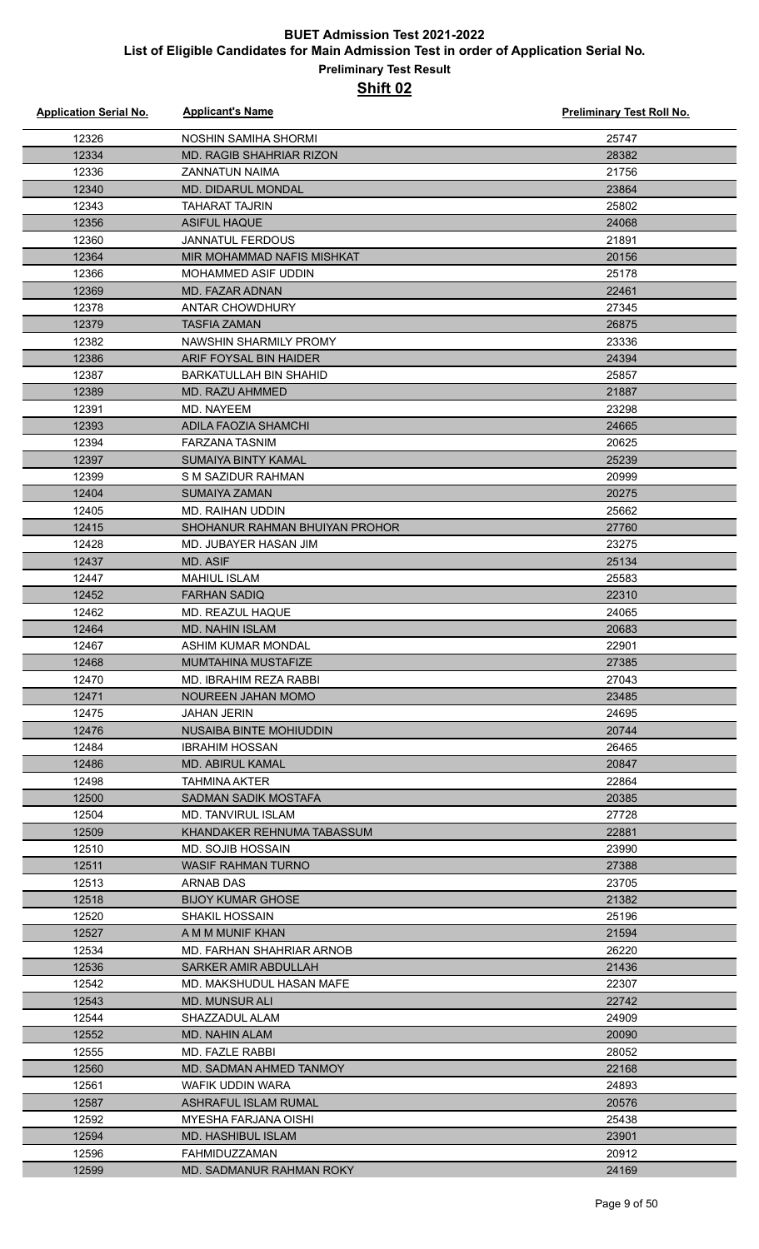#### **Preliminary Test Result Shift 02**

| <b>Application Serial No.</b> | <b>Applicant's Name</b>                    | <b>Preliminary Test Roll No.</b> |
|-------------------------------|--------------------------------------------|----------------------------------|
| 12326                         | NOSHIN SAMIHA SHORMI                       | 25747                            |
| 12334                         | <b>MD. RAGIB SHAHRIAR RIZON</b>            | 28382                            |
| 12336                         | ZANNATUN NAIMA                             | 21756                            |
| 12340                         | MD. DIDARUL MONDAL                         | 23864                            |
| 12343                         | TAHARAT TAJRIN                             | 25802                            |
| 12356                         | <b>ASIFUL HAQUE</b>                        | 24068                            |
| 12360                         | <b>JANNATUL FERDOUS</b>                    | 21891                            |
| 12364                         | MIR MOHAMMAD NAFIS MISHKAT                 | 20156                            |
| 12366                         | <b>MOHAMMED ASIF UDDIN</b>                 | 25178                            |
| 12369                         | MD. FAZAR ADNAN                            | 22461                            |
| 12378                         | ANTAR CHOWDHURY                            | 27345                            |
| 12379                         | <b>TASFIA ZAMAN</b>                        | 26875                            |
| 12382                         | NAWSHIN SHARMILY PROMY                     | 23336                            |
| 12386                         | ARIF FOYSAL BIN HAIDER                     | 24394                            |
| 12387                         | <b>BARKATULLAH BIN SHAHID</b>              | 25857                            |
| 12389                         | MD. RAZU AHMMED                            | 21887                            |
| 12391                         | MD. NAYEEM                                 | 23298                            |
| 12393                         | <b>ADILA FAOZIA SHAMCHI</b>                | 24665                            |
| 12394                         | <b>FARZANA TASNIM</b>                      | 20625                            |
| 12397                         | <b>SUMAIYA BINTY KAMAL</b>                 | 25239                            |
| 12399                         | S M SAZIDUR RAHMAN                         | 20999                            |
| 12404                         | <b>SUMAIYA ZAMAN</b>                       | 20275                            |
| 12405                         | MD. RAIHAN UDDIN                           | 25662                            |
| 12415                         | SHOHANUR RAHMAN BHUIYAN PROHOR             | 27760                            |
| 12428                         | MD. JUBAYER HASAN JIM                      | 23275                            |
| 12437                         | MD. ASIF                                   | 25134                            |
| 12447                         | <b>MAHIUL ISLAM</b>                        | 25583                            |
| 12452                         | <b>FARHAN SADIQ</b>                        | 22310                            |
| 12462                         | MD. REAZUL HAQUE                           | 24065                            |
| 12464                         | <b>MD. NAHIN ISLAM</b>                     | 20683                            |
| 12467                         | ASHIM KUMAR MONDAL                         | 22901                            |
| 12468                         | <b>MUMTAHINA MUSTAFIZE</b>                 | 27385                            |
| 12470                         | MD. IBRAHIM REZA RABBI                     | 27043                            |
| 12471                         | NOUREEN JAHAN MOMO                         | 23485                            |
| 12475                         | JAHAN JERIN                                | 24695                            |
| 12476                         | NUSAIBA BINTE MOHIUDDIN                    | 20744                            |
| 12484                         | <b>IBRAHIM HOSSAN</b>                      | 26465                            |
| 12486                         | <b>MD. ABIRUL KAMAL</b>                    | 20847                            |
| 12498                         | <b>TAHMINA AKTER</b>                       | 22864                            |
| 12500                         | SADMAN SADIK MOSTAFA                       | 20385                            |
| 12504                         | MD. TANVIRUL ISLAM                         | 27728                            |
| 12509                         | KHANDAKER REHNUMA TABASSUM                 | 22881                            |
| 12510                         | MD. SOJIB HOSSAIN                          | 23990                            |
| 12511                         | <b>WASIF RAHMAN TURNO</b>                  | 27388                            |
| 12513                         | ARNAB DAS                                  | 23705                            |
| 12518                         | <b>BIJOY KUMAR GHOSE</b>                   | 21382                            |
| 12520                         | <b>SHAKIL HOSSAIN</b>                      | 25196                            |
| 12527                         | A M M MUNIF KHAN                           | 21594                            |
| 12534                         | MD. FARHAN SHAHRIAR ARNOB                  | 26220                            |
| 12536                         | SARKER AMIR ABDULLAH                       | 21436                            |
| 12542                         | MD. MAKSHUDUL HASAN MAFE                   | 22307                            |
| 12543                         | <b>MD. MUNSUR ALI</b>                      | 22742                            |
| 12544                         | SHAZZADUL ALAM                             | 24909                            |
| 12552                         | <b>MD. NAHIN ALAM</b>                      | 20090<br>28052                   |
| 12555<br>12560                | MD. FAZLE RABBI<br>MD. SADMAN AHMED TANMOY | 22168                            |
| 12561                         | WAFIK UDDIN WARA                           | 24893                            |
| 12587                         | ASHRAFUL ISLAM RUMAL                       | 20576                            |
| 12592                         | <b>MYESHA FARJANA OISHI</b>                | 25438                            |
| 12594                         | <b>MD. HASHIBUL ISLAM</b>                  | 23901                            |
| 12596                         | FAHMIDUZZAMAN                              | 20912                            |
| 12599                         | MD. SADMANUR RAHMAN ROKY                   | 24169                            |
|                               |                                            |                                  |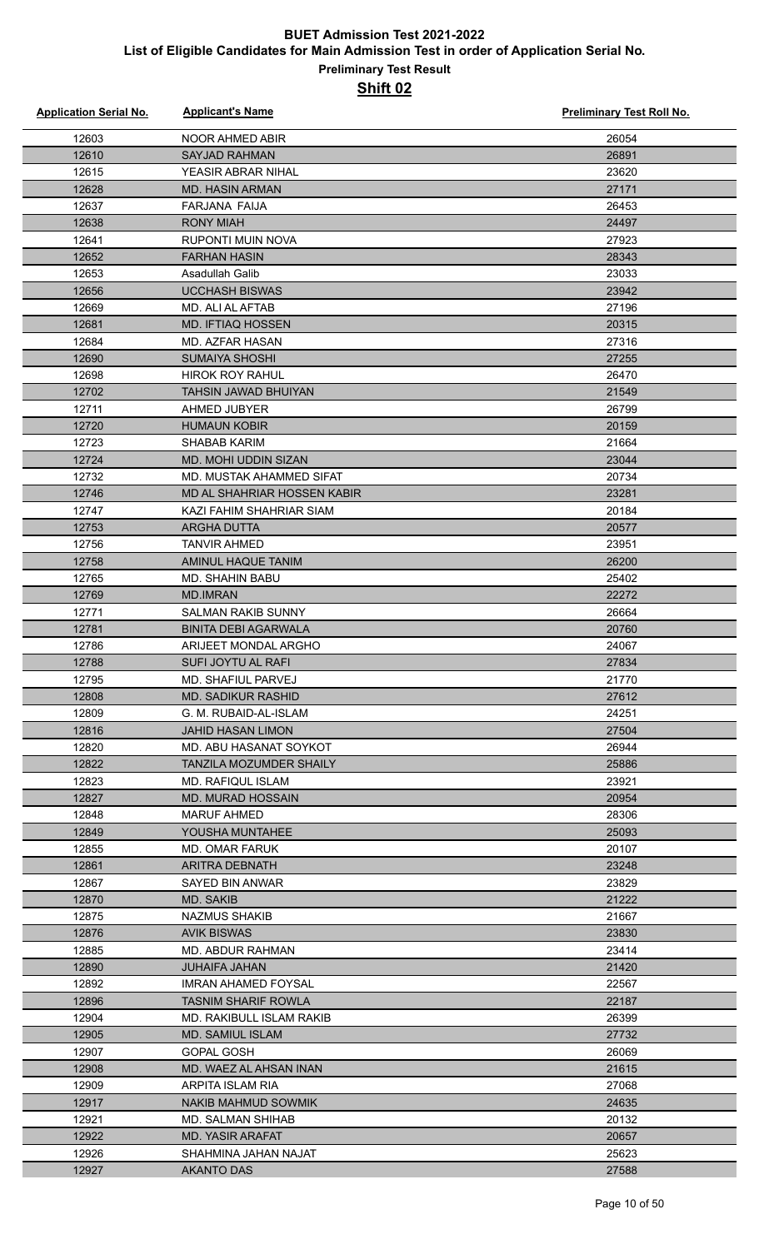| <b>Application Serial No.</b> | <b>Applicant's Name</b>                       | <b>Preliminary Test Roll No.</b> |
|-------------------------------|-----------------------------------------------|----------------------------------|
| 12603                         | <b>NOOR AHMED ABIR</b>                        | 26054                            |
| 12610                         | <b>SAYJAD RAHMAN</b>                          | 26891                            |
| 12615                         | YEASIR ABRAR NIHAL                            | 23620                            |
| 12628                         | <b>MD. HASIN ARMAN</b>                        | 27171                            |
| 12637                         | FARJANA FAIJA                                 | 26453                            |
| 12638                         | <b>RONY MIAH</b>                              | 24497                            |
| 12641                         | <b>RUPONTI MUIN NOVA</b>                      | 27923                            |
| 12652                         | <b>FARHAN HASIN</b>                           | 28343                            |
| 12653                         | Asadullah Galib                               | 23033                            |
| 12656                         | <b>UCCHASH BISWAS</b>                         | 23942                            |
| 12669                         | MD. ALI AL AFTAB                              | 27196                            |
| 12681                         | <b>MD. IFTIAQ HOSSEN</b>                      | 20315                            |
| 12684                         | MD. AZFAR HASAN                               | 27316                            |
| 12690                         | <b>SUMAIYA SHOSHI</b>                         | 27255                            |
| 12698                         | <b>HIROK ROY RAHUL</b>                        | 26470                            |
| 12702                         | TAHSIN JAWAD BHUIYAN                          | 21549                            |
| 12711                         | AHMED JUBYER                                  | 26799                            |
| 12720                         | <b>HUMAUN KOBIR</b>                           | 20159                            |
| 12723                         | <b>SHABAB KARIM</b>                           | 21664                            |
| 12724                         | <b>MD. MOHI UDDIN SIZAN</b>                   | 23044                            |
| 12732                         | MD. MUSTAK AHAMMED SIFAT                      | 20734                            |
| 12746                         | MD AL SHAHRIAR HOSSEN KABIR                   | 23281                            |
| 12747                         | KAZI FAHIM SHAHRIAR SIAM                      | 20184                            |
| 12753                         | <b>ARGHA DUTTA</b>                            | 20577                            |
| 12756                         | <b>TANVIR AHMED</b>                           | 23951                            |
| 12758                         | AMINUL HAQUE TANIM                            | 26200                            |
| 12765                         | MD. SHAHIN BABU                               | 25402                            |
| 12769                         | <b>MD.IMRAN</b>                               | 22272                            |
| 12771                         | <b>SALMAN RAKIB SUNNY</b>                     | 26664                            |
| 12781                         | <b>BINITA DEBI AGARWALA</b>                   | 20760                            |
| 12786                         | ARIJEET MONDAL ARGHO                          | 24067                            |
| 12788                         | SUFI JOYTU AL RAFI                            | 27834                            |
| 12795                         | MD. SHAFIUL PARVEJ                            | 21770                            |
| 12808                         | <b>MD. SADIKUR RASHID</b>                     | 27612                            |
| 12809                         | G. M. RUBAID-AL-ISLAM                         | 24251                            |
| 12816                         | <b>JAHID HASAN LIMON</b>                      | 27504                            |
| 12820<br>12822                | MD. ABU HASANAT SOYKOT                        | 26944                            |
|                               | TANZILA MOZUMDER SHAILY                       | 25886                            |
| 12823<br>12827                | MD. RAFIQUL ISLAM<br><b>MD. MURAD HOSSAIN</b> | 23921<br>20954                   |
| 12848                         | <b>MARUF AHMED</b>                            | 28306                            |
| 12849                         | YOUSHA MUNTAHEE                               | 25093                            |
| 12855                         | <b>MD. OMAR FARUK</b>                         | 20107                            |
| 12861                         | ARITRA DEBNATH                                | 23248                            |
| 12867                         | SAYED BIN ANWAR                               | 23829                            |
| 12870                         | <b>MD. SAKIB</b>                              | 21222                            |
| 12875                         | <b>NAZMUS SHAKIB</b>                          | 21667                            |
| 12876                         | <b>AVIK BISWAS</b>                            | 23830                            |
| 12885                         | MD. ABDUR RAHMAN                              | 23414                            |
| 12890                         | <b>JUHAIFA JAHAN</b>                          | 21420                            |
| 12892                         | IMRAN AHAMED FOYSAL                           | 22567                            |
| 12896                         | <b>TASNIM SHARIF ROWLA</b>                    | 22187                            |
| 12904                         | MD. RAKIBULL ISLAM RAKIB                      | 26399                            |
| 12905                         | <b>MD. SAMIUL ISLAM</b>                       | 27732                            |
| 12907                         | GOPAL GOSH                                    | 26069                            |
| 12908                         | MD. WAEZ AL AHSAN INAN                        | 21615                            |
| 12909                         | ARPITA ISLAM RIA                              | 27068                            |
| 12917                         | NAKIB MAHMUD SOWMIK                           | 24635                            |
| 12921                         | MD. SALMAN SHIHAB                             | 20132                            |
| 12922                         | <b>MD. YASIR ARAFAT</b>                       | 20657                            |
| 12926                         | <b>TALAN MAHAL ANIMHAHS</b>                   | 25623                            |
| 12927                         | <b>AKANTO DAS</b>                             | 27588                            |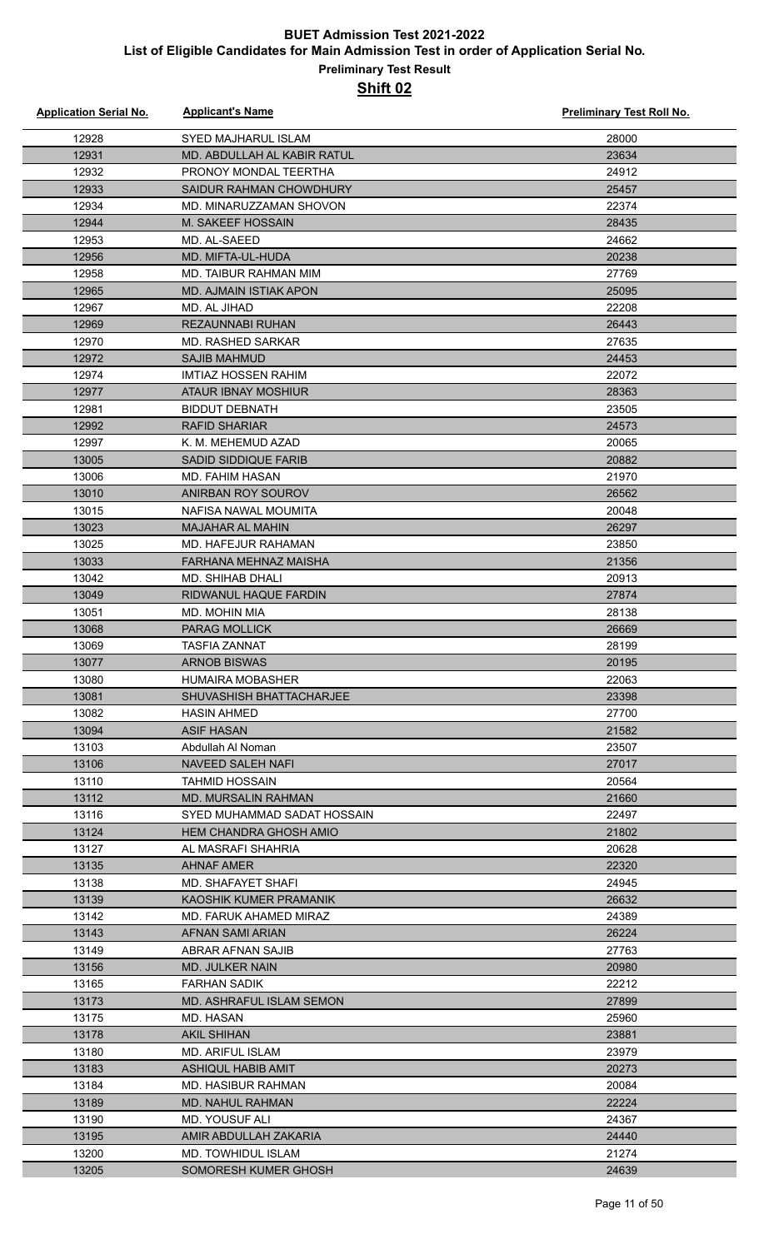| <b>Application Serial No.</b> | <b>Applicant's Name</b>       | <b>Preliminary Test Roll No.</b> |
|-------------------------------|-------------------------------|----------------------------------|
| 12928                         | <b>SYED MAJHARUL ISLAM</b>    | 28000                            |
| 12931                         | MD. ABDULLAH AL KABIR RATUL   | 23634                            |
| 12932                         | PRONOY MONDAL TEERTHA         | 24912                            |
| 12933                         | SAIDUR RAHMAN CHOWDHURY       | 25457                            |
| 12934                         | MD. MINARUZZAMAN SHOVON       | 22374                            |
| 12944                         | M. SAKEEF HOSSAIN             | 28435                            |
| 12953                         | MD. AL-SAEED                  | 24662                            |
| 12956                         | MD. MIFTA-UL-HUDA             | 20238                            |
| 12958                         | MD. TAIBUR RAHMAN MIM         | 27769                            |
| 12965                         | MD. AJMAIN ISTIAK APON        | 25095                            |
| 12967                         | MD. AL JIHAD                  | 22208                            |
| 12969                         | <b>REZAUNNABI RUHAN</b>       | 26443                            |
| 12970                         | <b>MD. RASHED SARKAR</b>      | 27635                            |
| 12972                         | <b>SAJIB MAHMUD</b>           | 24453                            |
| 12974                         | <b>IMTIAZ HOSSEN RAHIM</b>    | 22072                            |
| 12977                         | <b>ATAUR IBNAY MOSHIUR</b>    | 28363                            |
| 12981                         | <b>BIDDUT DEBNATH</b>         | 23505                            |
| 12992                         | <b>RAFID SHARIAR</b>          | 24573                            |
| 12997                         | K. M. MEHEMUD AZAD            | 20065                            |
| 13005                         | <b>SADID SIDDIQUE FARIB</b>   | 20882                            |
| 13006                         | <b>MD. FAHIM HASAN</b>        | 21970                            |
| 13010                         | ANIRBAN ROY SOUROV            | 26562                            |
| 13015                         | NAFISA NAWAL MOUMITA          | 20048                            |
| 13023                         | <b>MAJAHAR AL MAHIN</b>       | 26297                            |
| 13025                         | MD. HAFEJUR RAHAMAN           | 23850                            |
| 13033                         | FARHANA MEHNAZ MAISHA         | 21356                            |
| 13042                         | <b>MD. SHIHAB DHALI</b>       | 20913                            |
| 13049                         | RIDWANUL HAQUE FARDIN         | 27874                            |
| 13051                         | MD. MOHIN MIA                 | 28138                            |
| 13068                         | <b>PARAG MOLLICK</b>          | 26669                            |
| 13069                         | <b>TASFIA ZANNAT</b>          | 28199                            |
| 13077                         | <b>ARNOB BISWAS</b>           | 20195                            |
| 13080                         | <b>HUMAIRA MOBASHER</b>       | 22063                            |
| 13081                         | SHUVASHISH BHATTACHARJEE      | 23398                            |
| 13082                         | <b>HASIN AHMED</b>            | 27700                            |
| 13094                         | <b>ASIF HASAN</b>             | 21582                            |
| 13103                         | Abdullah Al Noman             | 23507                            |
| 13106                         | NAVEED SALEH NAFI             | 27017                            |
| 13110                         | TAHMID HOSSAIN                | 20564                            |
| 13112                         | <b>MD. MURSALIN RAHMAN</b>    | 21660                            |
| 13116                         | SYED MUHAMMAD SADAT HOSSAIN   | 22497                            |
| 13124                         | <b>HEM CHANDRA GHOSH AMIO</b> | 21802                            |
| 13127                         | AL MASRAFI SHAHRIA            | 20628                            |
| 13135                         | <b>AHNAF AMER</b>             | 22320                            |
| 13138                         | <b>MD. SHAFAYET SHAFI</b>     | 24945                            |
| 13139                         | KAOSHIK KUMER PRAMANIK        | 26632                            |
| 13142                         | MD. FARUK AHAMED MIRAZ        | 24389                            |
| 13143                         | AFNAN SAMI ARIAN              | 26224                            |
| 13149                         | ABRAR AFNAN SAJIB             | 27763                            |
| 13156                         | <b>MD. JULKER NAIN</b>        | 20980                            |
| 13165                         | <b>FARHAN SADIK</b>           | 22212                            |
| 13173                         | MD. ASHRAFUL ISLAM SEMON      | 27899                            |
| 13175                         | MD. HASAN                     | 25960                            |
| 13178                         | <b>AKIL SHIHAN</b>            | 23881                            |
| 13180                         | <b>MD. ARIFUL ISLAM</b>       | 23979                            |
| 13183                         | <b>ASHIQUL HABIB AMIT</b>     | 20273                            |
| 13184                         | MD. HASIBUR RAHMAN            | 20084                            |
| 13189                         | MD. NAHUL RAHMAN              | 22224                            |
| 13190                         | <b>MD. YOUSUF ALI</b>         | 24367                            |
| 13195                         | AMIR ABDULLAH ZAKARIA         | 24440                            |
| 13200                         | MD. TOWHIDUL ISLAM            | 21274                            |
| 13205                         | SOMORESH KUMER GHOSH          | 24639                            |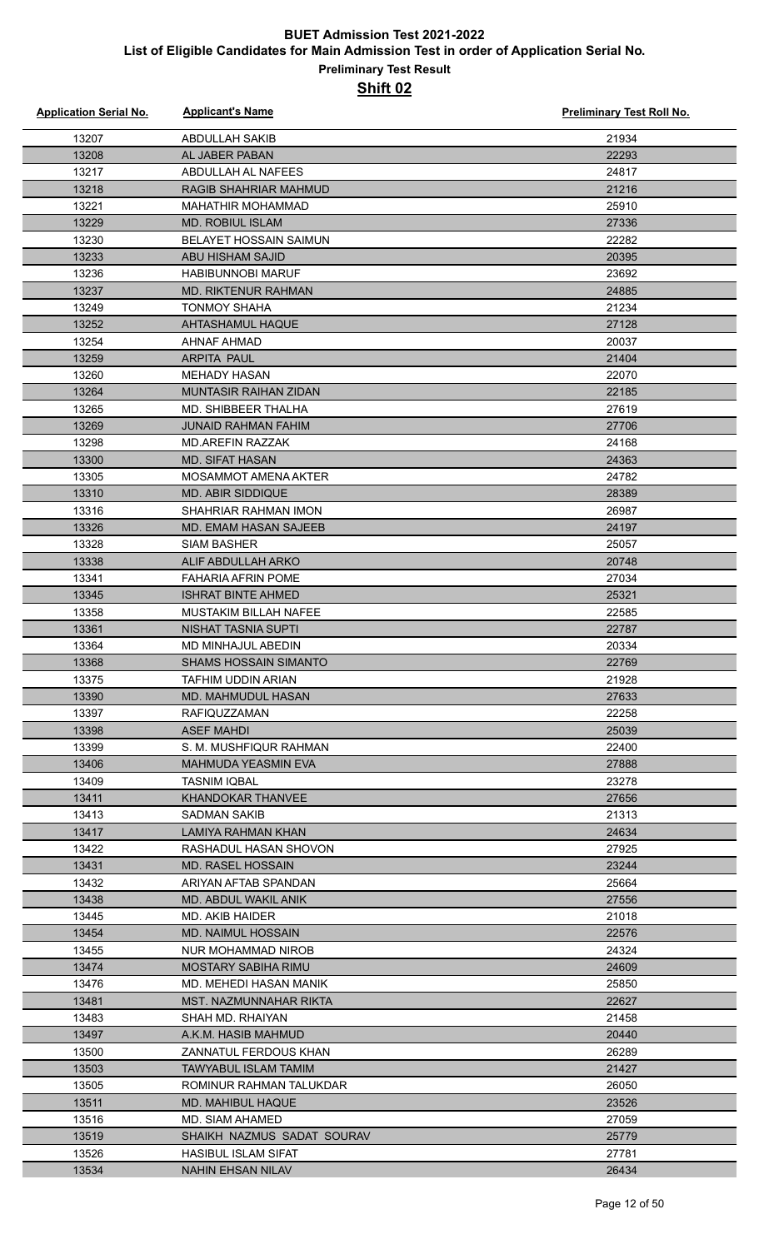| <b>Application Serial No.</b> | <b>Applicant's Name</b>                         | <b>Preliminary Test Roll No.</b> |
|-------------------------------|-------------------------------------------------|----------------------------------|
| 13207                         | <b>ABDULLAH SAKIB</b>                           | 21934                            |
| 13208                         | AL JABER PABAN                                  | 22293                            |
| 13217                         | ABDULLAH AL NAFEES                              | 24817                            |
| 13218                         | <b>RAGIB SHAHRIAR MAHMUD</b>                    | 21216                            |
| 13221                         | <b>MAHATHIR MOHAMMAD</b>                        | 25910                            |
| 13229                         | <b>MD. ROBIUL ISLAM</b>                         | 27336                            |
| 13230                         | <b>BELAYET HOSSAIN SAIMUN</b>                   | 22282                            |
| 13233                         | ABU HISHAM SAJID                                | 20395                            |
| 13236                         | <b>HABIBUNNOBI MARUF</b>                        | 23692                            |
| 13237                         | <b>MD. RIKTENUR RAHMAN</b>                      | 24885                            |
| 13249                         | <b>TONMOY SHAHA</b>                             | 21234                            |
| 13252                         | AHTASHAMUL HAQUE                                | 27128                            |
| 13254                         | AHNAF AHMAD                                     | 20037                            |
| 13259                         | <b>ARPITA PAUL</b>                              | 21404                            |
| 13260                         | <b>MEHADY HASAN</b>                             | 22070                            |
| 13264                         | <b>MUNTASIR RAIHAN ZIDAN</b>                    | 22185                            |
| 13265                         | MD. SHIBBEER THALHA                             | 27619                            |
| 13269                         | <b>JUNAID RAHMAN FAHIM</b>                      | 27706                            |
| 13298                         | MD.AREFIN RAZZAK                                | 24168                            |
| 13300                         | <b>MD. SIFAT HASAN</b>                          | 24363                            |
| 13305                         | MOSAMMOT AMENA AKTER                            | 24782                            |
| 13310                         | <b>MD. ABIR SIDDIQUE</b>                        | 28389                            |
| 13316                         | SHAHRIAR RAHMAN IMON                            | 26987                            |
| 13326                         | <b>MD. EMAM HASAN SAJEEB</b>                    | 24197                            |
| 13328                         | <b>SIAM BASHER</b>                              | 25057                            |
| 13338<br>13341                | ALIF ABDULLAH ARKO<br><b>FAHARIA AFRIN POME</b> | 20748<br>27034                   |
| 13345                         | <b>ISHRAT BINTE AHMED</b>                       | 25321                            |
| 13358                         | MUSTAKIM BILLAH NAFEE                           | 22585                            |
| 13361                         | NISHAT TASNIA SUPTI                             | 22787                            |
| 13364                         | MD MINHAJUL ABEDIN                              | 20334                            |
| 13368                         | SHAMS HOSSAIN SIMANTO                           | 22769                            |
| 13375                         | TAFHIM UDDIN ARIAN                              | 21928                            |
| 13390                         | MD. MAHMUDUL HASAN                              | 27633                            |
| 13397                         | <b>RAFIQUZZAMAN</b>                             | 22258                            |
| 13398                         | <b>ASEF MAHDI</b>                               | 25039                            |
| 13399                         | S. M. MUSHFIQUR RAHMAN                          | 22400                            |
| 13406                         | <b>MAHMUDA YEASMIN EVA</b>                      | 27888                            |
| 13409                         | TASNIM IQBAL                                    | 23278                            |
| 13411                         | KHANDOKAR THANVEE                               | 27656                            |
| 13413                         | SADMAN SAKIB                                    | 21313                            |
| 13417                         | LAMIYA RAHMAN KHAN                              | 24634                            |
| 13422                         | RASHADUL HASAN SHOVON                           | 27925                            |
| 13431                         | MD. RASEL HOSSAIN                               | 23244                            |
| 13432                         | ARIYAN AFTAB SPANDAN                            | 25664                            |
| 13438                         | MD. ABDUL WAKIL ANIK                            | 27556                            |
| 13445                         | MD. AKIB HAIDER                                 | 21018                            |
| 13454                         | <b>MD. NAIMUL HOSSAIN</b>                       | 22576                            |
| 13455                         | NUR MOHAMMAD NIROB                              | 24324                            |
| 13474                         | MOSTARY SABIHA RIMU                             | 24609                            |
| 13476                         | MD. MEHEDI HASAN MANIK                          | 25850                            |
| 13481                         | MST. NAZMUNNAHAR RIKTA                          | 22627                            |
| 13483<br>13497                | SHAH MD. RHAIYAN<br>A.K.M. HASIB MAHMUD         | 21458<br>20440                   |
| 13500                         | ZANNATUL FERDOUS KHAN                           | 26289                            |
| 13503                         | <b>TAWYABUL ISLAM TAMIM</b>                     | 21427                            |
| 13505                         | ROMINUR RAHMAN TALUKDAR                         | 26050                            |
| 13511                         | MD. MAHIBUL HAQUE                               | 23526                            |
| 13516                         | MD. SIAM AHAMED                                 | 27059                            |
| 13519                         | SHAIKH NAZMUS SADAT SOURAV                      | 25779                            |
| 13526                         | HASIBUL ISLAM SIFAT                             | 27781                            |
| 13534                         | <b>NAHIN EHSAN NILAV</b>                        | 26434                            |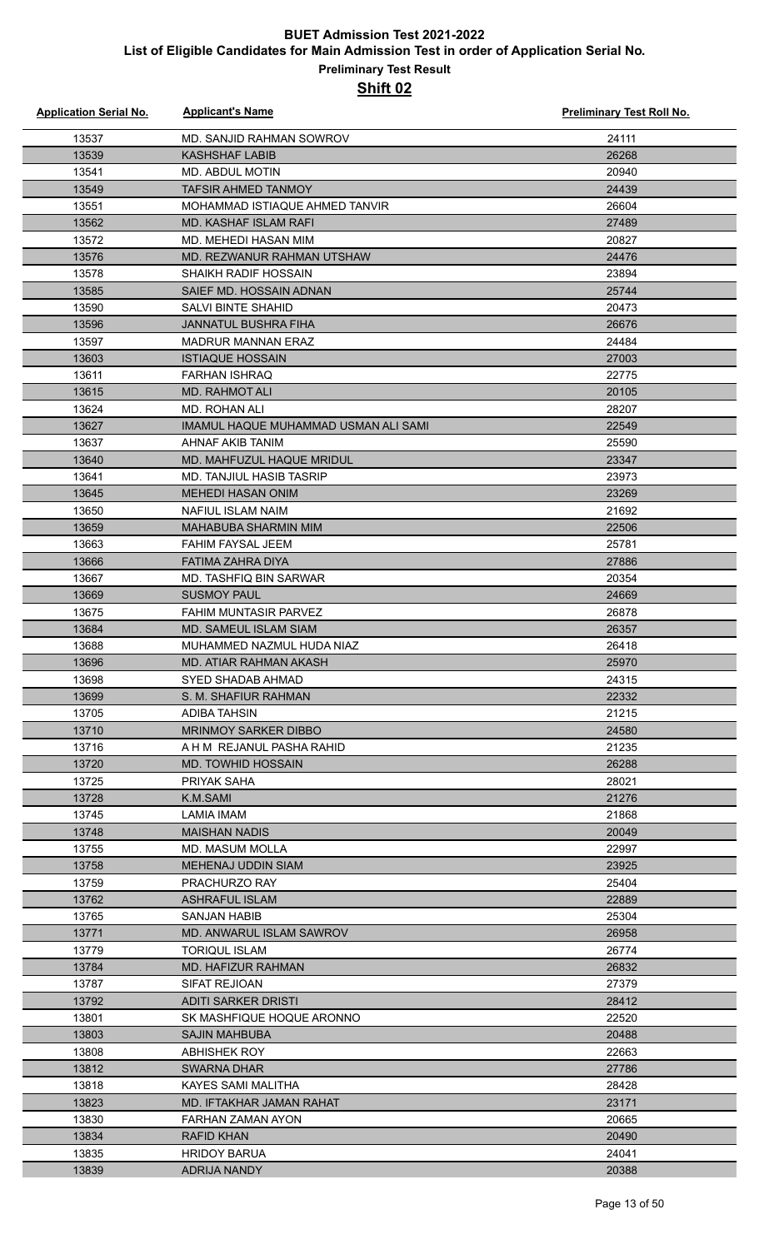## **Preliminary Test Result**

| <b>Application Serial No.</b> | <b>Applicant's Name</b>                      | <b>Preliminary Test Roll No.</b> |
|-------------------------------|----------------------------------------------|----------------------------------|
| 13537                         | MD. SANJID RAHMAN SOWROV                     | 24111                            |
| 13539                         | <b>KASHSHAF LABIB</b>                        | 26268                            |
| 13541                         | <b>MD. ABDUL MOTIN</b>                       | 20940                            |
| 13549                         | <b>TAFSIR AHMED TANMOY</b>                   | 24439                            |
| 13551                         | MOHAMMAD ISTIAQUE AHMED TANVIR               | 26604                            |
| 13562                         | MD. KASHAF ISLAM RAFI                        | 27489                            |
| 13572                         | MD. MEHEDI HASAN MIM                         | 20827                            |
| 13576                         | MD. REZWANUR RAHMAN UTSHAW                   | 24476                            |
| 13578                         | <b>SHAIKH RADIF HOSSAIN</b>                  | 23894                            |
| 13585                         | SAIEF MD. HOSSAIN ADNAN                      | 25744                            |
| 13590                         | <b>SALVI BINTE SHAHID</b>                    | 20473                            |
| 13596                         | JANNATUL BUSHRA FIHA                         | 26676                            |
| 13597                         | MADRUR MANNAN ERAZ                           | 24484                            |
| 13603                         | <b>ISTIAQUE HOSSAIN</b>                      | 27003                            |
| 13611                         | <b>FARHAN ISHRAQ</b>                         | 22775                            |
| 13615                         | <b>MD. RAHMOT ALI</b>                        | 20105                            |
| 13624                         | <b>MD. ROHAN ALI</b>                         | 28207                            |
| 13627                         | IMAMUL HAQUE MUHAMMAD USMAN ALI SAMI         | 22549                            |
| 13637                         | AHNAF AKIB TANIM                             | 25590                            |
| 13640                         | MD. MAHFUZUL HAQUE MRIDUL                    | 23347                            |
| 13641                         | <b>MD. TANJIUL HASIB TASRIP</b>              | 23973                            |
| 13645                         | <b>MEHEDI HASAN ONIM</b>                     | 23269                            |
| 13650                         | <b>NAFIUL ISLAM NAIM</b>                     | 21692                            |
| 13659                         | <b>MAHABUBA SHARMIN MIM</b>                  | 22506                            |
| 13663                         | FAHIM FAYSAL JEEM                            | 25781                            |
| 13666                         | FATIMA ZAHRA DIYA                            | 27886                            |
| 13667                         | MD. TASHFIQ BIN SARWAR                       | 20354                            |
| 13669                         | <b>SUSMOY PAUL</b>                           | 24669                            |
| 13675                         | <b>FAHIM MUNTASIR PARVEZ</b>                 | 26878                            |
| 13684                         | <b>MD. SAMEUL ISLAM SIAM</b>                 | 26357                            |
| 13688                         | MUHAMMED NAZMUL HUDA NIAZ                    | 26418                            |
| 13696                         | MD. ATIAR RAHMAN AKASH                       | 25970                            |
| 13698                         | <b>SYED SHADAB AHMAD</b>                     | 24315                            |
| 13699                         | S. M. SHAFIUR RAHMAN                         | 22332                            |
| 13705                         | ADIBA TAHSIN                                 | 21215                            |
| 13710                         | <b>MRINMOY SARKER DIBBO</b>                  | 24580                            |
| 13716                         | A H M REJANUL PASHA RAHID                    | 21235                            |
| 13720                         | <b>MD. TOWHID HOSSAIN</b>                    | 26288                            |
| 13725                         | PRIYAK SAHA                                  | 28021                            |
| 13728                         | K.M.SAMI                                     | 21276                            |
| 13745                         | LAMIA IMAM                                   | 21868                            |
| 13748                         | <b>MAISHAN NADIS</b>                         | 20049                            |
| 13755<br>13758                | <b>MD. MASUM MOLLA</b><br>MEHENAJ UDDIN SIAM | 22997<br>23925                   |
| 13759                         | <b>PRACHURZO RAY</b>                         | 25404                            |
| 13762                         | <b>ASHRAFUL ISLAM</b>                        | 22889                            |
| 13765                         | SANJAN HABIB                                 | 25304                            |
| 13771                         | MD. ANWARUL ISLAM SAWROV                     | 26958                            |
| 13779                         | <b>TORIQUL ISLAM</b>                         | 26774                            |
| 13784                         | MD. HAFIZUR RAHMAN                           | 26832                            |
| 13787                         | SIFAT REJIOAN                                | 27379                            |
| 13792                         | ADITI SARKER DRISTI                          | 28412                            |
| 13801                         | SK MASHFIQUE HOQUE ARONNO                    | 22520                            |
| 13803                         | <b>SAJIN MAHBUBA</b>                         | 20488                            |
| 13808                         | ABHISHEK ROY                                 | 22663                            |
| 13812                         | <b>SWARNA DHAR</b>                           | 27786                            |
| 13818                         | KAYES SAMI MALITHA                           | 28428                            |
| 13823                         | MD. IFTAKHAR JAMAN RAHAT                     | 23171                            |
| 13830                         | FARHAN ZAMAN AYON                            | 20665                            |
| 13834                         | <b>RAFID KHAN</b>                            | 20490                            |
| 13835                         | <b>HRIDOY BARUA</b>                          | 24041                            |
| 13839                         | <b>ADRIJA NANDY</b>                          | 20388                            |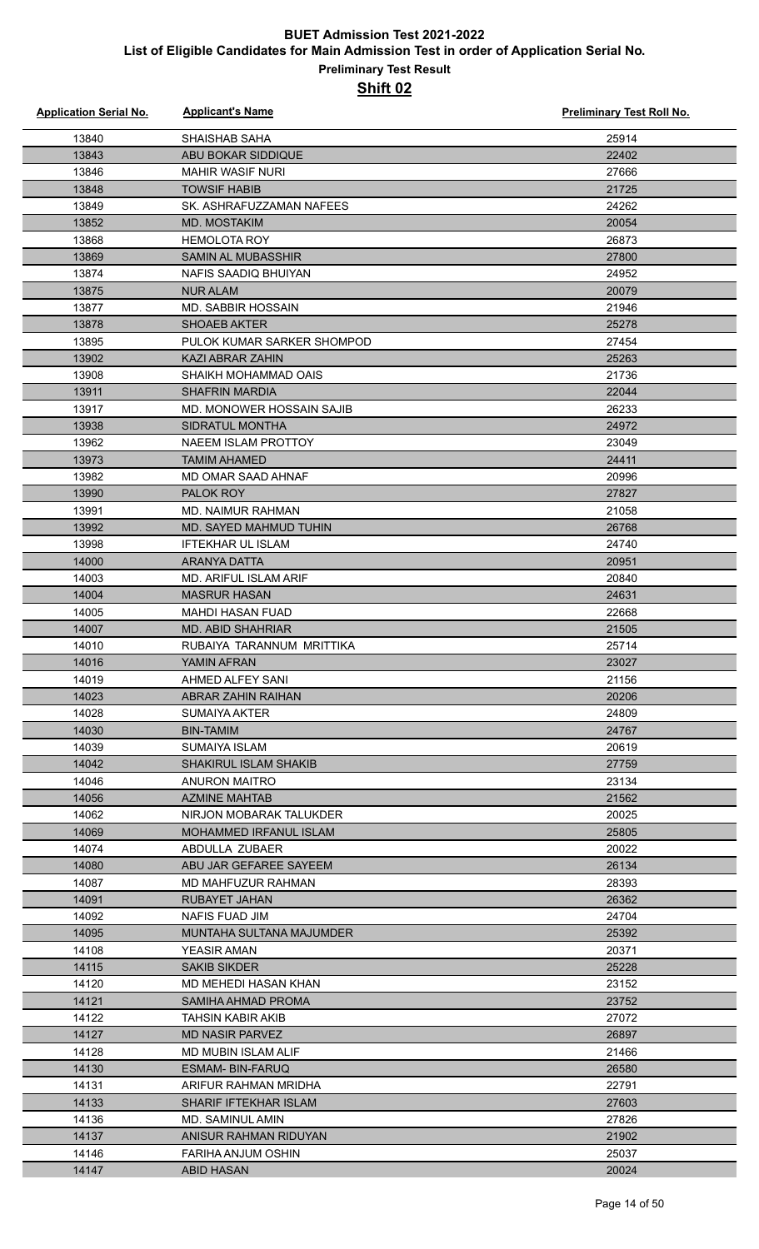| <b>Application Serial No.</b> | <b>Applicant's Name</b>                            | <b>Preliminary Test Roll No.</b> |
|-------------------------------|----------------------------------------------------|----------------------------------|
| 13840                         | <b>SHAISHAB SAHA</b>                               | 25914                            |
| 13843                         | ABU BOKAR SIDDIQUE                                 | 22402                            |
| 13846                         | <b>MAHIR WASIF NURI</b>                            | 27666                            |
| 13848                         | <b>TOWSIF HABIB</b>                                | 21725                            |
| 13849                         | SK. ASHRAFUZZAMAN NAFEES                           | 24262                            |
| 13852                         | <b>MD. MOSTAKIM</b>                                | 20054                            |
| 13868                         | <b>HEMOLOTA ROY</b>                                | 26873                            |
| 13869                         | <b>SAMIN AL MUBASSHIR</b>                          | 27800                            |
| 13874                         | NAFIS SAADIQ BHUIYAN                               | 24952                            |
| 13875                         | <b>NUR ALAM</b>                                    | 20079                            |
| 13877                         | <b>MD. SABBIR HOSSAIN</b>                          | 21946                            |
| 13878                         | <b>SHOAEB AKTER</b>                                | 25278                            |
| 13895                         | PULOK KUMAR SARKER SHOMPOD                         | 27454                            |
| 13902                         | <b>KAZI ABRAR ZAHIN</b>                            | 25263                            |
| 13908                         | SHAIKH MOHAMMAD OAIS                               | 21736                            |
| 13911                         | <b>SHAFRIN MARDIA</b>                              | 22044                            |
| 13917                         | MD. MONOWER HOSSAIN SAJIB                          | 26233                            |
| 13938                         | SIDRATUL MONTHA                                    | 24972                            |
| 13962                         | NAEEM ISLAM PROTTOY                                | 23049                            |
| 13973                         | <b>TAMIM AHAMED</b>                                | 24411                            |
| 13982                         | MD OMAR SAAD AHNAF                                 | 20996                            |
| 13990                         | PALOK ROY                                          | 27827                            |
| 13991                         | <b>MD. NAIMUR RAHMAN</b>                           | 21058                            |
| 13992                         | <b>MD. SAYED MAHMUD TUHIN</b>                      | 26768                            |
| 13998                         | <b>IFTEKHAR UL ISLAM</b>                           | 24740                            |
| 14000                         | ARANYA DATTA                                       | 20951                            |
| 14003                         | <b>MD. ARIFUL ISLAM ARIF</b>                       | 20840                            |
| 14004                         | <b>MASRUR HASAN</b>                                | 24631                            |
| 14005                         | <b>MAHDI HASAN FUAD</b>                            | 22668                            |
| 14007                         | <b>MD. ABID SHAHRIAR</b>                           | 21505                            |
| 14010                         | RUBAIYA TARANNUM MRITTIKA                          | 25714                            |
| 14016                         | YAMIN AFRAN                                        | 23027                            |
| 14019                         | AHMED ALFEY SANI                                   | 21156                            |
| 14023                         | ABRAR ZAHIN RAIHAN                                 | 20206                            |
| 14028                         | <b>SUMAIYA AKTER</b>                               | 24809                            |
| 14030                         | <b>BIN-TAMIM</b>                                   | 24767                            |
| 14039                         | SUMAIYA ISLAM                                      | 20619                            |
| 14042                         | <b>SHAKIRUL ISLAM SHAKIB</b>                       | 27759                            |
| 14046                         | ANURON MAITRO                                      | 23134                            |
| 14056                         | <b>AZMINE MAHTAB</b>                               | 21562                            |
| 14062                         | NIRJON MOBARAK TALUKDER                            | 20025                            |
| 14069                         | <b>MOHAMMED IRFANUL ISLAM</b>                      | 25805                            |
| 14074                         | ABDULLA ZUBAER                                     | 20022                            |
| 14080                         | ABU JAR GEFAREE SAYEEM                             | 26134                            |
| 14087                         | MD MAHFUZUR RAHMAN                                 | 28393                            |
| 14091                         | <b>RUBAYET JAHAN</b>                               | 26362                            |
| 14092                         | NAFIS FUAD JIM                                     | 24704                            |
| 14095                         | MUNTAHA SULTANA MAJUMDER                           | 25392                            |
| 14108                         | YEASIR AMAN                                        | 20371                            |
| 14115                         | <b>SAKIB SIKDER</b>                                | 25228                            |
| 14120                         | MD MEHEDI HASAN KHAN                               | 23152                            |
| 14121                         | SAMIHA AHMAD PROMA                                 | 23752                            |
| 14122<br>14127                | <b>TAHSIN KABIR AKIB</b><br><b>MD NASIR PARVEZ</b> | 27072<br>26897                   |
| 14128                         | MD MUBIN ISLAM ALIF                                | 21466                            |
| 14130                         | <b>ESMAM- BIN-FARUQ</b>                            | 26580                            |
| 14131                         | ARIFUR RAHMAN MRIDHA                               | 22791                            |
| 14133                         | <b>SHARIF IFTEKHAR ISLAM</b>                       | 27603                            |
| 14136                         | MD. SAMINUL AMIN                                   | 27826                            |
| 14137                         | ANISUR RAHMAN RIDUYAN                              | 21902                            |
| 14146                         | <b>FARIHA ANJUM OSHIN</b>                          | 25037                            |
| 14147                         | <b>ABID HASAN</b>                                  | 20024                            |
|                               |                                                    |                                  |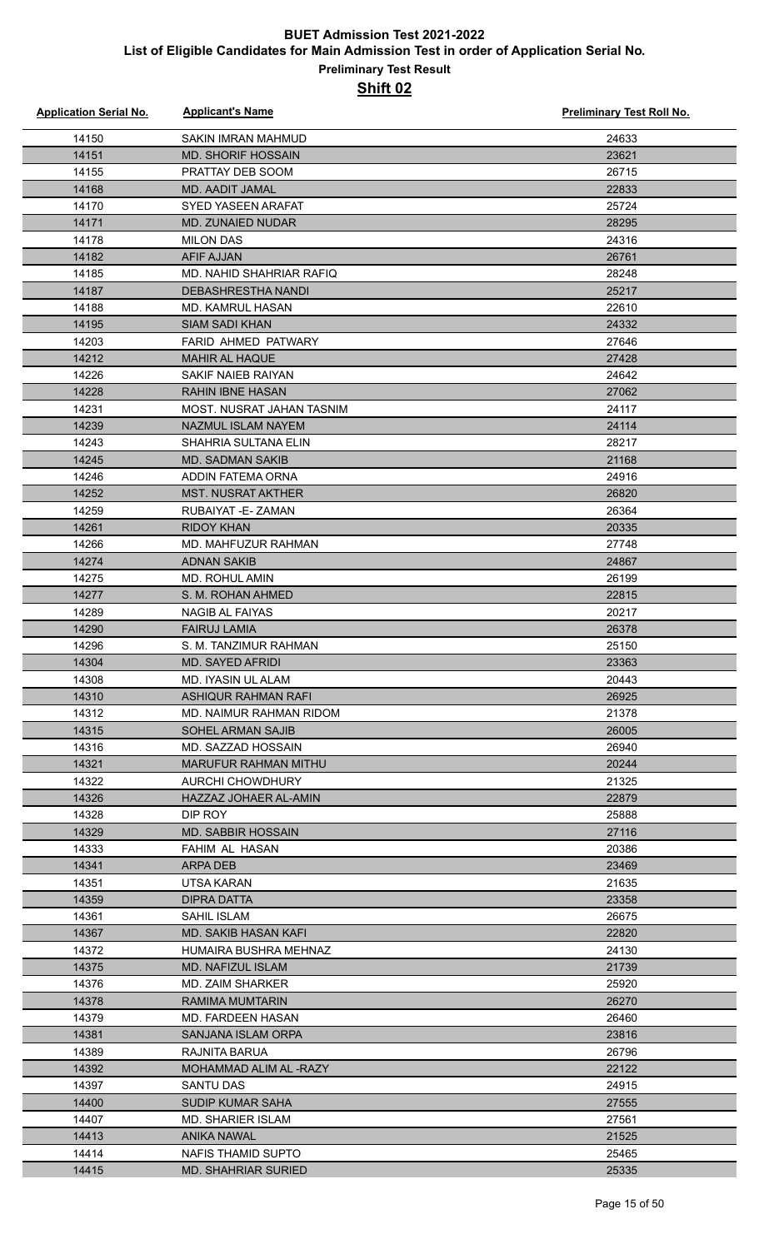| <b>Application Serial No.</b> | <b>Applicant's Name</b>                          | <b>Preliminary Test Roll No.</b> |
|-------------------------------|--------------------------------------------------|----------------------------------|
| 14150                         | <b>SAKIN IMRAN MAHMUD</b>                        | 24633                            |
| 14151                         | <b>MD. SHORIF HOSSAIN</b>                        | 23621                            |
| 14155                         | PRATTAY DEB SOOM                                 | 26715                            |
| 14168                         | <b>MD. AADIT JAMAL</b>                           | 22833                            |
| 14170                         | <b>SYED YASEEN ARAFAT</b>                        | 25724                            |
| 14171                         | MD. ZUNAIED NUDAR                                | 28295                            |
| 14178                         | <b>MILON DAS</b>                                 | 24316                            |
| 14182                         | <b>AFIF AJJAN</b>                                | 26761                            |
| 14185                         | MD. NAHID SHAHRIAR RAFIQ                         | 28248                            |
| 14187                         | <b>DEBASHRESTHA NANDI</b>                        | 25217                            |
| 14188                         | MD. KAMRUL HASAN                                 | 22610                            |
| 14195                         | <b>SIAM SADI KHAN</b>                            | 24332                            |
| 14203                         | FARID AHMED PATWARY                              | 27646                            |
| 14212                         | <b>MAHIR AL HAQUE</b>                            | 27428                            |
| 14226                         | SAKIF NAIEB RAIYAN                               | 24642                            |
| 14228                         | <b>RAHIN IBNE HASAN</b>                          | 27062                            |
| 14231                         | MOST. NUSRAT JAHAN TASNIM                        | 24117                            |
| 14239                         | NAZMUL ISLAM NAYEM                               | 24114                            |
| 14243                         | SHAHRIA SULTANA ELIN                             | 28217                            |
| 14245                         | <b>MD. SADMAN SAKIB</b>                          | 21168                            |
| 14246                         | ADDIN FATEMA ORNA                                | 24916                            |
| 14252                         | <b>MST. NUSRAT AKTHER</b>                        | 26820                            |
| 14259                         | RUBAIYAT - E - ZAMAN                             | 26364                            |
| 14261                         | <b>RIDOY KHAN</b>                                | 20335                            |
| 14266                         | MD. MAHFUZUR RAHMAN                              | 27748                            |
| 14274                         | <b>ADNAN SAKIB</b>                               | 24867                            |
| 14275                         | <b>MD. ROHUL AMIN</b>                            | 26199                            |
| 14277                         | S. M. ROHAN AHMED                                | 22815                            |
| 14289                         | NAGIB AL FAIYAS                                  | 20217                            |
| 14290                         | <b>FAIRUJ LAMIA</b>                              | 26378                            |
| 14296                         | S. M. TANZIMUR RAHMAN                            | 25150                            |
| 14304                         | MD. SAYED AFRIDI                                 | 23363                            |
| 14308                         | MD. IYASIN UL ALAM                               | 20443                            |
| 14310                         | ASHIQUR RAHMAN RAFI                              | 26925                            |
| 14312                         | MD. NAIMUR RAHMAN RIDOM                          | 21378                            |
| 14315                         | SOHEL ARMAN SAJIB                                | 26005                            |
| 14316                         | MD. SAZZAD HOSSAIN                               | 26940                            |
| 14321                         | <b>MARUFUR RAHMAN MITHU</b>                      | 20244                            |
| 14322                         | AURCHI CHOWDHURY                                 | 21325                            |
| 14326                         | HAZZAZ JOHAER AL-AMIN                            | 22879                            |
| 14328                         | DIP ROY                                          | 25888                            |
| 14329                         | <b>MD. SABBIR HOSSAIN</b>                        | 27116                            |
| 14333                         | FAHIM AL HASAN                                   | 20386                            |
| 14341                         | ARPA DEB                                         | 23469                            |
| 14351                         | UTSA KARAN                                       | 21635                            |
| 14359                         | DIPRA DATTA                                      | 23358                            |
| 14361                         | SAHIL ISLAM                                      | 26675                            |
| 14367                         | MD. SAKIB HASAN KAFI                             | 22820                            |
| 14372                         | HUMAIRA BUSHRA MEHNAZ                            | 24130                            |
| 14375                         | <b>MD. NAFIZUL ISLAM</b>                         | 21739                            |
| 14376                         | <b>MD. ZAIM SHARKER</b>                          | 25920                            |
| 14378                         | <b>RAMIMA MUMTARIN</b>                           | 26270                            |
| 14379                         | MD. FARDEEN HASAN                                | 26460                            |
| 14381                         | SANJANA ISLAM ORPA                               | 23816                            |
| 14389                         | RAJNITA BARUA                                    | 26796                            |
| 14392                         | MOHAMMAD ALIM AL-RAZY<br><b>SANTU DAS</b>        | 22122                            |
| 14397                         | <b>SUDIP KUMAR SAHA</b>                          | 24915                            |
| 14400                         | <b>MD. SHARIER ISLAM</b>                         | 27555                            |
| 14407                         |                                                  | 27561                            |
| 14413                         | <b>ANIKA NAWAL</b>                               | 21525                            |
| 14414                         | NAFIS THAMID SUPTO<br><b>MD. SHAHRIAR SURIED</b> | 25465                            |
| 14415                         |                                                  | 25335                            |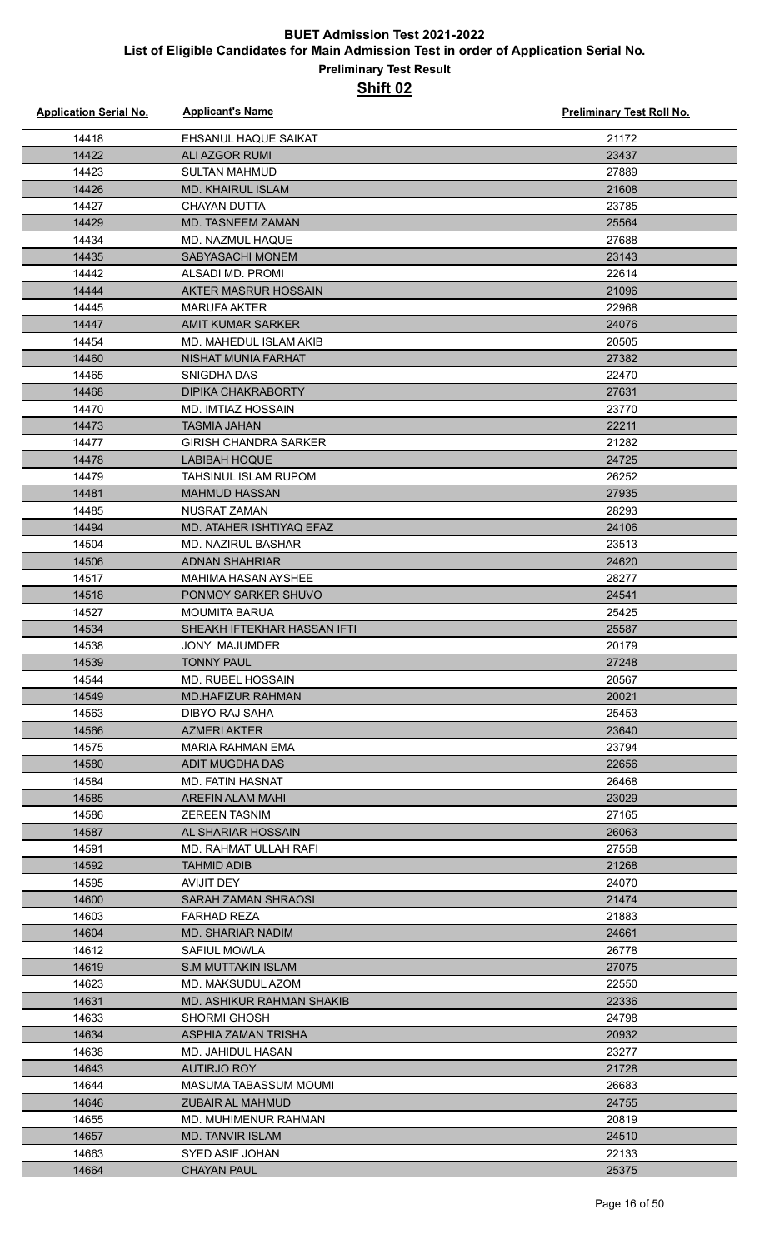| <b>Application Serial No.</b> | <b>Applicant's Name</b>                 | <b>Preliminary Test Roll No.</b> |
|-------------------------------|-----------------------------------------|----------------------------------|
| 14418                         | EHSANUL HAQUE SAIKAT                    | 21172                            |
| 14422                         | <b>ALI AZGOR RUMI</b>                   | 23437                            |
| 14423                         | <b>SULTAN MAHMUD</b>                    | 27889                            |
| 14426                         | <b>MD. KHAIRUL ISLAM</b>                | 21608                            |
| 14427                         | <b>CHAYAN DUTTA</b>                     | 23785                            |
| 14429                         | <b>MD. TASNEEM ZAMAN</b>                | 25564                            |
| 14434                         | MD. NAZMUL HAQUE                        | 27688                            |
| 14435                         | <b>SABYASACHI MONEM</b>                 | 23143                            |
| 14442                         | ALSADI MD. PROMI                        | 22614                            |
| 14444                         | AKTER MASRUR HOSSAIN                    | 21096                            |
| 14445                         | <b>MARUFA AKTER</b>                     | 22968                            |
| 14447                         | <b>AMIT KUMAR SARKER</b>                | 24076                            |
| 14454                         | MD. MAHEDUL ISLAM AKIB                  | 20505                            |
| 14460                         | NISHAT MUNIA FARHAT                     | 27382                            |
| 14465                         | SNIGDHA DAS                             | 22470                            |
| 14468                         | DIPIKA CHAKRABORTY                      | 27631                            |
| 14470                         | MD. IMTIAZ HOSSAIN                      | 23770                            |
| 14473                         | <b>TASMIA JAHAN</b>                     | 22211                            |
| 14477                         | GIRISH CHANDRA SARKER                   | 21282                            |
| 14478                         | <b>LABIBAH HOQUE</b>                    | 24725                            |
| 14479                         | <b>TAHSINUL ISLAM RUPOM</b>             | 26252                            |
| 14481                         | <b>MAHMUD HASSAN</b>                    | 27935                            |
| 14485                         | <b>NUSRAT ZAMAN</b>                     | 28293                            |
| 14494                         | MD. ATAHER ISHTIYAQ EFAZ                | 24106                            |
| 14504                         | <b>MD. NAZIRUL BASHAR</b>               | 23513                            |
| 14506                         | <b>ADNAN SHAHRIAR</b>                   | 24620                            |
| 14517                         | <b>MAHIMA HASAN AYSHEE</b>              | 28277                            |
| 14518                         | PONMOY SARKER SHUVO                     | 24541                            |
| 14527                         | <b>MOUMITA BARUA</b>                    | 25425                            |
| 14534                         | SHEAKH IFTEKHAR HASSAN IFTI             | 25587                            |
| 14538                         | <b>JONY MAJUMDER</b>                    | 20179                            |
| 14539                         | <b>TONNY PAUL</b>                       | 27248                            |
| 14544                         | <b>MD. RUBEL HOSSAIN</b>                | 20567                            |
| 14549                         | <b>MD.HAFIZUR RAHMAN</b>                | 20021                            |
| 14563                         | <b>DIBYO RAJ SAHA</b>                   | 25453                            |
| 14566                         | <b>AZMERI AKTER</b>                     | 23640                            |
| 14575                         | MARIA RAHMAN EMA                        | 23794                            |
| 14580                         | ADIT MUGDHA DAS                         | 22656                            |
| 14584                         | <b>MD. FATIN HASNAT</b>                 | 26468                            |
| 14585                         | AREFIN ALAM MAHI                        | 23029                            |
| 14586                         | <b>ZEREEN TASNIM</b>                    | 27165                            |
| 14587                         | AL SHARIAR HOSSAIN                      | 26063                            |
| 14591                         | MD. RAHMAT ULLAH RAFI                   | 27558                            |
| 14592                         | <b>TAHMID ADIB</b>                      | 21268                            |
| 14595                         | AVIJIT DEY                              | 24070                            |
| 14600                         | <b>SARAH ZAMAN SHRAOSI</b>              | 21474                            |
| 14603                         | <b>FARHAD REZA</b>                      | 21883                            |
| 14604                         | MD. SHARIAR NADIM                       | 24661<br>26778                   |
| 14612                         | SAFIUL MOWLA                            |                                  |
| 14619<br>14623                | S.M MUTTAKIN ISLAM<br>MD. MAKSUDUL AZOM | 27075<br>22550                   |
| 14631                         | MD. ASHIKUR RAHMAN SHAKIB               | 22336                            |
| 14633                         | <b>SHORMI GHOSH</b>                     | 24798                            |
| 14634                         | ASPHIA ZAMAN TRISHA                     | 20932                            |
| 14638                         | MD. JAHIDUL HASAN                       | 23277                            |
| 14643                         | <b>AUTIRJO ROY</b>                      | 21728                            |
| 14644                         | MASUMA TABASSUM MOUMI                   | 26683                            |
| 14646                         | <b>ZUBAIR AL MAHMUD</b>                 | 24755                            |
| 14655                         | MD. MUHIMENUR RAHMAN                    | 20819                            |
| 14657                         | <b>MD. TANVIR ISLAM</b>                 | 24510                            |
| 14663                         | SYED ASIF JOHAN                         | 22133                            |
| 14664                         | <b>CHAYAN PAUL</b>                      | 25375                            |
|                               |                                         |                                  |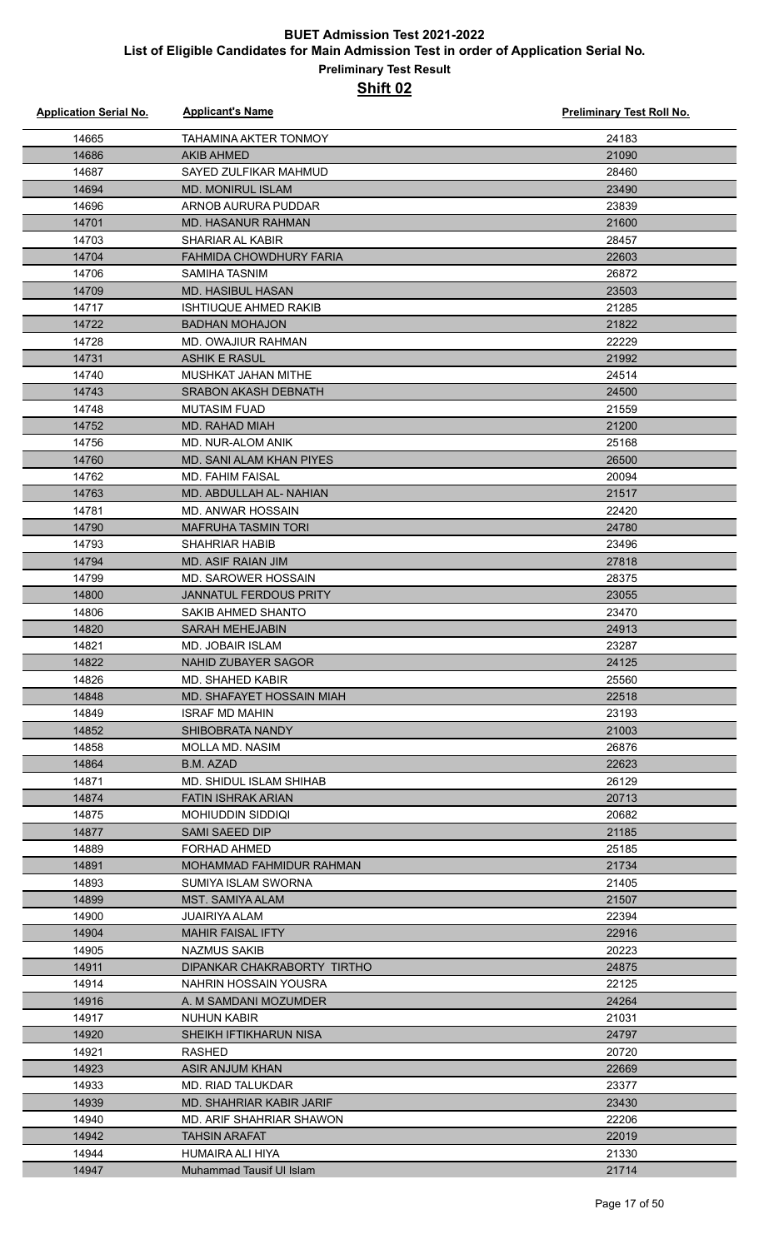| <b>Application Serial No.</b> | <b>Applicant's Name</b>                 | Preliminary Test Roll No. |
|-------------------------------|-----------------------------------------|---------------------------|
| 14665                         | TAHAMINA AKTER TONMOY                   | 24183                     |
| 14686                         | <b>AKIB AHMED</b>                       | 21090                     |
| 14687                         | SAYED ZULFIKAR MAHMUD                   | 28460                     |
| 14694                         | <b>MD. MONIRUL ISLAM</b>                | 23490                     |
| 14696                         | ARNOB AURURA PUDDAR                     | 23839                     |
| 14701                         | <b>MD. HASANUR RAHMAN</b>               | 21600                     |
| 14703                         | <b>SHARIAR AL KABIR</b>                 | 28457                     |
| 14704                         | <b>FAHMIDA CHOWDHURY FARIA</b>          | 22603                     |
| 14706                         | SAMIHA TASNIM                           | 26872                     |
| 14709                         | <b>MD. HASIBUL HASAN</b>                | 23503                     |
| 14717                         | <b>ISHTIUQUE AHMED RAKIB</b>            | 21285                     |
| 14722                         | <b>BADHAN MOHAJON</b>                   | 21822                     |
| 14728                         | MD. OWAJIUR RAHMAN                      | 22229                     |
| 14731                         | <b>ASHIK E RASUL</b>                    | 21992                     |
| 14740                         | MUSHKAT JAHAN MITHE                     | 24514                     |
| 14743                         | <b>SRABON AKASH DEBNATH</b>             | 24500                     |
| 14748                         | <b>MUTASIM FUAD</b>                     | 21559                     |
| 14752                         | <b>MD. RAHAD MIAH</b>                   | 21200                     |
| 14756                         | MD. NUR-ALOM ANIK                       | 25168                     |
| 14760                         | MD. SANI ALAM KHAN PIYES                | 26500                     |
| 14762                         | <b>MD. FAHIM FAISAL</b>                 | 20094                     |
| 14763                         | MD. ABDULLAH AL- NAHIAN                 | 21517                     |
| 14781                         | MD. ANWAR HOSSAIN                       | 22420                     |
| 14790                         | <b>MAFRUHA TASMIN TORI</b>              | 24780                     |
| 14793                         | SHAHRIAR HABIB                          | 23496                     |
| 14794                         | MD. ASIF RAIAN JIM                      | 27818                     |
| 14799                         | <b>MD. SAROWER HOSSAIN</b>              | 28375                     |
| 14800                         | <b>JANNATUL FERDOUS PRITY</b>           | 23055                     |
| 14806                         | SAKIB AHMED SHANTO                      | 23470                     |
| 14820                         | <b>SARAH MEHEJABIN</b>                  | 24913                     |
| 14821                         | <b>MD. JOBAIR ISLAM</b>                 | 23287                     |
| 14822                         | <b>NAHID ZUBAYER SAGOR</b>              | 24125                     |
| 14826                         | MD. SHAHED KABIR                        | 25560                     |
| 14848                         | MD. SHAFAYET HOSSAIN MIAH               | 22518                     |
| 14849                         | <b>ISRAF MD MAHIN</b>                   | 23193                     |
| 14852                         | SHIBOBRATA NANDY                        | 21003                     |
| 14858                         | MOLLA MD. NASIM                         | 26876                     |
| 14864                         | B.M. AZAD                               | 22623                     |
| 14871                         | MD. SHIDUL ISLAM SHIHAB                 | 26129                     |
| 14874                         | <b>FATIN ISHRAK ARIAN</b>               | 20713                     |
| 14875                         | <b>MOHIUDDIN SIDDIQI</b>                | 20682                     |
| 14877                         | SAMI SAEED DIP                          | 21185                     |
| 14889                         | FORHAD AHMED                            | 25185                     |
| 14891                         | <b>MOHAMMAD FAHMIDUR RAHMAN</b>         | 21734                     |
| 14893                         | SUMIYA ISLAM SWORNA                     | 21405                     |
| 14899                         | MST. SAMIYA ALAM                        | 21507                     |
| 14900                         | <b>JUAIRIYA ALAM</b>                    | 22394                     |
| 14904                         | <b>MAHIR FAISAL IFTY</b>                | 22916                     |
| 14905                         | NAZMUS SAKIB                            | 20223                     |
| 14911                         | DIPANKAR CHAKRABORTY TIRTHO             | 24875                     |
| 14914                         | NAHRIN HOSSAIN YOUSRA                   | 22125                     |
| 14916                         | A. M SAMDANI MOZUMDER                   | 24264                     |
| 14917                         | NUHUN KABIR                             | 21031                     |
| 14920<br>14921                | SHEIKH IFTIKHARUN NISA<br><b>RASHED</b> | 24797<br>20720            |
| 14923                         | <b>ASIR ANJUM KHAN</b>                  | 22669                     |
| 14933                         | MD. RIAD TALUKDAR                       | 23377                     |
| 14939                         | MD. SHAHRIAR KABIR JARIF                | 23430                     |
| 14940                         | MD. ARIF SHAHRIAR SHAWON                | 22206                     |
| 14942                         | TAHSIN ARAFAT                           | 22019                     |
| 14944                         | HUMAIRA ALI HIYA                        | 21330                     |
| 14947                         | Muhammad Tausif UI Islam                | 21714                     |
|                               |                                         |                           |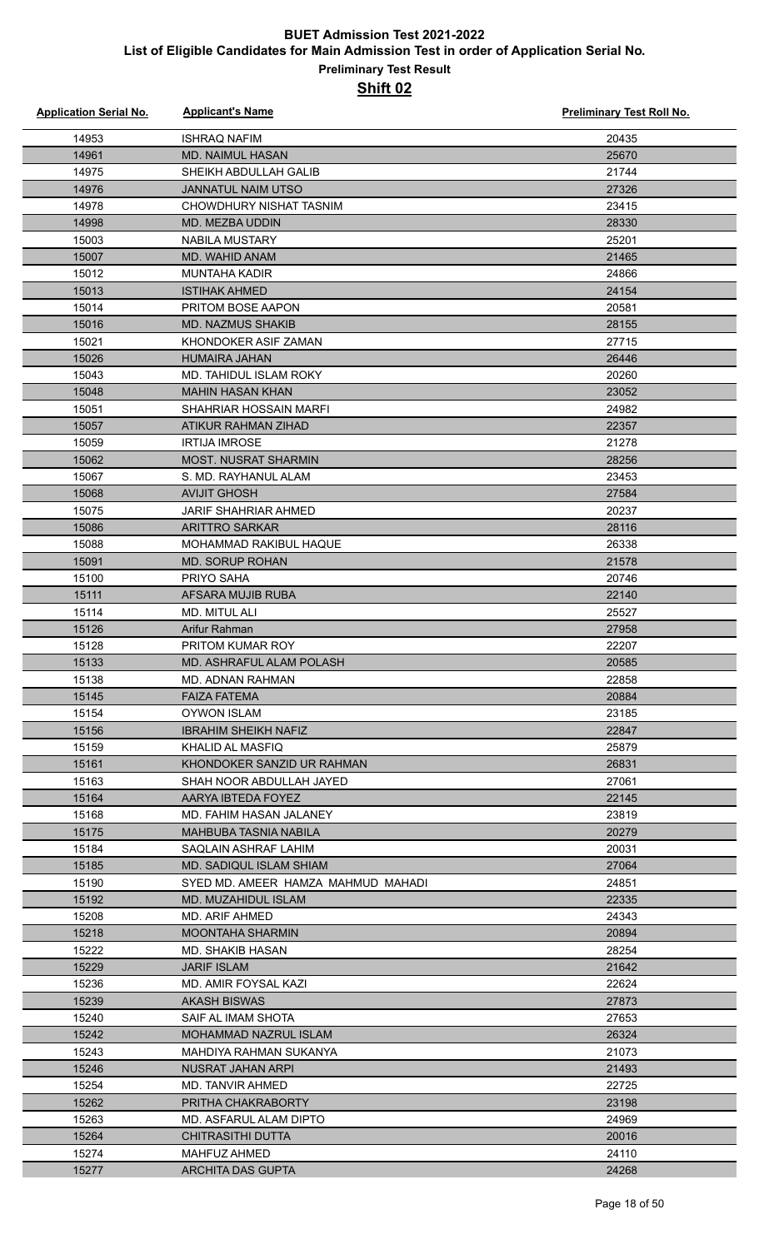| <b>Application Serial No.</b> | <b>Applicant's Name</b>                     | <b>Preliminary Test Roll No.</b> |
|-------------------------------|---------------------------------------------|----------------------------------|
| 14953                         | <b>ISHRAQ NAFIM</b>                         | 20435                            |
| 14961                         | <b>MD. NAIMUL HASAN</b>                     | 25670                            |
| 14975                         | SHEIKH ABDULLAH GALIB                       | 21744                            |
| 14976                         | <b>JANNATUL NAIM UTSO</b>                   | 27326                            |
| 14978                         | CHOWDHURY NISHAT TASNIM                     | 23415                            |
| 14998                         | MD. MEZBA UDDIN                             | 28330                            |
| 15003                         | <b>NABILA MUSTARY</b>                       | 25201                            |
| 15007                         | MD. WAHID ANAM                              | 21465                            |
| 15012                         | MUNTAHA KADIR                               | 24866                            |
| 15013                         | <b>ISTIHAK AHMED</b>                        | 24154                            |
| 15014                         | PRITOM BOSE AAPON                           | 20581                            |
| 15016                         | <b>MD. NAZMUS SHAKIB</b>                    | 28155                            |
| 15021                         | KHONDOKER ASIF ZAMAN                        | 27715                            |
| 15026                         | <b>HUMAIRA JAHAN</b>                        | 26446                            |
| 15043                         | MD. TAHIDUL ISLAM ROKY                      | 20260                            |
| 15048                         | <b>MAHIN HASAN KHAN</b>                     | 23052                            |
| 15051                         | <b>SHAHRIAR HOSSAIN MARFI</b>               | 24982                            |
| 15057                         | ATIKUR RAHMAN ZIHAD                         | 22357                            |
| 15059                         | <b>IRTIJA IMROSE</b>                        | 21278                            |
| 15062                         | <b>MOST. NUSRAT SHARMIN</b>                 | 28256                            |
| 15067                         | S. MD. RAYHANUL ALAM                        | 23453                            |
| 15068                         | <b>AVIJIT GHOSH</b>                         | 27584                            |
| 15075                         | <b>JARIF SHAHRIAR AHMED</b>                 | 20237                            |
| 15086                         | <b>ARITTRO SARKAR</b>                       | 28116                            |
| 15088                         | MOHAMMAD RAKIBUL HAQUE                      | 26338                            |
| 15091<br>15100                | <b>MD. SORUP ROHAN</b><br>PRIYO SAHA        | 21578<br>20746                   |
| 15111                         | AFSARA MUJIB RUBA                           | 22140                            |
| 15114                         | MD. MITUL ALI                               | 25527                            |
| 15126                         | Arifur Rahman                               | 27958                            |
| 15128                         | PRITOM KUMAR ROY                            | 22207                            |
| 15133                         | MD. ASHRAFUL ALAM POLASH                    | 20585                            |
| 15138                         | <b>MD. ADNAN RAHMAN</b>                     | 22858                            |
| 15145                         | <b>FAIZA FATEMA</b>                         | 20884                            |
| 15154                         | <b>OYWON ISLAM</b>                          | 23185                            |
| 15156                         | <b>IBRAHIM SHEIKH NAFIZ</b>                 | 22847                            |
| 15159                         | <b>KHALID AL MASFIQ</b>                     | 25879                            |
| 15161                         | KHONDOKER SANZID UR RAHMAN                  | 26831                            |
| 15163                         | SHAH NOOR ABDULLAH JAYED                    | 27061                            |
| 15164                         | AARYA IBTEDA FOYEZ                          | 22145                            |
| 15168                         | MD. FAHIM HASAN JALANEY                     | 23819                            |
| 15175                         | MAHBUBA TASNIA NABILA                       | 20279                            |
| 15184                         | SAQLAIN ASHRAF LAHIM                        | 20031                            |
| 15185                         | MD. SADIQUL ISLAM SHIAM                     | 27064                            |
| 15190                         | SYED MD. AMEER HAMZA MAHMUD MAHADI          | 24851                            |
| 15192                         | MD. MUZAHIDUL ISLAM                         | 22335                            |
| 15208                         | MD. ARIF AHMED                              | 24343                            |
| 15218<br>15222                | <b>MOONTAHA SHARMIN</b><br>MD. SHAKIB HASAN | 20894<br>28254                   |
| 15229                         | <b>JARIF ISLAM</b>                          | 21642                            |
| 15236                         | MD. AMIR FOYSAL KAZI                        | 22624                            |
| 15239                         | AKASH BISWAS                                | 27873                            |
| 15240                         | SAIF AL IMAM SHOTA                          | 27653                            |
| 15242                         | MOHAMMAD NAZRUL ISLAM                       | 26324                            |
| 15243                         | MAHDIYA RAHMAN SUKANYA                      | 21073                            |
| 15246                         | NUSRAT JAHAN ARPI                           | 21493                            |
| 15254                         | MD. TANVIR AHMED                            | 22725                            |
| 15262                         | PRITHA CHAKRABORTY                          | 23198                            |
| 15263                         | MD. ASFARUL ALAM DIPTO                      | 24969                            |
| 15264                         | <b>CHITRASITHI DUTTA</b>                    | 20016                            |
| 15274                         | MAHFUZ AHMED                                | 24110                            |
| 15277                         | <b>ARCHITA DAS GUPTA</b>                    | 24268                            |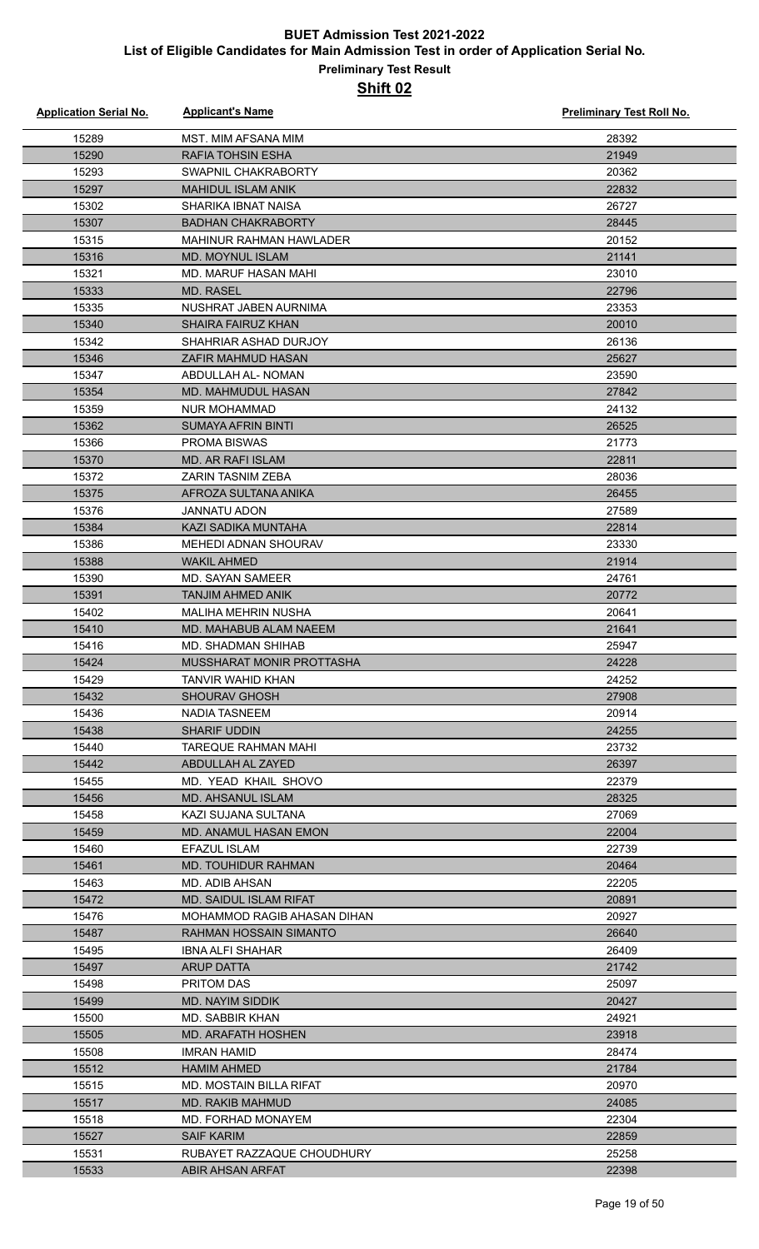| <b>Application Serial No.</b> | <b>Applicant's Name</b>                              | <b>Preliminary Test Roll No.</b> |
|-------------------------------|------------------------------------------------------|----------------------------------|
| 15289                         | MST. MIM AFSANA MIM                                  | 28392                            |
| 15290                         | <b>RAFIA TOHSIN ESHA</b>                             | 21949                            |
| 15293                         | SWAPNIL CHAKRABORTY                                  | 20362                            |
| 15297                         | <b>MAHIDUL ISLAM ANIK</b>                            | 22832                            |
| 15302                         | SHARIKA IBNAT NAISA                                  | 26727                            |
| 15307                         | <b>BADHAN CHAKRABORTY</b>                            | 28445                            |
| 15315                         | <b>MAHINUR RAHMAN HAWLADER</b>                       | 20152                            |
| 15316                         | MD. MOYNUL ISLAM                                     | 21141                            |
| 15321                         | MD. MARUF HASAN MAHI                                 | 23010                            |
| 15333                         | <b>MD. RASEL</b>                                     | 22796                            |
| 15335                         | NUSHRAT JABEN AURNIMA                                | 23353                            |
| 15340                         | <b>SHAIRA FAIRUZ KHAN</b>                            | 20010                            |
| 15342                         | SHAHRIAR ASHAD DURJOY                                | 26136                            |
| 15346                         | <b>ZAFIR MAHMUD HASAN</b>                            | 25627                            |
| 15347                         | ABDULLAH AL- NOMAN                                   | 23590                            |
| 15354                         | MD. MAHMUDUL HASAN                                   | 27842                            |
| 15359                         | <b>NUR MOHAMMAD</b>                                  | 24132                            |
| 15362                         | <b>SUMAYA AFRIN BINTI</b>                            | 26525                            |
| 15366                         | PROMA BISWAS                                         | 21773                            |
| 15370                         | <b>MD. AR RAFI ISLAM</b>                             | 22811                            |
| 15372                         | ZARIN TASNIM ZEBA                                    | 28036                            |
| 15375                         | AFROZA SULTANA ANIKA                                 | 26455                            |
| 15376                         | <b>JANNATU ADON</b>                                  | 27589                            |
| 15384                         | KAZI SADIKA MUNTAHA                                  | 22814                            |
| 15386                         | <b>MEHEDI ADNAN SHOURAV</b>                          | 23330                            |
| 15388                         | <b>WAKIL AHMED</b>                                   | 21914                            |
| 15390                         | <b>MD. SAYAN SAMEER</b>                              | 24761                            |
| 15391                         | <b>TANJIM AHMED ANIK</b>                             | 20772                            |
| 15402                         | <b>MALIHA MEHRIN NUSHA</b><br>MD. MAHABUB ALAM NAEEM | 20641                            |
| 15410                         | <b>MD. SHADMAN SHIHAB</b>                            | 21641<br>25947                   |
| 15416<br>15424                | MUSSHARAT MONIR PROTTASHA                            | 24228                            |
| 15429                         | TANVIR WAHID KHAN                                    | 24252                            |
| 15432                         | <b>SHOURAV GHOSH</b>                                 | 27908                            |
| 15436                         | NADIA TASNEEM                                        | 20914                            |
| 15438                         | <b>SHARIF UDDIN</b>                                  | 24255                            |
| 15440                         | <b>TAREQUE RAHMAN MAHI</b>                           | 23732                            |
| 15442                         | ABDULLAH AL ZAYED                                    | 26397                            |
| 15455                         | MD. YEAD KHAIL SHOVO                                 | 22379                            |
| 15456                         | MD. AHSANUL ISLAM                                    | 28325                            |
| 15458                         | KAZI SUJANA SULTANA                                  | 27069                            |
| 15459                         | <b>MD. ANAMUL HASAN EMON</b>                         | 22004                            |
| 15460                         | EFAZUL ISLAM                                         | 22739                            |
| 15461                         | <b>MD. TOUHIDUR RAHMAN</b>                           | 20464                            |
| 15463                         | MD. ADIB AHSAN                                       | 22205                            |
| 15472                         | <b>MD. SAIDUL ISLAM RIFAT</b>                        | 20891                            |
| 15476                         | MOHAMMOD RAGIB AHASAN DIHAN                          | 20927                            |
| 15487                         | RAHMAN HOSSAIN SIMANTO                               | 26640                            |
| 15495                         | <b>IBNA ALFI SHAHAR</b>                              | 26409                            |
| 15497                         | <b>ARUP DATTA</b>                                    | 21742                            |
| 15498                         | PRITOM DAS                                           | 25097                            |
| 15499                         | MD. NAYIM SIDDIK                                     | 20427                            |
| 15500                         | MD. SABBIR KHAN                                      | 24921                            |
| 15505                         | MD. ARAFATH HOSHEN                                   | 23918                            |
| 15508                         | <b>IMRAN HAMID</b>                                   | 28474                            |
| 15512                         | <b>HAMIM AHMED</b>                                   | 21784                            |
| 15515                         | <b>MD. MOSTAIN BILLA RIFAT</b>                       | 20970                            |
| 15517                         | MD. RAKIB MAHMUD<br>MD. FORHAD MONAYEM               | 24085<br>22304                   |
| 15518                         |                                                      |                                  |
| 15527<br>15531                | <b>SAIF KARIM</b><br>RUBAYET RAZZAQUE CHOUDHURY      | 22859<br>25258                   |
| 15533                         | ABIR AHSAN ARFAT                                     | 22398                            |
|                               |                                                      |                                  |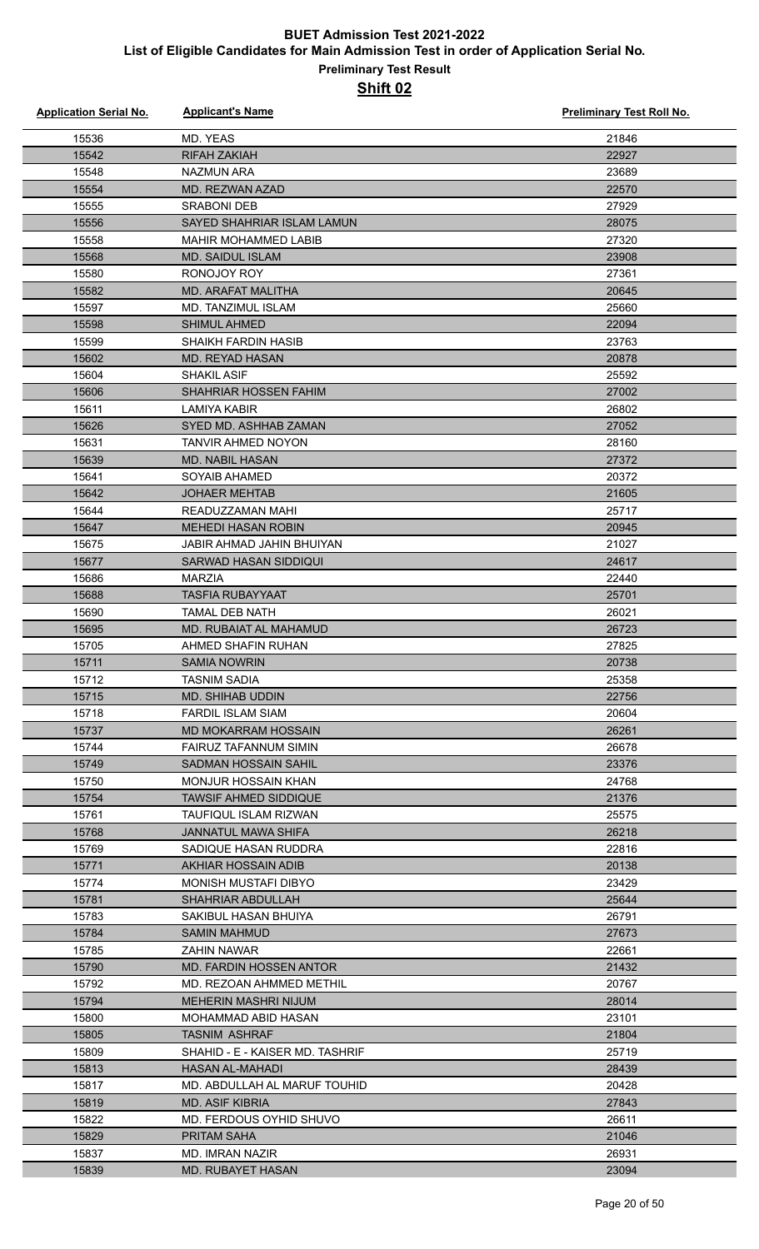| <b>Application Serial No.</b> | <b>Applicant's Name</b>          | <b>Preliminary Test Roll No.</b> |
|-------------------------------|----------------------------------|----------------------------------|
| 15536                         | MD. YEAS                         | 21846                            |
| 15542                         | <b>RIFAH ZAKIAH</b>              | 22927                            |
| 15548                         | <b>NAZMUN ARA</b>                | 23689                            |
| 15554                         | <b>MD. REZWAN AZAD</b>           | 22570                            |
| 15555                         | <b>SRABONI DEB</b>               | 27929                            |
| 15556                         | SAYED SHAHRIAR ISLAM LAMUN       | 28075                            |
| 15558                         | <b>MAHIR MOHAMMED LABIB</b>      | 27320                            |
| 15568                         | <b>MD. SAIDUL ISLAM</b>          | 23908                            |
| 15580                         | RONOJOY ROY                      | 27361                            |
| 15582                         | MD. ARAFAT MALITHA               | 20645                            |
| 15597                         | <b>MD. TANZIMUL ISLAM</b>        | 25660                            |
| 15598                         | <b>SHIMUL AHMED</b>              | 22094                            |
| 15599                         | <b>SHAIKH FARDIN HASIB</b>       | 23763                            |
| 15602                         | <b>MD. REYAD HASAN</b>           | 20878                            |
| 15604                         | <b>SHAKIL ASIF</b>               | 25592                            |
| 15606                         | <b>SHAHRIAR HOSSEN FAHIM</b>     | 27002                            |
| 15611                         | <b>LAMIYA KABIR</b>              | 26802                            |
| 15626                         | SYED MD. ASHHAB ZAMAN            | 27052                            |
| 15631                         | <b>TANVIR AHMED NOYON</b>        | 28160                            |
| 15639                         | <b>MD. NABIL HASAN</b>           | 27372                            |
| 15641                         | <b>SOYAIB AHAMED</b>             | 20372                            |
| 15642                         | <b>JOHAER MEHTAB</b>             | 21605                            |
| 15644                         | READUZZAMAN MAHI                 | 25717                            |
| 15647                         | <b>MEHEDI HASAN ROBIN</b>        | 20945                            |
| 15675                         | <b>JABIR AHMAD JAHIN BHUIYAN</b> | 21027                            |
| 15677                         | SARWAD HASAN SIDDIQUI            | 24617                            |
| 15686                         | <b>MARZIA</b>                    | 22440                            |
| 15688                         | <b>TASFIA RUBAYYAAT</b>          | 25701                            |
| 15690                         | <b>TAMAL DEB NATH</b>            | 26021                            |
| 15695                         | MD. RUBAIAT AL MAHAMUD           | 26723                            |
| 15705                         | AHMED SHAFIN RUHAN               | 27825                            |
| 15711                         | <b>SAMIA NOWRIN</b>              | 20738                            |
| 15712                         | TASNIM SADIA                     | 25358                            |
| 15715                         | <b>MD. SHIHAB UDDIN</b>          | 22756                            |
| 15718                         | <b>FARDIL ISLAM SIAM</b>         | 20604                            |
| 15737                         | <b>MD MOKARRAM HOSSAIN</b>       | 26261                            |
| 15744                         | FAIRUZ TAFANNUM SIMIN            | 26678                            |
| 15749                         | SADMAN HOSSAIN SAHIL             | 23376                            |
| 15750                         | <b>MONJUR HOSSAIN KHAN</b>       | 24768                            |
| 15754                         | <b>TAWSIF AHMED SIDDIQUE</b>     | 21376                            |
| 15761                         | <b>TAUFIQUL ISLAM RIZWAN</b>     | 25575                            |
| 15768                         | <b>JANNATUL MAWA SHIFA</b>       | 26218                            |
| 15769                         | SADIQUE HASAN RUDDRA             | 22816                            |
| 15771                         | AKHIAR HOSSAIN ADIB              | 20138                            |
| 15774                         | <b>MONISH MUSTAFI DIBYO</b>      | 23429                            |
| 15781                         | <b>SHAHRIAR ABDULLAH</b>         | 25644                            |
| 15783                         | SAKIBUL HASAN BHUIYA             | 26791                            |
| 15784                         | <b>SAMIN MAHMUD</b>              | 27673                            |
| 15785                         | <b>ZAHIN NAWAR</b>               | 22661                            |
| 15790                         | <b>MD. FARDIN HOSSEN ANTOR</b>   | 21432                            |
| 15792                         | MD. REZOAN AHMMED METHIL         | 20767                            |
| 15794                         | MEHERIN MASHRI NIJUM             | 28014                            |
| 15800                         | MOHAMMAD ABID HASAN              | 23101                            |
| 15805                         | <b>TASNIM ASHRAF</b>             | 21804                            |
| 15809                         | SHAHID - E - KAISER MD. TASHRIF  | 25719                            |
| 15813                         | HASAN AL-MAHADI                  | 28439                            |
| 15817                         | MD. ABDULLAH AL MARUF TOUHID     | 20428                            |
| 15819                         | <b>MD. ASIF KIBRIA</b>           | 27843                            |
| 15822                         | MD. FERDOUS OYHID SHUVO          | 26611                            |
| 15829                         | <b>PRITAM SAHA</b>               | 21046                            |
| 15837                         | MD. IMRAN NAZIR                  | 26931                            |
| 15839                         | <b>MD. RUBAYET HASAN</b>         | 23094                            |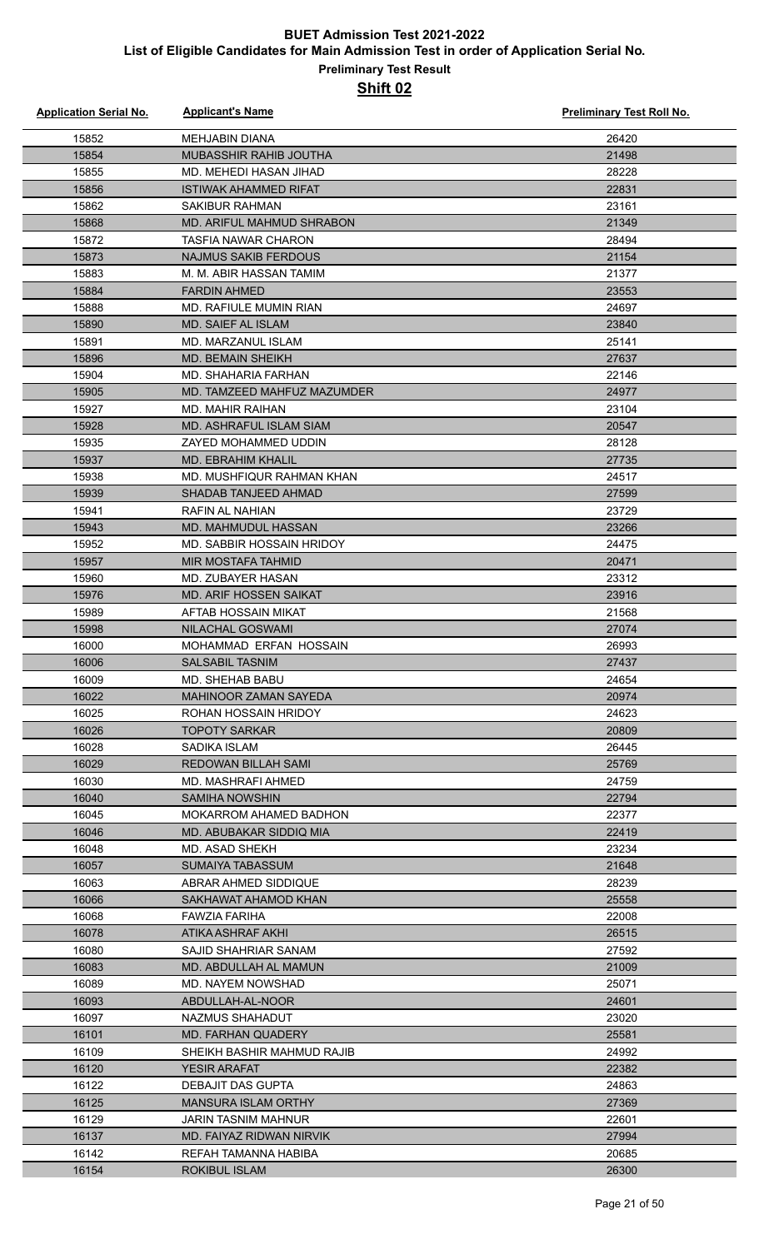#### **Preliminary Test Result Shift 02**

| <b>Application Serial No.</b> | <b>Applicant's Name</b>                          | <b>Preliminary Test Roll No.</b> |
|-------------------------------|--------------------------------------------------|----------------------------------|
| 15852                         | <b>MEHJABIN DIANA</b>                            | 26420                            |
| 15854                         | MUBASSHIR RAHIB JOUTHA                           | 21498                            |
| 15855                         | MD. MEHEDI HASAN JIHAD                           | 28228                            |
| 15856                         | <b>ISTIWAK AHAMMED RIFAT</b>                     | 22831                            |
| 15862                         | SAKIBUR RAHMAN                                   | 23161                            |
| 15868                         | <b>MD. ARIFUL MAHMUD SHRABON</b>                 | 21349                            |
| 15872                         | <b>TASFIA NAWAR CHARON</b>                       | 28494                            |
| 15873                         | <b>NAJMUS SAKIB FERDOUS</b>                      | 21154                            |
| 15883                         | M. M. ABIR HASSAN TAMIM                          | 21377                            |
| 15884                         | <b>FARDIN AHMED</b>                              | 23553                            |
| 15888                         | MD. RAFIULE MUMIN RIAN                           | 24697                            |
| 15890                         | MD. SAIEF AL ISLAM                               | 23840                            |
| 15891                         | MD. MARZANUL ISLAM                               | 25141                            |
| 15896                         | MD. BEMAIN SHEIKH                                | 27637                            |
| 15904                         | MD. SHAHARIA FARHAN                              | 22146                            |
| 15905                         | MD. TAMZEED MAHFUZ MAZUMDER                      | 24977                            |
| 15927                         | <b>MD. MAHIR RAIHAN</b>                          | 23104                            |
| 15928                         | <b>MD. ASHRAFUL ISLAM SIAM</b>                   | 20547                            |
| 15935                         | ZAYED MOHAMMED UDDIN                             | 28128                            |
| 15937                         | <b>MD. EBRAHIM KHALIL</b>                        | 27735                            |
| 15938                         | MD. MUSHFIQUR RAHMAN KHAN                        | 24517                            |
| 15939                         | SHADAB TANJEED AHMAD                             | 27599                            |
| 15941                         | <b>RAFIN AL NAHIAN</b>                           | 23729                            |
| 15943                         | <b>MD. MAHMUDUL HASSAN</b>                       | 23266                            |
| 15952                         | MD. SABBIR HOSSAIN HRIDOY                        | 24475                            |
| 15957                         | <b>MIR MOSTAFA TAHMID</b>                        | 20471                            |
| 15960                         | MD. ZUBAYER HASAN                                | 23312                            |
| 15976                         | <b>MD. ARIF HOSSEN SAIKAT</b>                    | 23916                            |
| 15989                         | AFTAB HOSSAIN MIKAT                              | 21568                            |
| 15998                         | NILACHAL GOSWAMI                                 | 27074                            |
| 16000<br>16006                | MOHAMMAD ERFAN HOSSAIN<br>SALSABIL TASNIM        | 26993<br>27437                   |
| 16009                         | MD. SHEHAB BABU                                  | 24654                            |
| 16022                         | MAHINOOR ZAMAN SAYEDA                            | 20974                            |
| 16025                         | ROHAN HOSSAIN HRIDOY                             | 24623                            |
| 16026                         | TOPOTY SARKAR                                    | 20809                            |
| 16028                         | SADIKA ISLAM                                     | 26445                            |
| 16029                         | REDOWAN BILLAH SAMI                              | 25769                            |
| 16030                         | MD. MASHRAFI AHMED                               | 24759                            |
| 16040                         | <b>SAMIHA NOWSHIN</b>                            | 22794                            |
| 16045                         | MOKARROM AHAMED BADHON                           | 22377                            |
| 16046                         | MD. ABUBAKAR SIDDIQ MIA                          | 22419                            |
| 16048                         | MD. ASAD SHEKH                                   | 23234                            |
| 16057                         | SUMAIYA TABASSUM                                 | 21648                            |
| 16063                         | ABRAR AHMED SIDDIQUE                             | 28239                            |
| 16066                         | SAKHAWAT AHAMOD KHAN                             | 25558                            |
| 16068                         | FAWZIA FARIHA                                    | 22008                            |
| 16078                         | ATIKA ASHRAF AKHI                                | 26515                            |
| 16080                         | SAJID SHAHRIAR SANAM                             | 27592                            |
| 16083                         | MD. ABDULLAH AL MAMUN                            | 21009                            |
| 16089                         | MD. NAYEM NOWSHAD                                | 25071                            |
| 16093                         | ABDULLAH-AL-NOOR                                 | 24601                            |
| 16097                         | NAZMUS SHAHADUT                                  | 23020                            |
| 16101                         | MD. FARHAN QUADERY                               | 25581                            |
| 16109                         | SHEIKH BASHIR MAHMUD RAJIB                       | 24992                            |
| 16120                         | YESIR ARAFAT                                     | 22382                            |
| 16122                         | DEBAJIT DAS GUPTA                                | 24863                            |
| 16125                         | <b>MANSURA ISLAM ORTHY</b>                       | 27369                            |
| 16129                         | <b>JARIN TASNIM MAHNUR</b>                       | 22601                            |
| 16137<br>16142                | MD. FAIYAZ RIDWAN NIRVIK<br>REFAH TAMANNA HABIBA | 27994<br>20685                   |
| 16154                         | <b>ROKIBUL ISLAM</b>                             | 26300                            |
|                               |                                                  |                                  |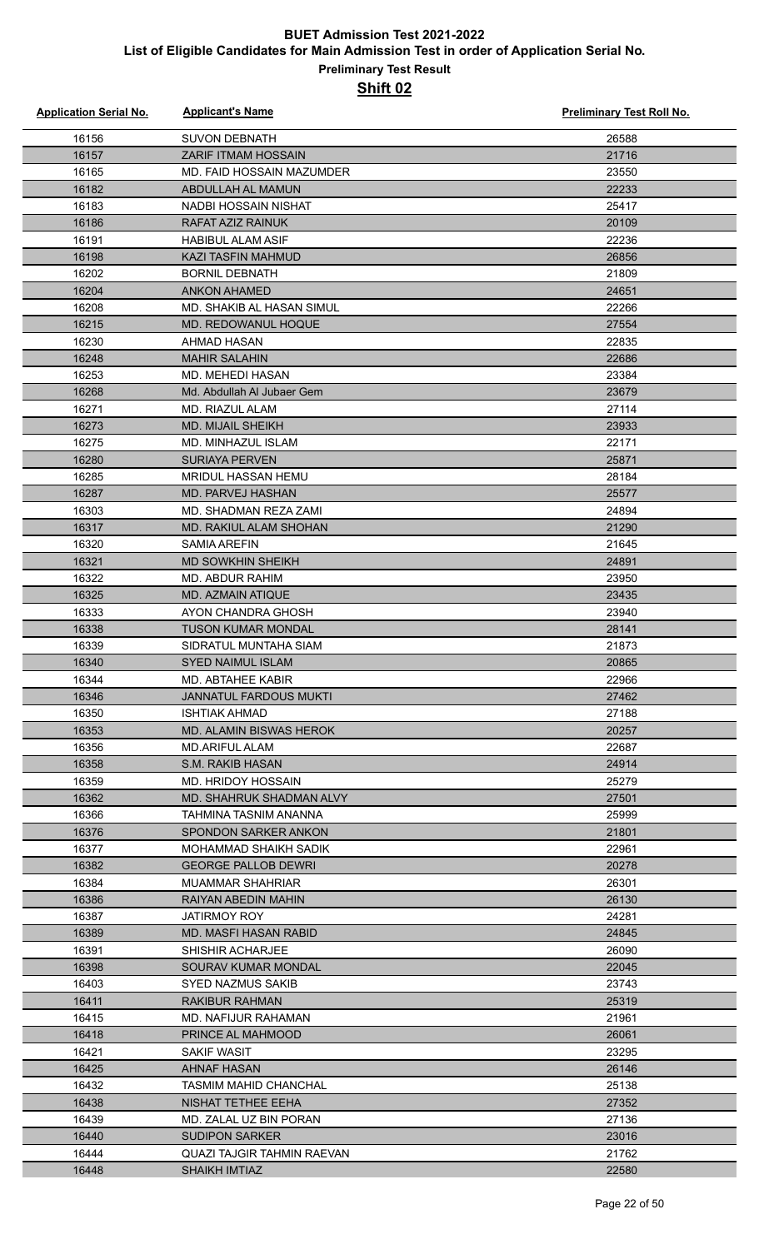| <b>Application Serial No.</b> | <b>Applicant's Name</b>                             | Preliminary Test Roll No. |
|-------------------------------|-----------------------------------------------------|---------------------------|
| 16156                         | <b>SUVON DEBNATH</b>                                | 26588                     |
| 16157                         | <b>ZARIF ITMAM HOSSAIN</b>                          | 21716                     |
| 16165                         | MD. FAID HOSSAIN MAZUMDER                           | 23550                     |
| 16182                         | ABDULLAH AL MAMUN                                   | 22233                     |
| 16183                         | NADBI HOSSAIN NISHAT                                | 25417                     |
| 16186                         | RAFAT AZIZ RAINUK                                   | 20109                     |
| 16191                         | <b>HABIBUL ALAM ASIF</b>                            | 22236                     |
| 16198                         | <b>KAZI TASFIN MAHMUD</b>                           | 26856                     |
| 16202                         | <b>BORNIL DEBNATH</b>                               | 21809                     |
| 16204                         | <b>ANKON AHAMED</b>                                 | 24651                     |
| 16208                         | MD. SHAKIB AL HASAN SIMUL                           | 22266                     |
| 16215                         | MD. REDOWANUL HOQUE                                 | 27554                     |
| 16230                         | <b>AHMAD HASAN</b>                                  | 22835                     |
| 16248                         | <b>MAHIR SALAHIN</b>                                | 22686                     |
| 16253                         | MD. MEHEDI HASAN                                    | 23384                     |
| 16268                         | Md. Abdullah Al Jubaer Gem                          | 23679                     |
| 16271                         | MD. RIAZUL ALAM                                     | 27114                     |
| 16273                         | <b>MD. MIJAIL SHEIKH</b>                            | 23933                     |
| 16275                         | MD. MINHAZUL ISLAM                                  | 22171                     |
| 16280                         | <b>SURIAYA PERVEN</b>                               | 25871                     |
| 16285                         | MRIDUL HASSAN HEMU                                  | 28184                     |
| 16287                         | <b>MD. PARVEJ HASHAN</b>                            | 25577                     |
| 16303                         | MD. SHADMAN REZA ZAMI                               | 24894                     |
| 16317                         | MD. RAKIUL ALAM SHOHAN                              | 21290                     |
| 16320                         | <b>SAMIA AREFIN</b>                                 | 21645                     |
| 16321                         | <b>MD SOWKHIN SHEIKH</b>                            | 24891                     |
| 16322                         | MD. ABDUR RAHIM                                     | 23950                     |
| 16325                         | MD. AZMAIN ATIQUE                                   | 23435                     |
| 16333                         | AYON CHANDRA GHOSH                                  | 23940                     |
| 16338                         | <b>TUSON KUMAR MONDAL</b>                           | 28141                     |
| 16339                         | SIDRATUL MUNTAHA SIAM                               | 21873                     |
| 16340                         | SYED NAIMUL ISLAM                                   | 20865                     |
| 16344                         | MD. ABTAHEE KABIR                                   | 22966                     |
| 16346                         | JANNATUL FARDOUS MUKTI                              | 27462                     |
| 16350                         | <b>ISHTIAK AHMAD</b>                                | 27188                     |
| 16353                         | <b>MD. ALAMIN BISWAS HEROK</b>                      | 20257                     |
| 16356                         | <b>MD.ARIFUL ALAM</b>                               | 22687                     |
| 16358                         | S.M. RAKIB HASAN                                    | 24914                     |
| 16359                         | MD. HRIDOY HOSSAIN                                  | 25279                     |
| 16362                         | MD. SHAHRUK SHADMAN ALVY                            | 27501                     |
| 16366                         | TAHMINA TASNIM ANANNA                               | 25999                     |
| 16376                         | <b>SPONDON SARKER ANKON</b>                         | 21801                     |
| 16377<br>16382                | MOHAMMAD SHAIKH SADIK<br><b>GEORGE PALLOB DEWRI</b> | 22961<br>20278            |
| 16384                         | <b>MUAMMAR SHAHRIAR</b>                             | 26301                     |
| 16386                         | <b>RAIYAN ABEDIN MAHIN</b>                          | 26130                     |
| 16387                         | JATIRMOY ROY                                        | 24281                     |
| 16389                         | MD. MASFI HASAN RABID                               | 24845                     |
| 16391                         | SHISHIR ACHARJEE                                    | 26090                     |
| 16398                         | SOURAV KUMAR MONDAL                                 | 22045                     |
| 16403                         | SYED NAZMUS SAKIB                                   | 23743                     |
| 16411                         | RAKIBUR RAHMAN                                      | 25319                     |
| 16415                         | MD. NAFIJUR RAHAMAN                                 | 21961                     |
| 16418                         | PRINCE AL MAHMOOD                                   | 26061                     |
| 16421                         | <b>SAKIF WASIT</b>                                  | 23295                     |
| 16425                         | <b>AHNAF HASAN</b>                                  | 26146                     |
| 16432                         | <b>TASMIM MAHID CHANCHAL</b>                        | 25138                     |
| 16438                         | NISHAT TETHEE EEHA                                  | 27352                     |
| 16439                         | MD. ZALAL UZ BIN PORAN                              | 27136                     |
| 16440                         | <b>SUDIPON SARKER</b>                               | 23016                     |
| 16444                         | <b>QUAZI TAJGIR TAHMIN RAEVAN</b>                   | 21762                     |
| 16448                         | <b>SHAIKH IMTIAZ</b>                                | 22580                     |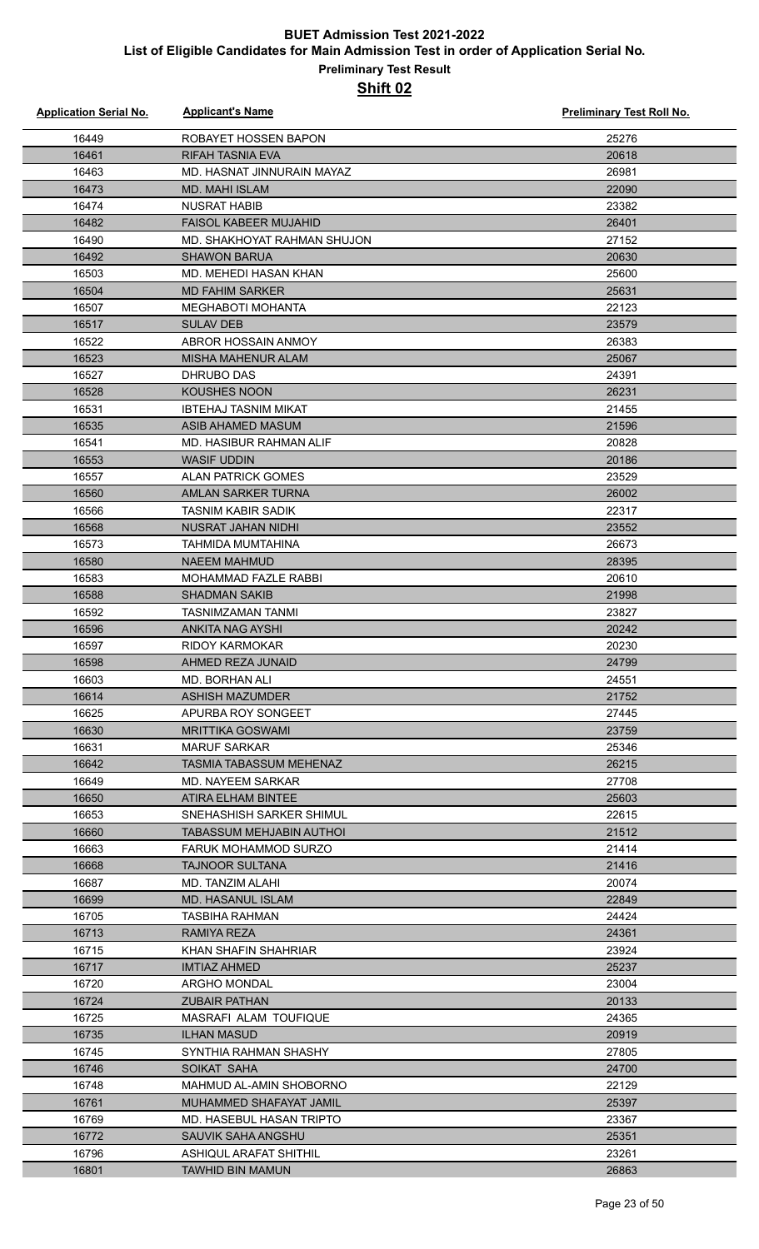| <b>Application Serial No.</b> | <b>Applicant's Name</b>       | Preliminary Test Roll No. |
|-------------------------------|-------------------------------|---------------------------|
| 16449                         | ROBAYET HOSSEN BAPON          | 25276                     |
| 16461                         | <b>RIFAH TASNIA EVA</b>       | 20618                     |
| 16463                         | MD. HASNAT JINNURAIN MAYAZ    | 26981                     |
| 16473                         | <b>MD. MAHI ISLAM</b>         | 22090                     |
| 16474                         | NUSRAT HABIB                  | 23382                     |
| 16482                         | <b>FAISOL KABEER MUJAHID</b>  | 26401                     |
| 16490                         | MD. SHAKHOYAT RAHMAN SHUJON   | 27152                     |
| 16492                         | <b>SHAWON BARUA</b>           | 20630                     |
| 16503                         | MD. MEHEDI HASAN KHAN         | 25600                     |
| 16504                         | <b>MD FAHIM SARKER</b>        | 25631                     |
| 16507                         | <b>MEGHABOTI MOHANTA</b>      | 22123                     |
| 16517                         | <b>SULAV DEB</b>              | 23579                     |
| 16522                         | ABROR HOSSAIN ANMOY           | 26383                     |
| 16523                         | MISHA MAHENUR ALAM            | 25067                     |
| 16527                         | DHRUBO DAS                    | 24391                     |
| 16528                         | KOUSHES NOON                  | 26231                     |
| 16531                         | <b>IBTEHAJ TASNIM MIKAT</b>   | 21455                     |
| 16535                         | ASIB AHAMED MASUM             | 21596                     |
| 16541                         | MD. HASIBUR RAHMAN ALIF       | 20828                     |
| 16553                         | <b>WASIF UDDIN</b>            | 20186                     |
| 16557                         | <b>ALAN PATRICK GOMES</b>     | 23529                     |
| 16560                         | AMLAN SARKER TURNA            | 26002                     |
| 16566                         | <b>TASNIM KABIR SADIK</b>     | 22317                     |
| 16568                         | NUSRAT JAHAN NIDHI            | 23552                     |
| 16573                         | TAHMIDA MUMTAHINA             | 26673                     |
| 16580                         | <b>NAEEM MAHMUD</b>           | 28395                     |
| 16583                         | MOHAMMAD FAZLE RABBI          | 20610                     |
| 16588                         | <b>SHADMAN SAKIB</b>          | 21998                     |
| 16592                         | <b>TASNIMZAMAN TANMI</b>      | 23827                     |
| 16596                         | <b>ANKITA NAG AYSHI</b>       | 20242                     |
| 16597                         | <b>RIDOY KARMOKAR</b>         | 20230                     |
| 16598                         | AHMED REZA JUNAID             | 24799                     |
| 16603                         | <b>MD. BORHAN ALI</b>         | 24551                     |
| 16614                         | <b>ASHISH MAZUMDER</b>        | 21752                     |
| 16625                         | APURBA ROY SONGEET            | 27445                     |
| 16630                         | <b>MRITTIKA GOSWAMI</b>       | 23759                     |
| 16631                         | <b>MARUF SARKAR</b>           | 25346                     |
| 16642                         | TASMIA TABASSUM MEHENAZ       | 26215                     |
| 16649                         | MD. NAYEEM SARKAR             | 27708                     |
| 16650                         | ATIRA ELHAM BINTEE            | 25603                     |
| 16653                         | SNEHASHISH SARKER SHIMUL      | 22615                     |
| 16660                         | TABASSUM MEHJABIN AUTHOL      | 21512                     |
| 16663                         | FARUK MOHAMMOD SURZO          | 21414                     |
| 16668                         | <b>TAJNOOR SULTANA</b>        | 21416                     |
| 16687                         | MD. TANZIM ALAHI              | 20074                     |
| 16699                         | MD. HASANUL ISLAM             | 22849                     |
| 16705                         | TASBIHA RAHMAN                | 24424                     |
| 16713                         | RAMIYA REZA                   | 24361                     |
| 16715                         | KHAN SHAFIN SHAHRIAR          | 23924                     |
| 16717                         | IMTIAZ AHMED                  | 25237                     |
| 16720                         | ARGHO MONDAL                  | 23004                     |
| 16724                         | <b>ZUBAIR PATHAN</b>          | 20133                     |
| 16725                         | MASRAFI ALAM TOUFIQUE         | 24365                     |
| 16735                         | <b>ILHAN MASUD</b>            | 20919                     |
| 16745                         | SYNTHIA RAHMAN SHASHY         | 27805                     |
| 16746                         | SOIKAT SAHA                   | 24700                     |
| 16748                         | MAHMUD AL-AMIN SHOBORNO       | 22129                     |
| 16761                         | MUHAMMED SHAFAYAT JAMIL       | 25397                     |
| 16769                         | MD. HASEBUL HASAN TRIPTO      | 23367                     |
| 16772                         | SAUVIK SAHA ANGSHU            | 25351                     |
| 16796                         | <b>ASHIQUL ARAFAT SHITHIL</b> | 23261                     |
| 16801                         | <b>TAWHID BIN MAMUN</b>       | 26863                     |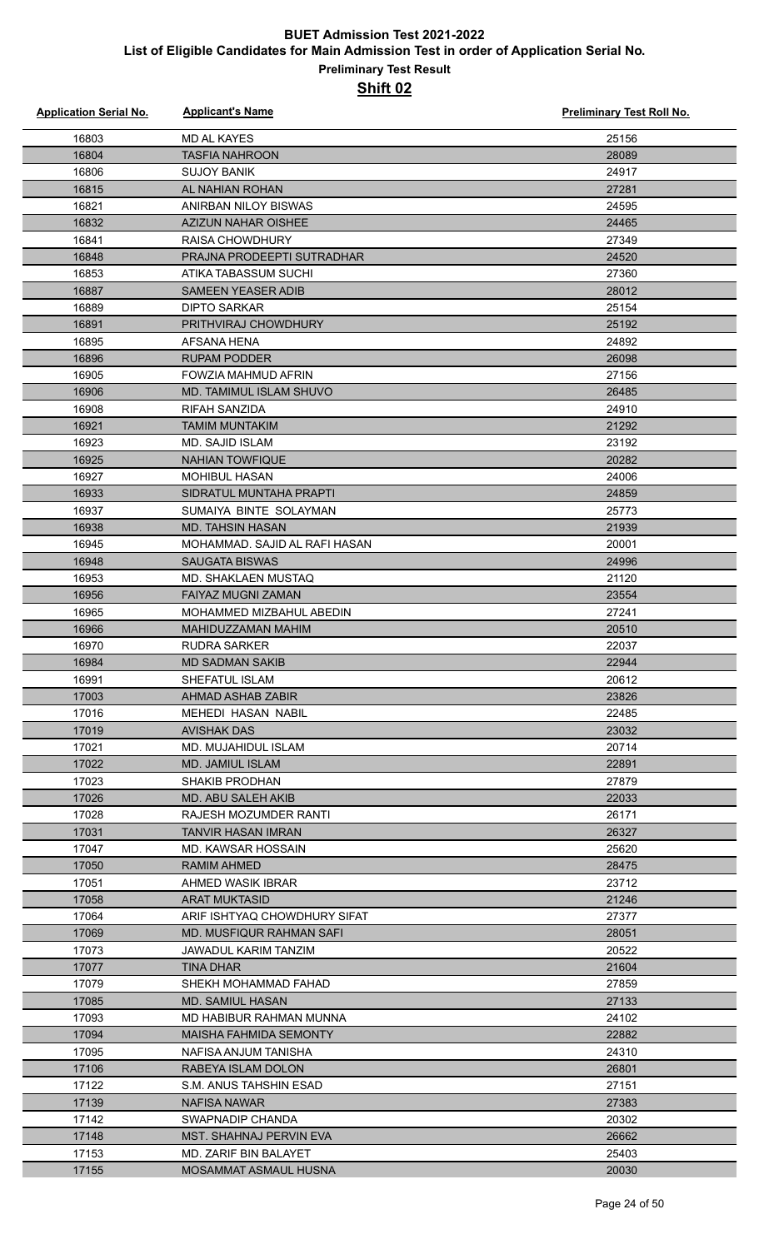| <b>Application Serial No.</b> | <b>Applicant's Name</b>                                 | <b>Preliminary Test Roll No.</b> |
|-------------------------------|---------------------------------------------------------|----------------------------------|
| 16803                         | <b>MD AL KAYES</b>                                      | 25156                            |
| 16804                         | <b>TASFIA NAHROON</b>                                   | 28089                            |
| 16806                         | <b>SUJOY BANIK</b>                                      | 24917                            |
| 16815                         | AL NAHIAN ROHAN                                         | 27281                            |
| 16821                         | ANIRBAN NILOY BISWAS                                    | 24595                            |
| 16832                         | <b>AZIZUN NAHAR OISHEE</b>                              | 24465                            |
| 16841                         | RAISA CHOWDHURY                                         | 27349                            |
| 16848                         | PRAJNA PRODEEPTI SUTRADHAR                              | 24520                            |
| 16853                         | ATIKA TABASSUM SUCHI                                    | 27360                            |
| 16887                         | <b>SAMEEN YEASER ADIB</b>                               | 28012                            |
| 16889                         | <b>DIPTO SARKAR</b>                                     | 25154                            |
| 16891                         | PRITHVIRAJ CHOWDHURY                                    | 25192                            |
| 16895                         | AFSANA HENA                                             | 24892                            |
| 16896                         | <b>RUPAM PODDER</b>                                     | 26098                            |
| 16905                         | FOWZIA MAHMUD AFRIN                                     | 27156                            |
| 16906                         | MD. TAMIMUL ISLAM SHUVO                                 | 26485                            |
| 16908                         | <b>RIFAH SANZIDA</b>                                    | 24910                            |
| 16921                         | <b>TAMIM MUNTAKIM</b>                                   | 21292                            |
| 16923                         | <b>MD. SAJID ISLAM</b>                                  | 23192                            |
| 16925                         | <b>NAHIAN TOWFIQUE</b>                                  | 20282                            |
| 16927                         | <b>MOHIBUL HASAN</b>                                    | 24006                            |
| 16933                         | SIDRATUL MUNTAHA PRAPTI                                 | 24859                            |
| 16937                         | SUMAIYA BINTE SOLAYMAN                                  | 25773                            |
| 16938                         | <b>MD. TAHSIN HASAN</b>                                 | 21939                            |
| 16945                         | MOHAMMAD. SAJID AL RAFI HASAN                           | 20001                            |
| 16948                         | <b>SAUGATA BISWAS</b>                                   | 24996                            |
| 16953                         | MD. SHAKLAEN MUSTAQ                                     | 21120                            |
| 16956                         | <b>FAIYAZ MUGNI ZAMAN</b>                               | 23554                            |
| 16965                         | MOHAMMED MIZBAHUL ABEDIN                                | 27241                            |
| 16966                         | MAHIDUZZAMAN MAHIM                                      | 20510                            |
| 16970                         | <b>RUDRA SARKER</b>                                     | 22037                            |
| 16984                         | <b>MD SADMAN SAKIB</b>                                  | 22944                            |
| 16991                         | <b>SHEFATUL ISLAM</b>                                   | 20612                            |
| 17003                         | AHMAD ASHAB ZABIR                                       | 23826                            |
| 17016                         | MEHEDI HASAN NABIL                                      | 22485                            |
| 17019                         | <b>AVISHAK DAS</b>                                      | 23032                            |
| 17021                         | MD. MUJAHIDUL ISLAM                                     | 20714                            |
| 17022                         | <b>MD. JAMIUL ISLAM</b>                                 | 22891                            |
| 17023                         | <b>SHAKIB PRODHAN</b>                                   | 27879                            |
| 17026                         | MD. ABU SALEH AKIB                                      | 22033                            |
| 17028                         | RAJESH MOZUMDER RANTI                                   | 26171                            |
| 17031                         | TANVIR HASAN IMRAN                                      | 26327                            |
| 17047                         | MD. KAWSAR HOSSAIN                                      | 25620                            |
| 17050                         | RAMIM AHMED                                             | 28475                            |
| 17051                         | AHMED WASIK IBRAR                                       | 23712                            |
| 17058                         | <b>ARAT MUKTASID</b>                                    | 21246                            |
| 17064                         | ARIF ISHTYAQ CHOWDHURY SIFAT                            | 27377                            |
| 17069<br>17073                | MD. MUSFIQUR RAHMAN SAFI<br><b>JAWADUL KARIM TANZIM</b> | 28051<br>20522                   |
|                               |                                                         |                                  |
| 17077<br>17079                | <b>TINA DHAR</b>                                        | 21604                            |
| 17085                         | SHEKH MOHAMMAD FAHAD<br>MD. SAMIUL HASAN                | 27859<br>27133                   |
| 17093                         | MD HABIBUR RAHMAN MUNNA                                 | 24102                            |
| 17094                         | <b>MAISHA FAHMIDA SEMONTY</b>                           | 22882                            |
| 17095                         | NAFISA ANJUM TANISHA                                    | 24310                            |
| 17106                         | RABEYA ISLAM DOLON                                      | 26801                            |
| 17122                         | S.M. ANUS TAHSHIN ESAD                                  | 27151                            |
| 17139                         | NAFISA NAWAR                                            | 27383                            |
| 17142                         | SWAPNADIP CHANDA                                        | 20302                            |
| 17148                         | MST. SHAHNAJ PERVIN EVA                                 | 26662                            |
| 17153                         | MD. ZARIF BIN BALAYET                                   | 25403                            |
| 17155                         | <b>MOSAMMAT ASMAUL HUSNA</b>                            | 20030                            |
|                               |                                                         |                                  |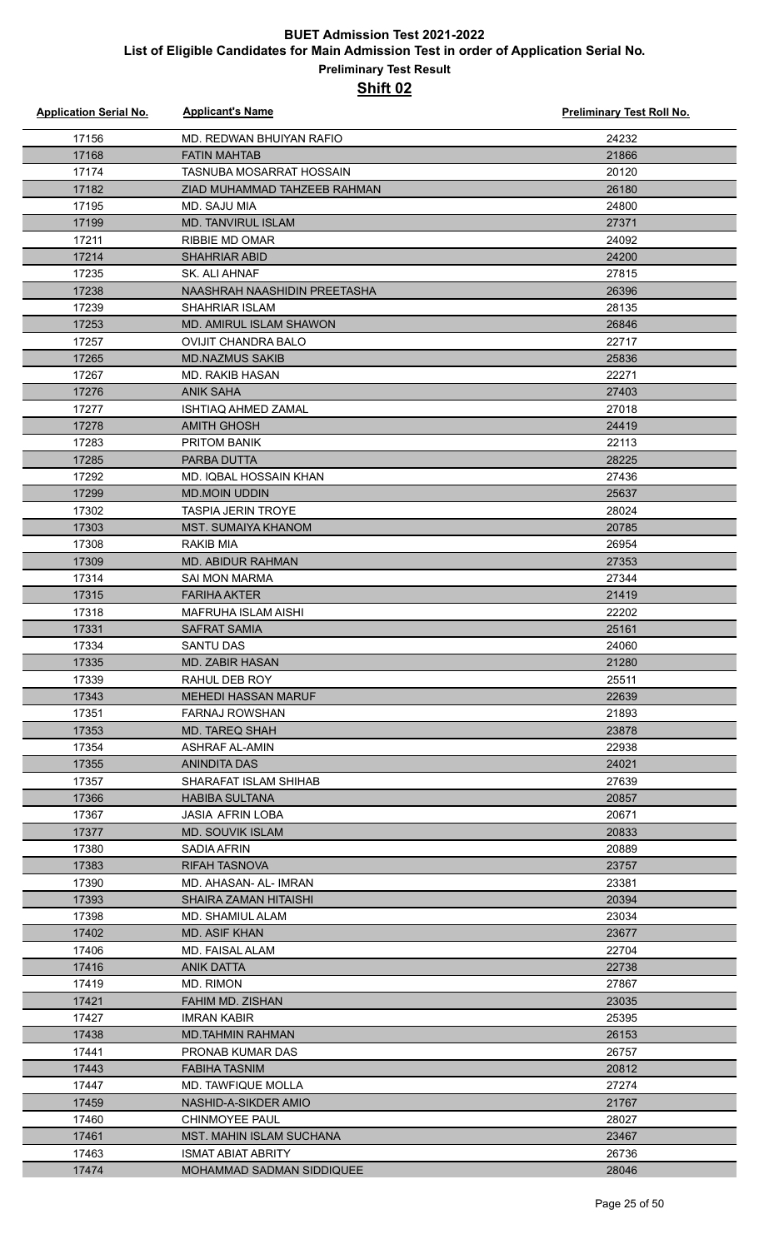#### **Preliminary Test Result Shift 02**

| <b>Application Serial No.</b> | <b>Applicant's Name</b>                                      | <b>Preliminary Test Roll No.</b> |
|-------------------------------|--------------------------------------------------------------|----------------------------------|
| 17156                         | MD. REDWAN BHUIYAN RAFIO                                     | 24232                            |
| 17168                         | <b>FATIN MAHTAB</b>                                          | 21866                            |
| 17174                         | <b>TASNUBA MOSARRAT HOSSAIN</b>                              | 20120                            |
| 17182                         | ZIAD MUHAMMAD TAHZEEB RAHMAN                                 | 26180                            |
| 17195                         | MD. SAJU MIA                                                 | 24800                            |
| 17199                         | <b>MD. TANVIRUL ISLAM</b>                                    | 27371                            |
| 17211                         | <b>RIBBIE MD OMAR</b>                                        | 24092                            |
| 17214                         | <b>SHAHRIAR ABID</b>                                         | 24200                            |
| 17235                         | SK. ALI AHNAF                                                | 27815                            |
| 17238                         | NAASHRAH NAASHIDIN PREETASHA                                 | 26396                            |
| 17239                         | <b>SHAHRIAR ISLAM</b>                                        | 28135                            |
| 17253                         | <b>MD. AMIRUL ISLAM SHAWON</b>                               | 26846                            |
| 17257                         | <b>OVIJIT CHANDRA BALO</b>                                   | 22717                            |
| 17265                         | <b>MD.NAZMUS SAKIB</b>                                       | 25836                            |
| 17267                         | <b>MD. RAKIB HASAN</b>                                       | 22271                            |
| 17276                         | <b>ANIK SAHA</b>                                             | 27403                            |
| 17277                         | <b>ISHTIAQ AHMED ZAMAL</b>                                   | 27018                            |
| 17278                         | <b>AMITH GHOSH</b>                                           | 24419                            |
| 17283                         | <b>PRITOM BANIK</b>                                          | 22113                            |
| 17285                         | PARBA DUTTA                                                  | 28225                            |
| 17292                         | MD. IQBAL HOSSAIN KHAN                                       | 27436                            |
| 17299                         | <b>MD.MOIN UDDIN</b>                                         | 25637                            |
| 17302                         | <b>TASPIA JERIN TROYE</b>                                    | 28024                            |
| 17303                         | MST. SUMAIYA KHANOM                                          | 20785                            |
| 17308                         | <b>RAKIB MIA</b>                                             | 26954                            |
| 17309                         | <b>MD. ABIDUR RAHMAN</b>                                     | 27353                            |
| 17314                         | <b>SAI MON MARMA</b>                                         | 27344                            |
| 17315                         | <b>FARIHA AKTER</b>                                          | 21419                            |
| 17318                         | <b>MAFRUHA ISLAM AISHI</b>                                   | 22202                            |
| 17331                         | <b>SAFRAT SAMIA</b>                                          | 25161                            |
| 17334                         | <b>SANTU DAS</b>                                             | 24060                            |
| 17335                         | MD. ZABIR HASAN                                              | 21280                            |
| 17339                         | RAHUL DEB ROY                                                | 25511                            |
| 17343                         | <b>MEHEDI HASSAN MARUF</b>                                   | 22639                            |
| 17351                         | <b>FARNAJ ROWSHAN</b>                                        | 21893                            |
| 17353                         | <b>MD. TAREQ SHAH</b>                                        | 23878                            |
| 17354                         | <b>ASHRAF AL-AMIN</b>                                        | 22938                            |
| 17355                         | <b>ANINDITA DAS</b>                                          | 24021                            |
| 17357                         | SHARAFAT ISLAM SHIHAB                                        | 27639                            |
| 17366                         | <b>HABIBA SULTANA</b>                                        | 20857                            |
| 17367                         | <b>JASIA AFRIN LOBA</b>                                      | 20671                            |
| 17377                         | <b>MD. SOUVIK ISLAM</b>                                      | 20833                            |
| 17380                         | SADIA AFRIN                                                  | 20889                            |
| 17383                         | <b>RIFAH TASNOVA</b>                                         | 23757                            |
| 17390                         | MD. AHASAN- AL- IMRAN                                        | 23381                            |
| 17393                         | SHAIRA ZAMAN HITAISHI                                        | 20394                            |
| 17398                         | MD. SHAMIUL ALAM                                             | 23034                            |
| 17402                         | MD. ASIF KHAN                                                | 23677                            |
| 17406                         | MD. FAISAL ALAM                                              | 22704                            |
| 17416                         | <b>ANIK DATTA</b>                                            | 22738                            |
| 17419                         | <b>MD. RIMON</b>                                             | 27867                            |
| 17421                         | FAHIM MD. ZISHAN                                             | 23035                            |
| 17427                         | <b>IMRAN KABIR</b>                                           | 25395                            |
| 17438                         | <b>MD.TAHMIN RAHMAN</b>                                      | 26153                            |
| 17441                         | PRONAB KUMAR DAS                                             | 26757                            |
| 17443                         | <b>FABIHA TASNIM</b><br><b>MD. TAWFIQUE MOLLA</b>            | 20812                            |
| 17447                         |                                                              | 27274                            |
| 17459                         | NASHID-A-SIKDER AMIO                                         | 21767                            |
| 17460                         | <b>CHINMOYEE PAUL</b>                                        | 28027                            |
| 17461<br>17463                | <b>MST. MAHIN ISLAM SUCHANA</b><br><b>ISMAT ABIAT ABRITY</b> | 23467<br>26736                   |
| 17474                         | MOHAMMAD SADMAN SIDDIQUEE                                    | 28046                            |
|                               |                                                              |                                  |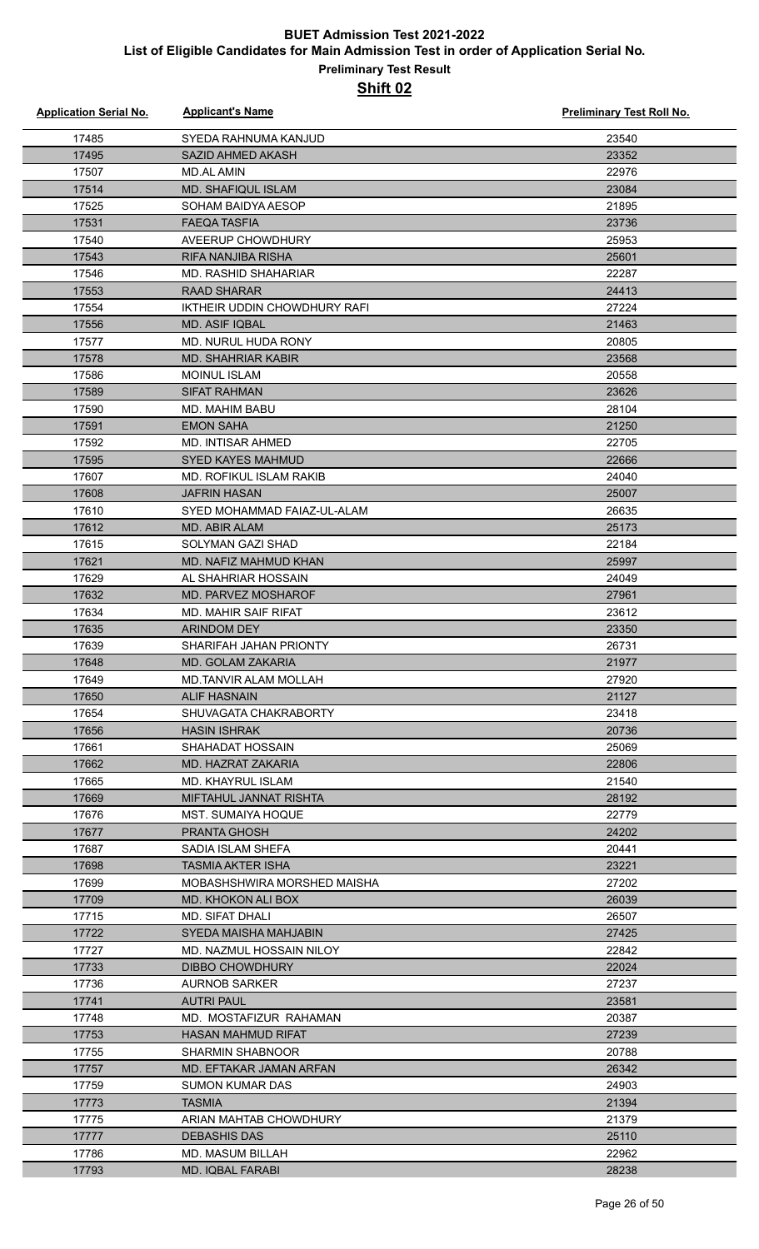| <b>Application Serial No.</b> | <b>Applicant's Name</b>                           | Preliminary Test Roll No. |
|-------------------------------|---------------------------------------------------|---------------------------|
| 17485                         | SYEDA RAHNUMA KANJUD                              | 23540                     |
| 17495                         | <b>SAZID AHMED AKASH</b>                          | 23352                     |
| 17507                         | <b>MD.AL AMIN</b>                                 | 22976                     |
| 17514                         | <b>MD. SHAFIQUL ISLAM</b>                         | 23084                     |
| 17525                         | SOHAM BAIDYA AESOP                                | 21895                     |
| 17531                         | <b>FAEQA TASFIA</b>                               | 23736                     |
| 17540                         | AVEERUP CHOWDHURY                                 | 25953                     |
| 17543                         | <b>RIFA NANJIBA RISHA</b>                         | 25601                     |
| 17546                         | <b>MD. RASHID SHAHARIAR</b>                       | 22287                     |
| 17553                         | <b>RAAD SHARAR</b>                                | 24413                     |
| 17554                         | IKTHEIR UDDIN CHOWDHURY RAFI                      | 27224                     |
| 17556                         | <b>MD. ASIF IQBAL</b>                             | 21463                     |
| 17577                         | MD. NURUL HUDA RONY                               | 20805                     |
| 17578                         | <b>MD. SHAHRIAR KABIR</b>                         | 23568                     |
| 17586                         | <b>MOINUL ISLAM</b>                               | 20558                     |
| 17589                         | <b>SIFAT RAHMAN</b>                               | 23626                     |
| 17590                         | MD. MAHIM BABU                                    | 28104                     |
| 17591                         | <b>EMON SAHA</b>                                  | 21250                     |
| 17592                         | <b>MD. INTISAR AHMED</b>                          | 22705                     |
| 17595                         | <b>SYED KAYES MAHMUD</b>                          | 22666                     |
| 17607                         | <b>MD. ROFIKUL ISLAM RAKIB</b>                    | 24040                     |
| 17608                         | <b>JAFRIN HASAN</b>                               | 25007                     |
| 17610                         | SYED MOHAMMAD FAIAZ-UL-ALAM                       | 26635                     |
| 17612                         | <b>MD. ABIR ALAM</b>                              | 25173                     |
| 17615                         | <b>SOLYMAN GAZI SHAD</b>                          | 22184                     |
| 17621                         | <b>MD. NAFIZ MAHMUD KHAN</b>                      | 25997                     |
| 17629                         | AL SHAHRIAR HOSSAIN                               | 24049                     |
| 17632                         | MD. PARVEZ MOSHAROF                               | 27961                     |
| 17634                         | <b>MD. MAHIR SAIF RIFAT</b>                       | 23612                     |
| 17635                         | <b>ARINDOM DEY</b>                                | 23350                     |
| 17639                         | SHARIFAH JAHAN PRIONTY                            | 26731                     |
| 17648                         | MD. GOLAM ZAKARIA                                 | 21977                     |
| 17649                         | MD.TANVIR ALAM MOLLAH                             | 27920                     |
| 17650                         | <b>ALIF HASNAIN</b>                               | 21127                     |
| 17654                         | SHUVAGATA CHAKRABORTY                             | 23418                     |
| 17656                         | <b>HASIN ISHRAK</b>                               | 20736                     |
| 17661                         | SHAHADAT HOSSAIN                                  | 25069                     |
| 17662                         | MD. HAZRAT ZAKARIA                                | 22806                     |
| 17665                         | MD. KHAYRUL ISLAM                                 | 21540                     |
| 17669                         | MIFTAHUL JANNAT RISHTA                            | 28192                     |
| 17676                         | MST. SUMAIYA HOQUE                                | 22779                     |
| 17677                         | <b>PRANTA GHOSH</b>                               | 24202                     |
| 17687                         | SADIA ISLAM SHEFA                                 | 20441                     |
| 17698                         | TASMIA AKTER ISHA                                 | 23221                     |
| 17699                         | MOBASHSHWIRA MORSHED MAISHA                       | 27202                     |
| 17709                         | MD. KHOKON ALI BOX                                | 26039                     |
| 17715                         | MD. SIFAT DHALI                                   | 26507                     |
| 17722<br>17727                | SYEDA MAISHA MAHJABIN<br>MD. NAZMUL HOSSAIN NILOY | 27425                     |
| 17733                         | <b>DIBBO CHOWDHURY</b>                            | 22842<br>22024            |
| 17736                         | <b>AURNOB SARKER</b>                              | 27237                     |
| 17741                         | <b>AUTRI PAUL</b>                                 | 23581                     |
| 17748                         | MD. MOSTAFIZUR RAHAMAN                            | 20387                     |
| 17753                         | HASAN MAHMUD RIFAT                                | 27239                     |
| 17755                         | <b>SHARMIN SHABNOOR</b>                           | 20788                     |
| 17757                         | MD. EFTAKAR JAMAN ARFAN                           | 26342                     |
| 17759                         | <b>SUMON KUMAR DAS</b>                            | 24903                     |
| 17773                         | <b>TASMIA</b>                                     | 21394                     |
| 17775                         | ARIAN MAHTAB CHOWDHURY                            | 21379                     |
| 17777                         | <b>DEBASHIS DAS</b>                               | 25110                     |
| 17786                         | <b>MD. MASUM BILLAH</b>                           | 22962                     |
| 17793                         | <b>MD. IQBAL FARABI</b>                           | 28238                     |
|                               |                                                   |                           |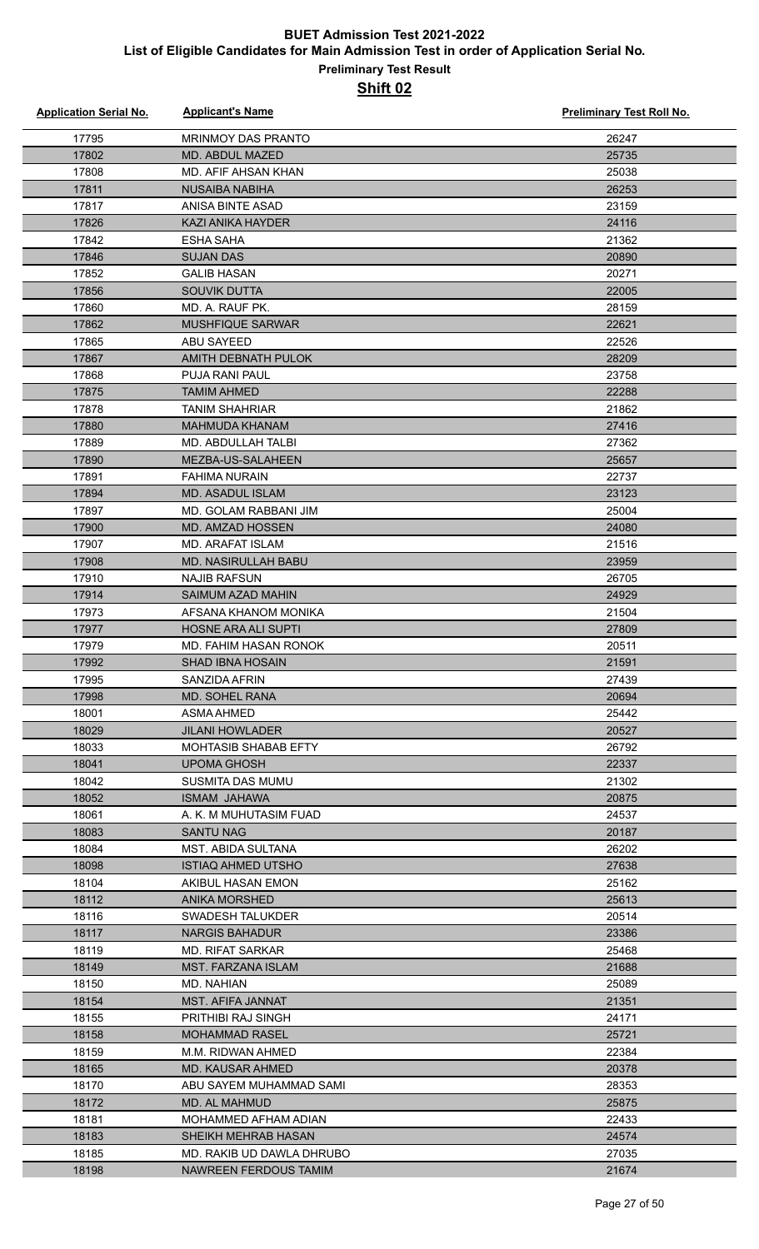| <b>Application Serial No.</b> | <b>Applicant's Name</b>     | <b>Preliminary Test Roll No.</b> |
|-------------------------------|-----------------------------|----------------------------------|
| 17795                         | <b>MRINMOY DAS PRANTO</b>   | 26247                            |
| 17802                         | MD. ABDUL MAZED             | 25735                            |
| 17808                         | MD. AFIF AHSAN KHAN         | 25038                            |
| 17811                         | <b>NUSAIBA NABIHA</b>       | 26253                            |
| 17817                         | ANISA BINTE ASAD            | 23159                            |
| 17826                         | <b>KAZI ANIKA HAYDER</b>    | 24116                            |
| 17842                         | <b>ESHA SAHA</b>            | 21362                            |
| 17846                         | <b>SUJAN DAS</b>            | 20890                            |
| 17852                         | <b>GALIB HASAN</b>          | 20271                            |
| 17856                         | <b>SOUVIK DUTTA</b>         | 22005                            |
| 17860                         | MD. A. RAUF PK.             | 28159                            |
| 17862                         | <b>MUSHFIQUE SARWAR</b>     | 22621                            |
| 17865                         | <b>ABU SAYEED</b>           | 22526                            |
| 17867                         | AMITH DEBNATH PULOK         | 28209                            |
| 17868                         | <b>PUJA RANI PAUL</b>       | 23758                            |
| 17875                         | <b>TAMIM AHMED</b>          | 22288                            |
| 17878                         | <b>TANIM SHAHRIAR</b>       | 21862                            |
| 17880                         | <b>MAHMUDA KHANAM</b>       | 27416                            |
| 17889                         | MD. ABDULLAH TALBI          | 27362                            |
| 17890                         | MEZBA-US-SALAHEEN           | 25657                            |
| 17891                         | <b>FAHIMA NURAIN</b>        | 22737                            |
| 17894                         | <b>MD. ASADUL ISLAM</b>     | 23123                            |
| 17897                         | MD. GOLAM RABBANI JIM       | 25004                            |
| 17900                         | MD. AMZAD HOSSEN            | 24080                            |
| 17907                         | <b>MD. ARAFAT ISLAM</b>     | 21516                            |
| 17908                         | <b>MD. NASIRULLAH BABU</b>  | 23959                            |
| 17910                         | <b>NAJIB RAFSUN</b>         | 26705                            |
| 17914                         | SAIMUM AZAD MAHIN           | 24929                            |
| 17973                         | AFSANA KHANOM MONIKA        | 21504                            |
| 17977                         | <b>HOSNE ARA ALI SUPTI</b>  | 27809                            |
| 17979                         | MD. FAHIM HASAN RONOK       | 20511                            |
| 17992                         | SHAD IBNA HOSAIN            | 21591                            |
| 17995                         | SANZIDA AFRIN               | 27439                            |
| 17998                         | <b>MD. SOHEL RANA</b>       | 20694                            |
| 18001                         | ASMA AHMED                  | 25442                            |
| 18029                         | <b>JILANI HOWLADER</b>      | 20527                            |
| 18033                         | <b>MOHTASIB SHABAB EFTY</b> | 26792                            |
| 18041                         | <b>UPOMA GHOSH</b>          | 22337                            |
| 18042                         | SUSMITA DAS MUMU            | 21302                            |
| 18052                         | <b>ISMAM JAHAWA</b>         | 20875                            |
| 18061                         | A. K. M MUHUTASIM FUAD      | 24537                            |
| 18083                         | <b>SANTU NAG</b>            | 20187                            |
| 18084                         | <b>MST. ABIDA SULTANA</b>   | 26202                            |
| 18098                         | <b>ISTIAQ AHMED UTSHO</b>   | 27638                            |
| 18104                         | AKIBUL HASAN EMON           | 25162                            |
| 18112                         | ANIKA MORSHED               | 25613                            |
| 18116                         | SWADESH TALUKDER            | 20514                            |
| 18117                         | <b>NARGIS BAHADUR</b>       | 23386                            |
| 18119                         | <b>MD. RIFAT SARKAR</b>     | 25468                            |
| 18149                         | MST. FARZANA ISLAM          | 21688                            |
| 18150                         | MD. NAHIAN                  | 25089                            |
| 18154                         | MST. AFIFA JANNAT           | 21351                            |
| 18155                         | <b>PRITHIBI RAJ SINGH</b>   | 24171                            |
| 18158                         | <b>MOHAMMAD RASEL</b>       | 25721                            |
| 18159                         | M.M. RIDWAN AHMED           | 22384                            |
| 18165                         | <b>MD. KAUSAR AHMED</b>     | 20378                            |
| 18170                         | ABU SAYEM MUHAMMAD SAMI     | 28353                            |
| 18172                         | <b>MD. AL MAHMUD</b>        | 25875                            |
| 18181                         | MOHAMMED AFHAM ADIAN        | 22433                            |
| 18183                         | SHEIKH MEHRAB HASAN         | 24574                            |
| 18185                         | MD. RAKIB UD DAWLA DHRUBO   | 27035                            |
| 18198                         | NAWREEN FERDOUS TAMIM       | 21674                            |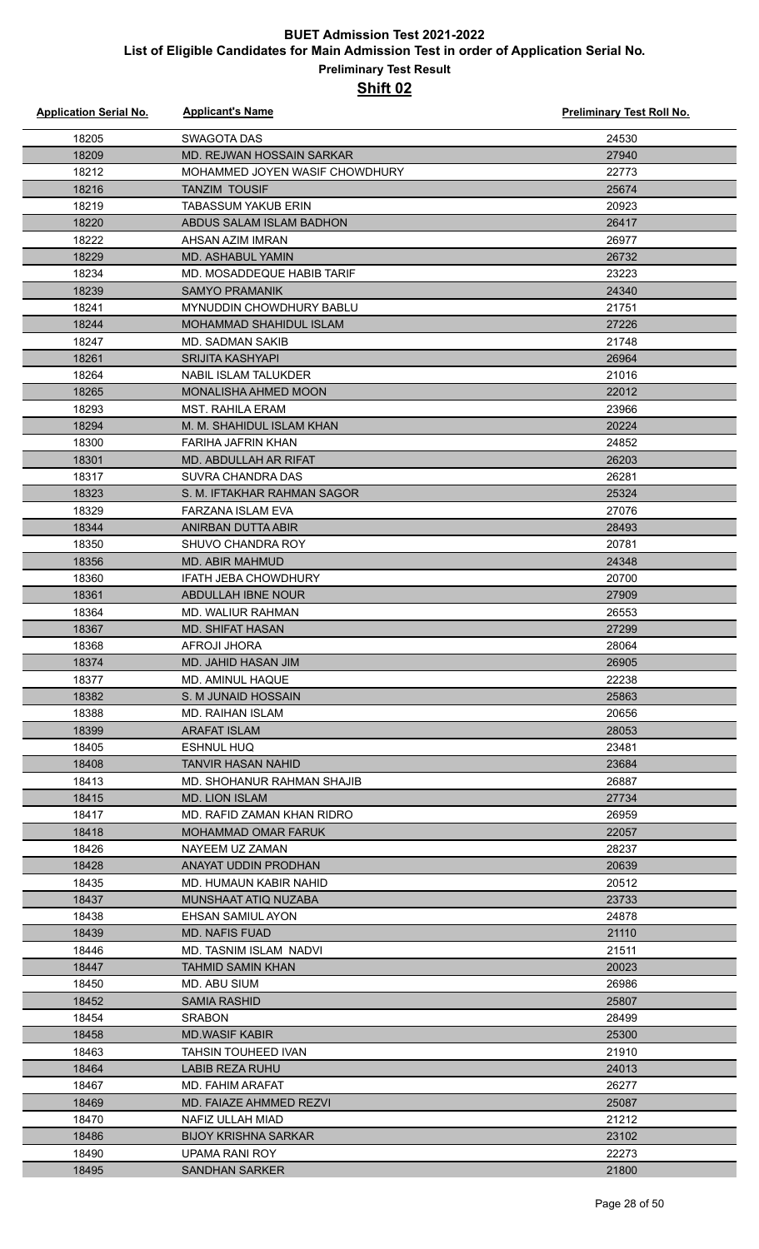| <b>Application Serial No.</b> | <b>Applicant's Name</b>                         | <b>Preliminary Test Roll No.</b> |
|-------------------------------|-------------------------------------------------|----------------------------------|
| 18205                         | <b>SWAGOTA DAS</b>                              | 24530                            |
| 18209                         | MD. REJWAN HOSSAIN SARKAR                       | 27940                            |
| 18212                         | MOHAMMED JOYEN WASIF CHOWDHURY                  | 22773                            |
| 18216                         | <b>TANZIM TOUSIF</b>                            | 25674                            |
| 18219                         | <b>TABASSUM YAKUB ERIN</b>                      | 20923                            |
| 18220                         | ABDUS SALAM ISLAM BADHON                        | 26417                            |
| 18222                         | AHSAN AZIM IMRAN                                | 26977                            |
| 18229                         | MD. ASHABUL YAMIN                               | 26732                            |
| 18234                         | MD. MOSADDEQUE HABIB TARIF                      | 23223                            |
| 18239                         | <b>SAMYO PRAMANIK</b>                           | 24340                            |
| 18241                         | <b>MYNUDDIN CHOWDHURY BABLU</b>                 | 21751                            |
| 18244                         | <b>MOHAMMAD SHAHIDUL ISLAM</b>                  | 27226                            |
| 18247                         | <b>MD. SADMAN SAKIB</b>                         | 21748                            |
| 18261                         | <b>SRIJITA KASHYAPI</b>                         | 26964                            |
| 18264                         | <b>NABIL ISLAM TALUKDER</b>                     | 21016                            |
| 18265                         | <b>MONALISHA AHMED MOON</b>                     | 22012                            |
| 18293                         | <b>MST. RAHILA ERAM</b>                         | 23966                            |
| 18294                         | M. M. SHAHIDUL ISLAM KHAN                       | 20224                            |
| 18300                         | <b>FARIHA JAFRIN KHAN</b>                       | 24852                            |
| 18301                         | MD. ABDULLAH AR RIFAT                           | 26203                            |
| 18317                         | <b>SUVRA CHANDRA DAS</b>                        | 26281                            |
| 18323                         | S. M. IFTAKHAR RAHMAN SAGOR                     | 25324                            |
| 18329                         | <b>FARZANA ISLAM EVA</b>                        | 27076                            |
| 18344                         | ANIRBAN DUTTA ABIR                              | 28493                            |
| 18350                         | SHUVO CHANDRA ROY                               | 20781                            |
| 18356                         | <b>MD. ABIR MAHMUD</b>                          | 24348                            |
| 18360                         | <b>IFATH JEBA CHOWDHURY</b>                     | 20700                            |
| 18361                         | ABDULLAH IBNE NOUR                              | 27909                            |
| 18364                         | MD. WALIUR RAHMAN                               | 26553                            |
| 18367                         | <b>MD. SHIFAT HASAN</b>                         | 27299                            |
| 18368                         | <b>AFROJI JHORA</b>                             | 28064                            |
| 18374                         | MD. JAHID HASAN JIM                             | 26905                            |
| 18377                         | MD. AMINUL HAQUE                                | 22238                            |
| 18382                         | S. M JUNAID HOSSAIN                             | 25863                            |
| 18388                         | MD. RAIHAN ISLAM                                | 20656                            |
| 18399                         | <b>ARAFAT ISLAM</b>                             | 28053                            |
| 18405                         | <b>ESHNUL HUQ</b>                               | 23481                            |
| 18408                         | <b>TANVIR HASAN NAHID</b>                       | 23684                            |
| 18413                         | MD. SHOHANUR RAHMAN SHAJIB                      | 26887                            |
| 18415                         | <b>MD. LION ISLAM</b>                           | 27734                            |
| 18417                         | MD. RAFID ZAMAN KHAN RIDRO                      | 26959                            |
| 18418                         | <b>MOHAMMAD OMAR FARUK</b>                      | 22057                            |
| 18426                         | NAYEEM UZ ZAMAN                                 | 28237                            |
| 18428                         | ANAYAT UDDIN PRODHAN                            | 20639                            |
| 18435                         | MD. HUMAUN KABIR NAHID                          | 20512                            |
| 18437                         | MUNSHAAT ATIQ NUZABA                            | 23733                            |
| 18438                         | EHSAN SAMIUL AYON                               | 24878                            |
| 18439                         | <b>MD. NAFIS FUAD</b>                           | 21110                            |
| 18446                         | MD. TASNIM ISLAM NADVI                          | 21511                            |
| 18447                         | <b>TAHMID SAMIN KHAN</b>                        | 20023                            |
| 18450                         | MD. ABU SIUM                                    | 26986                            |
| 18452                         | <b>SAMIA RASHID</b>                             | 25807                            |
| 18454                         | <b>SRABON</b>                                   | 28499                            |
| 18458                         | <b>MD.WASIF KABIR</b>                           | 25300                            |
| 18463                         | TAHSIN TOUHEED IVAN                             | 21910                            |
| 18464                         | <b>LABIB REZA RUHU</b>                          | 24013                            |
| 18467                         | MD. FAHIM ARAFAT                                | 26277                            |
| 18469                         | MD. FAIAZE AHMMED REZVI                         | 25087                            |
| 18470                         | NAFIZ ULLAH MIAD<br><b>BIJOY KRISHNA SARKAR</b> | 21212                            |
| 18486                         |                                                 | 23102<br>22273                   |
| 18490<br>18495                | UPAMA RANI ROY<br><b>SANDHAN SARKER</b>         | 21800                            |
|                               |                                                 |                                  |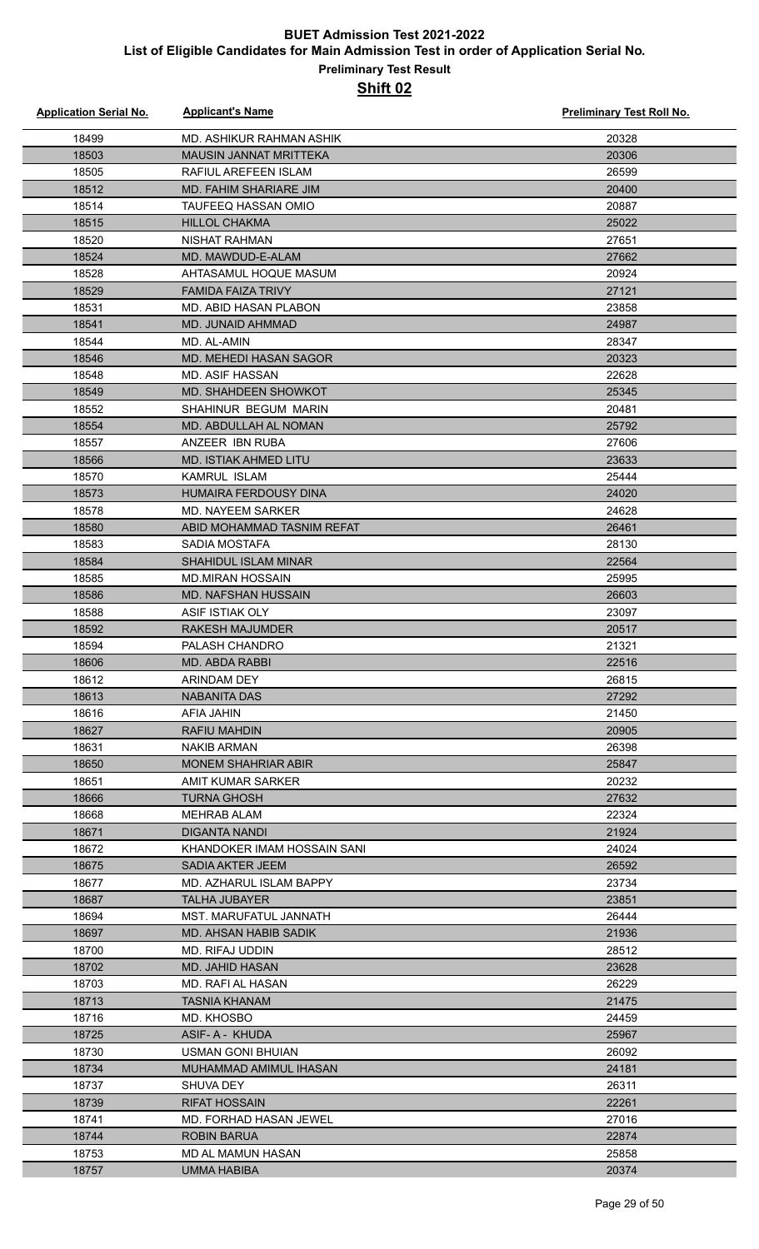| <b>Application Serial No.</b> | <b>Applicant's Name</b>       | <b>Preliminary Test Roll No.</b> |
|-------------------------------|-------------------------------|----------------------------------|
| 18499                         | MD. ASHIKUR RAHMAN ASHIK      | 20328                            |
| 18503                         | <b>MAUSIN JANNAT MRITTEKA</b> | 20306                            |
| 18505                         | RAFIUL AREFEEN ISLAM          | 26599                            |
| 18512                         | <b>MD. FAHIM SHARIARE JIM</b> | 20400                            |
| 18514                         | TAUFEEQ HASSAN OMIO           | 20887                            |
| 18515                         | <b>HILLOL CHAKMA</b>          | 25022                            |
| 18520                         | <b>NISHAT RAHMAN</b>          | 27651                            |
| 18524                         | MD. MAWDUD-E-ALAM             | 27662                            |
| 18528                         | AHTASAMUL HOQUE MASUM         | 20924                            |
| 18529                         | <b>FAMIDA FAIZA TRIVY</b>     | 27121                            |
| 18531                         | <b>MD. ABID HASAN PLABON</b>  | 23858                            |
| 18541                         | MD. JUNAID AHMMAD             | 24987                            |
| 18544                         | MD. AL-AMIN                   | 28347                            |
| 18546                         | MD. MEHEDI HASAN SAGOR        | 20323                            |
| 18548                         | <b>MD. ASIF HASSAN</b>        | 22628                            |
| 18549                         | MD. SHAHDEEN SHOWKOT          | 25345                            |
| 18552                         | SHAHINUR BEGUM MARIN          | 20481                            |
|                               | MD. ABDULLAH AL NOMAN         | 25792                            |
| 18554<br>18557                | ANZEER IBN RUBA               | 27606                            |
|                               |                               |                                  |
| 18566                         | <b>MD. ISTIAK AHMED LITU</b>  | 23633                            |
| 18570                         | <b>KAMRUL ISLAM</b>           | 25444                            |
| 18573                         | <b>HUMAIRA FERDOUSY DINA</b>  | 24020                            |
| 18578                         | <b>MD. NAYEEM SARKER</b>      | 24628                            |
| 18580                         | ABID MOHAMMAD TASNIM REFAT    | 26461                            |
| 18583                         | SADIA MOSTAFA                 | 28130                            |
| 18584                         | SHAHIDUL ISLAM MINAR          | 22564                            |
| 18585                         | <b>MD.MIRAN HOSSAIN</b>       | 25995                            |
| 18586                         | <b>MD. NAFSHAN HUSSAIN</b>    | 26603                            |
| 18588                         | ASIF ISTIAK OLY               | 23097                            |
| 18592                         | <b>RAKESH MAJUMDER</b>        | 20517                            |
| 18594                         | PALASH CHANDRO                | 21321                            |
| 18606                         | MD. ABDA RABBI                | 22516                            |
| 18612                         | ARINDAM DEY                   | 26815                            |
| 18613                         | <b>NABANITA DAS</b>           | 27292                            |
| 18616                         | AFIA JAHIN                    | 21450                            |
| 18627                         | <b>RAFIU MAHDIN</b>           | 20905                            |
| 18631                         | <b>NAKIB ARMAN</b>            | 26398                            |
| 18650                         | <b>MONEM SHAHRIAR ABIR</b>    | 25847                            |
| 18651                         | AMIT KUMAR SARKER             | 20232                            |
| 18666                         | <b>TURNA GHOSH</b>            | 27632                            |
| 18668                         | <b>MEHRAB ALAM</b>            | 22324                            |
| 18671                         | DIGANTA NANDI                 | 21924                            |
| 18672                         | KHANDOKER IMAM HOSSAIN SANI   | 24024                            |
| 18675                         | SADIA AKTER JEEM              | 26592                            |
| 18677                         | MD. AZHARUL ISLAM BAPPY       | 23734                            |
| 18687                         | <b>TALHA JUBAYER</b>          | 23851                            |
| 18694                         | MST. MARUFATUL JANNATH        | 26444                            |
| 18697                         | MD. AHSAN HABIB SADIK         | 21936                            |
| 18700                         | MD. RIFAJ UDDIN               | 28512                            |
| 18702                         | MD. JAHID HASAN               | 23628                            |
| 18703                         | MD. RAFI AL HASAN             | 26229                            |
| 18713                         | TASNIA KHANAM                 | 21475                            |
| 18716                         | MD. KHOSBO                    | 24459                            |
| 18725                         | ASIF- A - KHUDA               | 25967                            |
| 18730                         | USMAN GONI BHUIAN             | 26092                            |
| 18734                         | MUHAMMAD AMIMUL IHASAN        | 24181                            |
| 18737                         | SHUVA DEY                     | 26311                            |
| 18739                         | <b>RIFAT HOSSAIN</b>          | 22261                            |
| 18741                         | <b>MD. FORHAD HASAN JEWEL</b> | 27016                            |
| 18744                         | <b>ROBIN BARUA</b>            | 22874                            |
| 18753                         | MD AL MAMUN HASAN             | 25858                            |
| 18757                         | <b>UMMA HABIBA</b>            | 20374                            |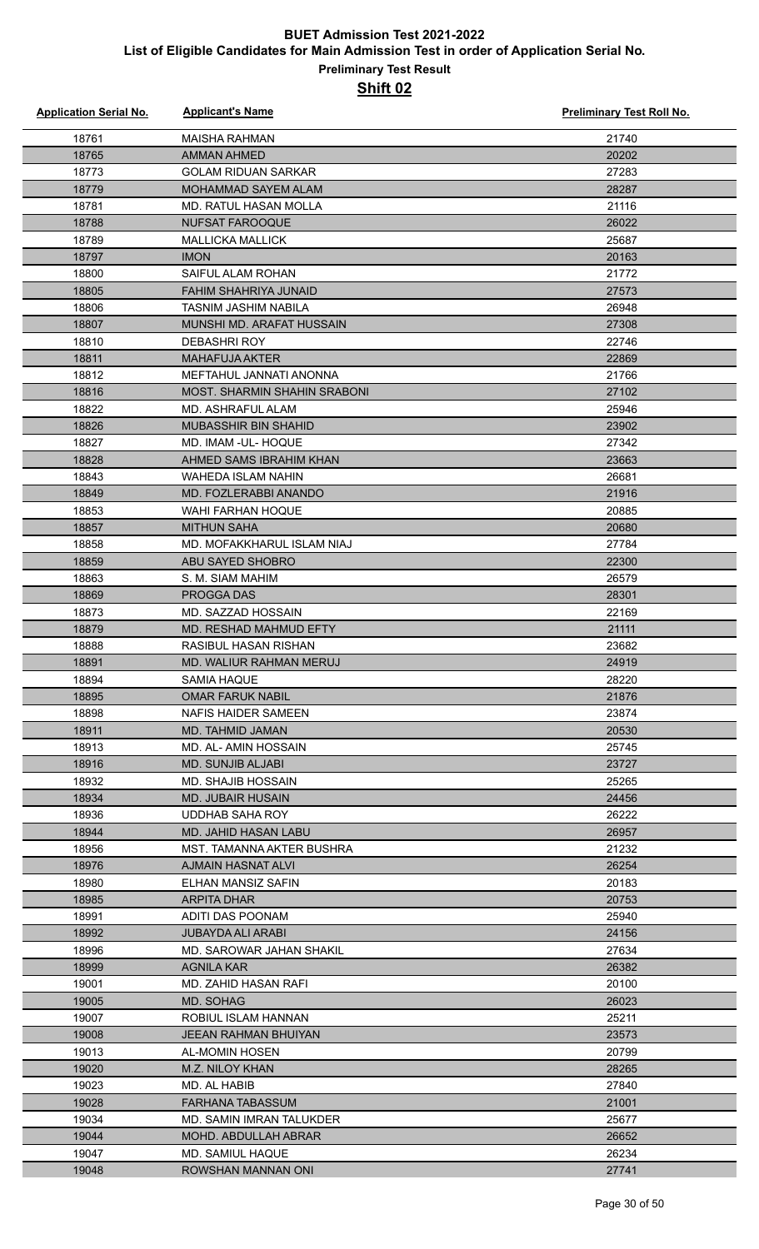| <b>Application Serial No.</b> | <b>Applicant's Name</b>          | <b>Preliminary Test Roll No.</b> |
|-------------------------------|----------------------------------|----------------------------------|
| 18761                         | <b>MAISHA RAHMAN</b>             | 21740                            |
| 18765                         | AMMAN AHMED                      | 20202                            |
| 18773                         | <b>GOLAM RIDUAN SARKAR</b>       | 27283                            |
| 18779                         | <b>MOHAMMAD SAYEM ALAM</b>       | 28287                            |
| 18781                         | MD. RATUL HASAN MOLLA            | 21116                            |
| 18788                         | NUFSAT FAROOQUE                  | 26022                            |
| 18789                         | <b>MALLICKA MALLICK</b>          | 25687                            |
| 18797                         | <b>IMON</b>                      | 20163                            |
| 18800                         | SAIFUL ALAM ROHAN                | 21772                            |
| 18805                         | FAHIM SHAHRIYA JUNAID            | 27573                            |
| 18806                         | <b>TASNIM JASHIM NABILA</b>      | 26948                            |
| 18807                         | MUNSHI MD. ARAFAT HUSSAIN        | 27308                            |
| 18810                         | <b>DEBASHRI ROY</b>              | 22746                            |
| 18811                         | <b>MAHAFUJA AKTER</b>            | 22869                            |
| 18812                         | MEFTAHUL JANNATI ANONNA          | 21766                            |
| 18816                         | MOST. SHARMIN SHAHIN SRABONI     | 27102                            |
| 18822                         | MD. ASHRAFUL ALAM                | 25946                            |
| 18826                         | <b>MUBASSHIR BIN SHAHID</b>      | 23902                            |
| 18827                         | MD. IMAM - UL- HOQUE             | 27342                            |
| 18828                         | AHMED SAMS IBRAHIM KHAN          | 23663                            |
| 18843                         | <b>WAHEDA ISLAM NAHIN</b>        | 26681                            |
| 18849                         | MD. FOZLERABBI ANANDO            | 21916                            |
| 18853                         | <b>WAHI FARHAN HOQUE</b>         | 20885                            |
| 18857                         | <b>MITHUN SAHA</b>               | 20680                            |
| 18858                         | MD. MOFAKKHARUL ISLAM NIAJ       | 27784                            |
| 18859                         | ABU SAYED SHOBRO                 | 22300                            |
| 18863                         | S. M. SIAM MAHIM                 | 26579                            |
| 18869                         | <b>PROGGADAS</b>                 | 28301                            |
| 18873                         | MD. SAZZAD HOSSAIN               | 22169                            |
| 18879                         | MD. RESHAD MAHMUD EFTY           | 21111                            |
| 18888                         | RASIBUL HASAN RISHAN             | 23682                            |
| 18891                         | MD. WALIUR RAHMAN MERUJ          | 24919                            |
| 18894                         | SAMIA HAQUE                      | 28220                            |
| 18895                         | <b>OMAR FARUK NABIL</b>          | 21876                            |
| 18898                         | NAFIS HAIDER SAMEEN              | 23874                            |
| 18911                         | MD. TAHMID JAMAN                 | 20530                            |
| 18913                         | MD. AL- AMIN HOSSAIN             | 25745                            |
| 18916                         | <b>MD. SUNJIB ALJABI</b>         | 23727                            |
| 18932                         | MD. SHAJIB HOSSAIN               | 25265                            |
| 18934                         | <b>MD. JUBAIR HUSAIN</b>         | 24456                            |
| 18936                         | UDDHAB SAHA ROY                  | 26222                            |
| 18944                         | MD. JAHID HASAN LABU             | 26957                            |
| 18956                         | <b>MST. TAMANNA AKTER BUSHRA</b> | 21232                            |
| 18976                         | AJMAIN HASNAT ALVI               | 26254                            |
| 18980                         | ELHAN MANSIZ SAFIN               | 20183                            |
| 18985                         | ARPITA DHAR                      | 20753                            |
| 18991                         | ADITI DAS POONAM                 | 25940                            |
| 18992                         | JUBAYDA ALI ARABI                | 24156                            |
| 18996                         | MD. SAROWAR JAHAN SHAKIL         | 27634                            |
| 18999                         | AGNILA KAR                       | 26382                            |
| 19001                         | MD. ZAHID HASAN RAFI             | 20100                            |
| 19005                         | MD. SOHAG                        | 26023                            |
| 19007                         | ROBIUL ISLAM HANNAN              | 25211                            |
| 19008                         | JEEAN RAHMAN BHUIYAN             | 23573                            |
| 19013                         | AL-MOMIN HOSEN                   | 20799                            |
| 19020                         | M.Z. NILOY KHAN                  | 28265                            |
| 19023                         | MD. AL HABIB                     | 27840                            |
| 19028                         | <b>FARHANA TABASSUM</b>          | 21001                            |
| 19034                         | MD. SAMIN IMRAN TALUKDER         | 25677                            |
| 19044                         | <b>MOHD. ABDULLAH ABRAR</b>      | 26652                            |
| 19047                         | <b>MD. SAMIUL HAQUE</b>          | 26234                            |
| 19048                         | ROWSHAN MANNAN ONI               | 27741                            |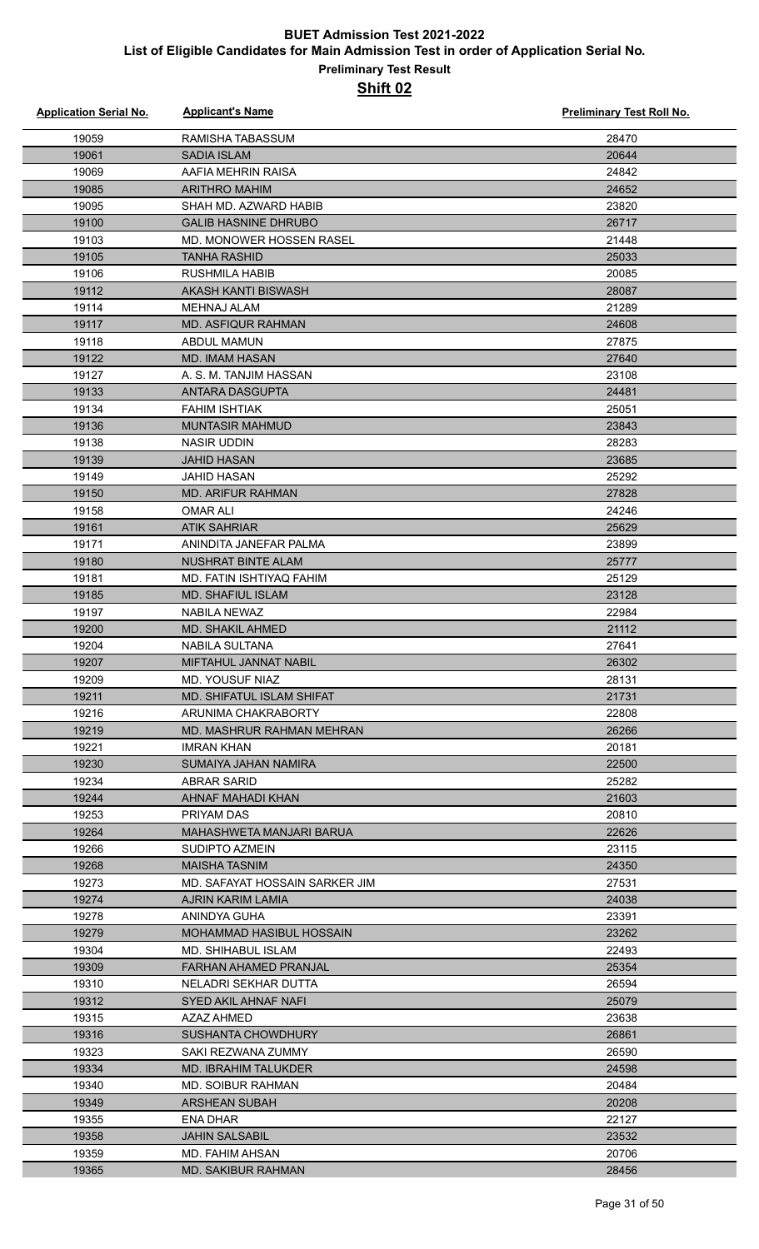| <b>Application Serial No.</b> | <b>Applicant's Name</b>                  | <b>Preliminary Test Roll No.</b> |
|-------------------------------|------------------------------------------|----------------------------------|
| 19059                         | RAMISHA TABASSUM                         | 28470                            |
| 19061                         | <b>SADIA ISLAM</b>                       | 20644                            |
| 19069                         | AAFIA MEHRIN RAISA                       | 24842                            |
| 19085                         | <b>ARITHRO MAHIM</b>                     | 24652                            |
| 19095                         | SHAH MD. AZWARD HABIB                    | 23820                            |
| 19100                         | <b>GALIB HASNINE DHRUBO</b>              | 26717                            |
| 19103                         | MD. MONOWER HOSSEN RASEL                 | 21448                            |
| 19105                         | <b>TANHA RASHID</b>                      | 25033                            |
| 19106                         | <b>RUSHMILA HABIB</b>                    | 20085                            |
| 19112                         | AKASH KANTI BISWASH                      | 28087                            |
| 19114                         | MEHNAJ ALAM                              | 21289                            |
| 19117                         | MD. ASFIQUR RAHMAN                       | 24608                            |
| 19118                         | ABDUL MAMUN                              | 27875                            |
| 19122                         | <b>MD. IMAM HASAN</b>                    | 27640                            |
| 19127                         | A. S. M. TANJIM HASSAN                   | 23108                            |
| 19133                         | <b>ANTARA DASGUPTA</b>                   | 24481                            |
| 19134                         | <b>FAHIM ISHTIAK</b>                     | 25051                            |
| 19136                         | <b>MUNTASIR MAHMUD</b>                   | 23843                            |
| 19138                         | <b>NASIR UDDIN</b>                       | 28283                            |
| 19139                         | <b>JAHID HASAN</b>                       | 23685                            |
| 19149                         | <b>JAHID HASAN</b>                       | 25292                            |
| 19150                         | <b>MD. ARIFUR RAHMAN</b>                 | 27828                            |
| 19158                         | <b>OMAR ALI</b>                          | 24246                            |
| 19161                         | <b>ATIK SAHRIAR</b>                      | 25629                            |
| 19171                         | ANINDITA JANEFAR PALMA                   | 23899                            |
| 19180                         | <b>NUSHRAT BINTE ALAM</b>                | 25777                            |
| 19181                         | MD. FATIN ISHTIYAQ FAHIM                 | 25129                            |
| 19185                         | <b>MD. SHAFIUL ISLAM</b>                 | 23128                            |
| 19197                         | NABILA NEWAZ                             | 22984                            |
| 19200                         | <b>MD. SHAKIL AHMED</b>                  | 21112                            |
| 19204                         | NABILA SULTANA                           | 27641                            |
| 19207                         | MIFTAHUL JANNAT NABIL                    | 26302                            |
| 19209                         | MD. YOUSUF NIAZ                          | 28131                            |
| 19211                         | <b>MD. SHIFATUL ISLAM SHIFAT</b>         | 21731                            |
| 19216                         | ARUNIMA CHAKRABORTY                      | 22808                            |
| 19219                         | MD. MASHRUR RAHMAN MEHRAN                | 26266                            |
| 19221                         | <b>IMRAN KHAN</b>                        | 20181                            |
| 19230                         | SUMAIYA JAHAN NAMIRA                     | 22500                            |
| 19234                         | ABRAR SARID                              | 25282                            |
| 19244                         | AHNAF MAHADI KHAN                        | 21603                            |
| 19253                         | PRIYAM DAS                               | 20810                            |
| 19264                         | MAHASHWETA MANJARI BARUA                 | 22626                            |
| 19266                         | SUDIPTO AZMEIN                           | 23115                            |
| 19268                         | <b>MAISHA TASNIM</b>                     | 24350                            |
| 19273                         | MD. SAFAYAT HOSSAIN SARKER JIM           | 27531                            |
| 19274                         | AJRIN KARIM LAMIA                        | 24038                            |
| 19278                         | ANINDYA GUHA                             | 23391                            |
| 19279                         | MOHAMMAD HASIBUL HOSSAIN                 | 23262                            |
| 19304                         | <b>MD. SHIHABUL ISLAM</b>                | 22493                            |
| 19309                         | FARHAN AHAMED PRANJAL                    | 25354                            |
| 19310                         | NELADRI SEKHAR DUTTA                     | 26594                            |
| 19312                         | SYED AKIL AHNAF NAFI                     | 25079                            |
| 19315                         | AZAZ AHMED                               | 23638                            |
| 19316                         | <b>SUSHANTA CHOWDHURY</b>                | 26861                            |
| 19323                         | SAKI REZWANA ZUMMY                       | 26590                            |
| 19334                         | MD. IBRAHIM TALUKDER                     | 24598                            |
| 19340                         | MD. SOIBUR RAHMAN                        | 20484                            |
| 19349                         | <b>ARSHEAN SUBAH</b>                     | 20208                            |
| 19355                         | ENA DHAR                                 | 22127                            |
| 19358<br>19359                | <b>JAHIN SALSABIL</b><br>MD. FAHIM AHSAN | 23532<br>20706                   |
| 19365                         | <b>MD. SAKIBUR RAHMAN</b>                | 28456                            |
|                               |                                          |                                  |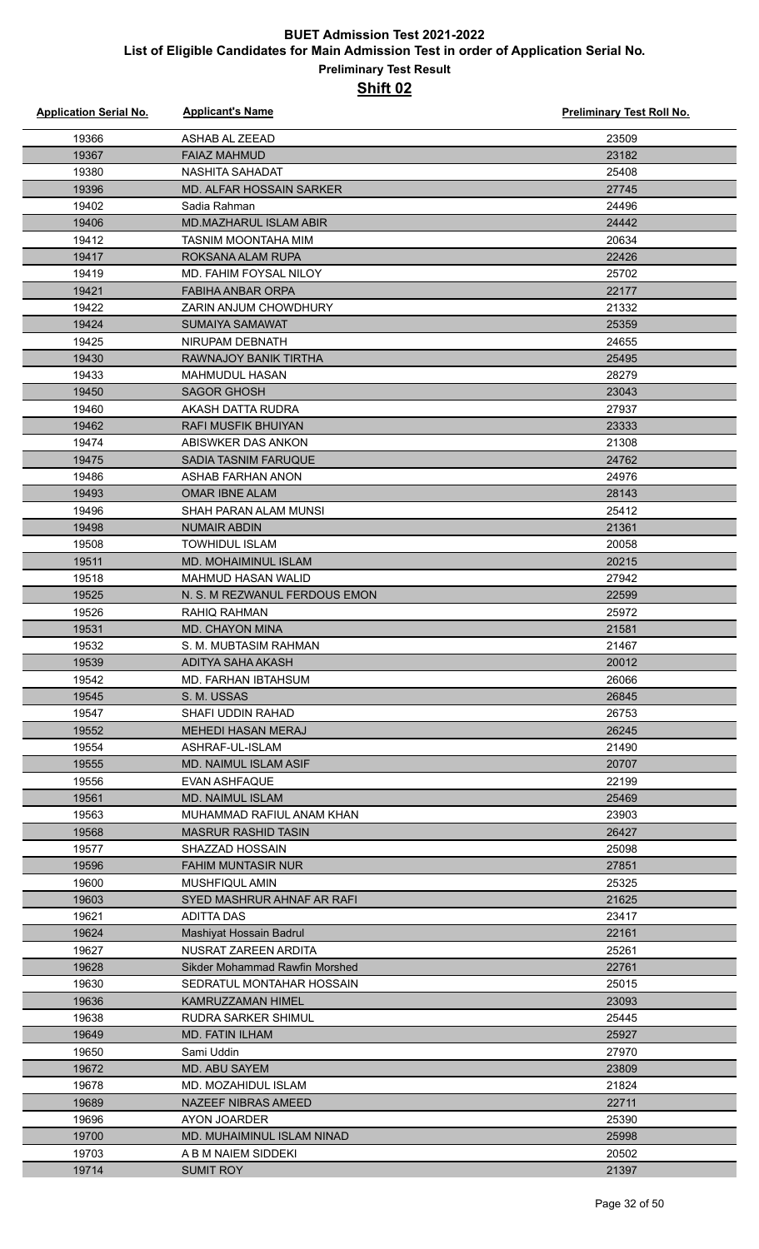| <b>Application Serial No.</b> | <b>Applicant's Name</b>                         | Preliminary Test Roll No. |
|-------------------------------|-------------------------------------------------|---------------------------|
| 19366                         | ASHAB AL ZEEAD                                  | 23509                     |
| 19367                         | <b>FAIAZ MAHMUD</b>                             | 23182                     |
| 19380                         | <b>NASHITA SAHADAT</b>                          | 25408                     |
| 19396                         | <b>MD. ALFAR HOSSAIN SARKER</b>                 | 27745                     |
| 19402                         | Sadia Rahman                                    | 24496                     |
| 19406                         | <b>MD.MAZHARUL ISLAM ABIR</b>                   | 24442                     |
| 19412                         | TASNIM MOONTAHA MIM                             | 20634                     |
| 19417                         | ROKSANA ALAM RUPA                               | 22426                     |
| 19419                         | MD. FAHIM FOYSAL NILOY                          | 25702                     |
| 19421                         | <b>FABIHA ANBAR ORPA</b>                        | 22177                     |
| 19422                         | ZARIN ANJUM CHOWDHURY                           | 21332                     |
| 19424                         | SUMAIYA SAMAWAT                                 | 25359                     |
| 19425                         | NIRUPAM DEBNATH                                 | 24655                     |
| 19430                         | RAWNAJOY BANIK TIRTHA                           | 25495                     |
| 19433                         | MAHMUDUL HASAN                                  | 28279                     |
| 19450                         | <b>SAGOR GHOSH</b>                              | 23043                     |
| 19460                         | AKASH DATTA RUDRA                               | 27937                     |
| 19462                         | RAFI MUSFIK BHUIYAN                             | 23333                     |
| 19474                         | ABISWKER DAS ANKON                              | 21308                     |
| 19475                         | <b>SADIA TASNIM FARUQUE</b>                     | 24762                     |
| 19486                         | ASHAB FARHAN ANON                               | 24976                     |
| 19493                         | <b>OMAR IBNE ALAM</b>                           | 28143                     |
| 19496                         | SHAH PARAN ALAM MUNSI                           | 25412                     |
| 19498                         | <b>NUMAIR ABDIN</b>                             | 21361                     |
| 19508                         | <b>TOWHIDUL ISLAM</b>                           | 20058                     |
| 19511                         | <b>MD. MOHAIMINUL ISLAM</b>                     | 20215                     |
| 19518                         | <b>MAHMUD HASAN WALID</b>                       | 27942                     |
| 19525                         | N. S. M REZWANUL FERDOUS EMON                   | 22599                     |
| 19526                         | <b>RAHIQ RAHMAN</b>                             | 25972                     |
| 19531                         | MD. CHAYON MINA                                 | 21581                     |
| 19532                         | S. M. MUBTASIM RAHMAN                           | 21467                     |
| 19539                         | ADITYA SAHA AKASH                               | 20012                     |
| 19542                         | MD. FARHAN IBTAHSUM                             | 26066                     |
| 19545                         | S. M. USSAS                                     | 26845                     |
| 19547                         | SHAFI UDDIN RAHAD                               | 26753                     |
| 19552                         | <b>MEHEDI HASAN MERAJ</b>                       | 26245                     |
| 19554                         | ASHRAF-UL-ISLAM                                 | 21490                     |
| 19555                         | MD. NAIMUL ISLAM ASIF                           | 20707                     |
| 19556                         | <b>EVAN ASHFAQUE</b>                            | 22199                     |
| 19561                         | <b>MD. NAIMUL ISLAM</b>                         | 25469                     |
| 19563                         | MUHAMMAD RAFIUL ANAM KHAN                       | 23903                     |
| 19568                         | <b>MASRUR RASHID TASIN</b>                      | 26427                     |
| 19577                         | <b>SHAZZAD HOSSAIN</b>                          | 25098                     |
| 19596                         | <b>FAHIM MUNTASIR NUR</b>                       | 27851                     |
| 19600                         | MUSHFIQUL AMIN                                  | 25325                     |
| 19603                         | SYED MASHRUR AHNAF AR RAFI                      | 21625                     |
| 19621                         | <b>ADITTA DAS</b>                               | 23417                     |
| 19624<br>19627                | Mashiyat Hossain Badrul<br>NUSRAT ZAREEN ARDITA | 22161<br>25261            |
|                               |                                                 |                           |
| 19628<br>19630                | <b>Sikder Mohammad Rawfin Morshed</b>           | 22761<br>25015            |
| 19636                         | SEDRATUL MONTAHAR HOSSAIN<br>KAMRUZZAMAN HIMEL  | 23093                     |
| 19638                         | RUDRA SARKER SHIMUL                             | 25445                     |
| 19649                         | <b>MD. FATIN ILHAM</b>                          | 25927                     |
| 19650                         | Sami Uddin                                      | 27970                     |
| 19672                         | MD. ABU SAYEM                                   | 23809                     |
| 19678                         | MD. MOZAHIDUL ISLAM                             | 21824                     |
| 19689                         | NAZEEF NIBRAS AMEED                             | 22711                     |
| 19696                         | AYON JOARDER                                    | 25390                     |
| 19700                         | MD. MUHAIMINUL ISLAM NINAD                      | 25998                     |
| 19703                         | A B M NAIEM SIDDEKI                             | 20502                     |
| 19714                         | <b>SUMIT ROY</b>                                | 21397                     |
|                               |                                                 |                           |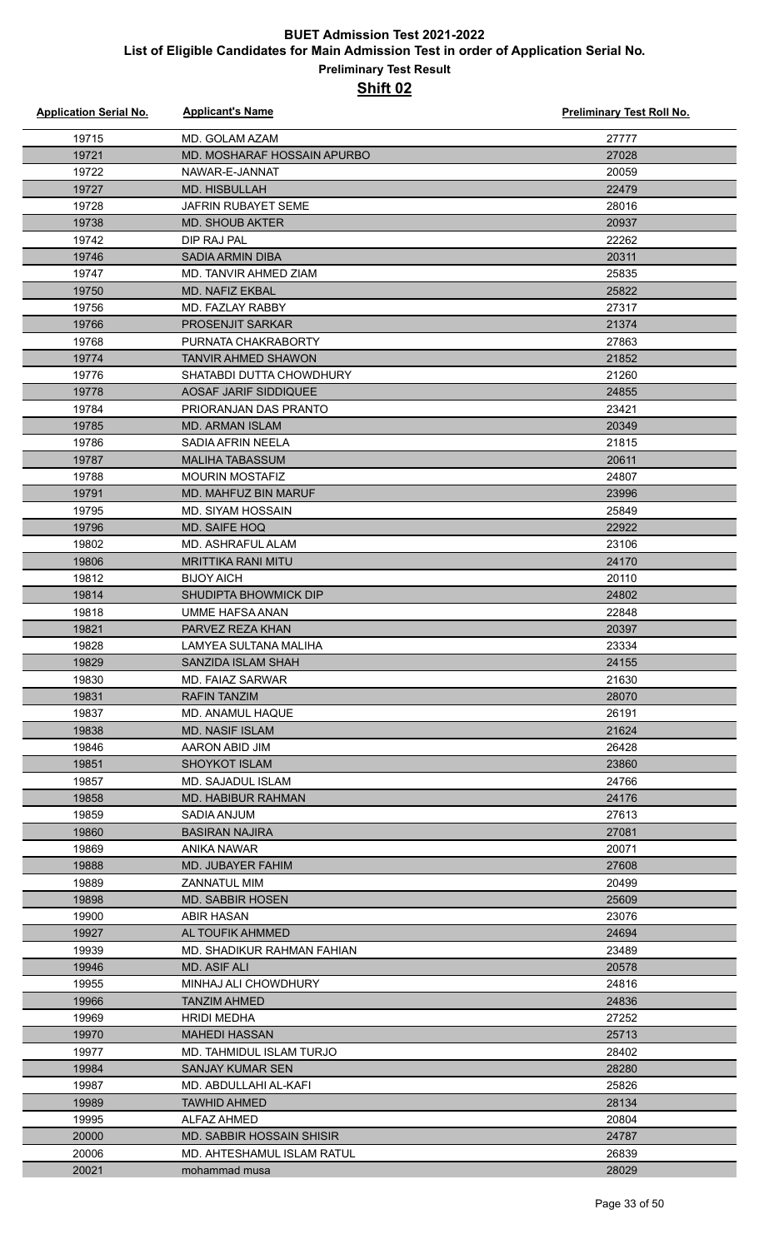| <b>Application Serial No.</b> | <b>Applicant's Name</b>          | <b>Preliminary Test Roll No.</b> |
|-------------------------------|----------------------------------|----------------------------------|
| 19715                         | MD. GOLAM AZAM                   | 27777                            |
| 19721                         | MD. MOSHARAF HOSSAIN APURBO      | 27028                            |
| 19722                         | NAWAR-E-JANNAT                   | 20059                            |
| 19727                         | MD. HISBULLAH                    | 22479                            |
| 19728                         | <b>JAFRIN RUBAYET SEME</b>       | 28016                            |
| 19738                         | <b>MD. SHOUB AKTER</b>           | 20937                            |
| 19742                         | DIP RAJ PAL                      | 22262                            |
| 19746                         | <b>SADIA ARMIN DIBA</b>          | 20311                            |
| 19747                         | MD. TANVIR AHMED ZIAM            | 25835                            |
| 19750                         | <b>MD. NAFIZ EKBAL</b>           | 25822                            |
| 19756                         | MD. FAZLAY RABBY                 | 27317                            |
| 19766                         | <b>PROSENJIT SARKAR</b>          | 21374                            |
| 19768                         | PURNATA CHAKRABORTY              | 27863                            |
| 19774                         | <b>TANVIR AHMED SHAWON</b>       | 21852                            |
| 19776                         | SHATABDI DUTTA CHOWDHURY         | 21260                            |
| 19778                         | AOSAF JARIF SIDDIQUEE            | 24855                            |
| 19784                         | PRIORANJAN DAS PRANTO            | 23421                            |
| 19785                         | <b>MD. ARMAN ISLAM</b>           | 20349                            |
| 19786                         | SADIA AFRIN NEELA                | 21815                            |
| 19787                         | <b>MALIHA TABASSUM</b>           | 20611                            |
| 19788                         | <b>MOURIN MOSTAFIZ</b>           | 24807                            |
| 19791                         | MD. MAHFUZ BIN MARUF             | 23996                            |
| 19795                         | MD. SIYAM HOSSAIN                | 25849                            |
| 19796                         | MD. SAIFE HOQ                    | 22922                            |
| 19802                         | MD. ASHRAFUL ALAM                | 23106                            |
| 19806                         | <b>MRITTIKA RANI MITU</b>        | 24170                            |
| 19812                         | <b>BIJOY AICH</b>                | 20110                            |
| 19814                         | SHUDIPTA BHOWMICK DIP            | 24802                            |
| 19818                         | <b>UMME HAFSA ANAN</b>           | 22848                            |
| 19821                         | PARVEZ REZA KHAN                 | 20397                            |
| 19828                         | <b>LAMYEA SULTANA MALIHA</b>     | 23334                            |
| 19829                         | SANZIDA ISLAM SHAH               | 24155                            |
| 19830                         | MD. FAIAZ SARWAR                 | 21630                            |
| 19831                         | <b>RAFIN TANZIM</b>              | 28070                            |
| 19837                         | <b>MD. ANAMUL HAQUE</b>          | 26191                            |
| 19838                         | <b>MD. NASIF ISLAM</b>           | 21624                            |
| 19846                         | AARON ABID JIM                   | 26428                            |
| 19851                         | <b>SHOYKOT ISLAM</b>             | 23860                            |
| 19857                         | MD. SAJADUL ISLAM                | 24766                            |
| 19858                         | MD. HABIBUR RAHMAN               | 24176                            |
| 19859                         | SADIA ANJUM                      | 27613                            |
| 19860                         | <b>BASIRAN NAJIRA</b>            | 27081                            |
| 19869                         | ANIKA NAWAR                      | 20071                            |
| 19888                         | MD. JUBAYER FAHIM                | 27608                            |
| 19889                         | <b>ZANNATUL MIM</b>              | 20499                            |
| 19898                         | <b>MD. SABBIR HOSEN</b>          | 25609                            |
| 19900                         | ABIR HASAN                       | 23076                            |
| 19927                         | AL TOUFIK AHMMED                 | 24694                            |
| 19939                         | MD. SHADIKUR RAHMAN FAHIAN       | 23489                            |
| 19946                         | MD. ASIF ALI                     | 20578                            |
| 19955                         | MINHAJ ALI CHOWDHURY             | 24816                            |
| 19966                         | <b>TANZIM AHMED</b>              | 24836                            |
|                               |                                  |                                  |
| 19969                         | <b>HRIDI MEDHA</b>               | 27252                            |
| 19970                         | <b>MAHEDI HASSAN</b>             | 25713                            |
| 19977                         | MD. TAHMIDUL ISLAM TURJO         | 28402                            |
| 19984                         | SANJAY KUMAR SEN                 | 28280                            |
| 19987                         | MD. ABDULLAHI AL-KAFI            | 25826                            |
| 19989                         | <b>TAWHID AHMED</b>              | 28134                            |
| 19995                         | ALFAZ AHMED                      | 20804                            |
| 20000                         | <b>MD. SABBIR HOSSAIN SHISIR</b> | 24787                            |
| 20006                         | MD. AHTESHAMUL ISLAM RATUL       | 26839                            |
| 20021                         | mohammad musa                    | 28029                            |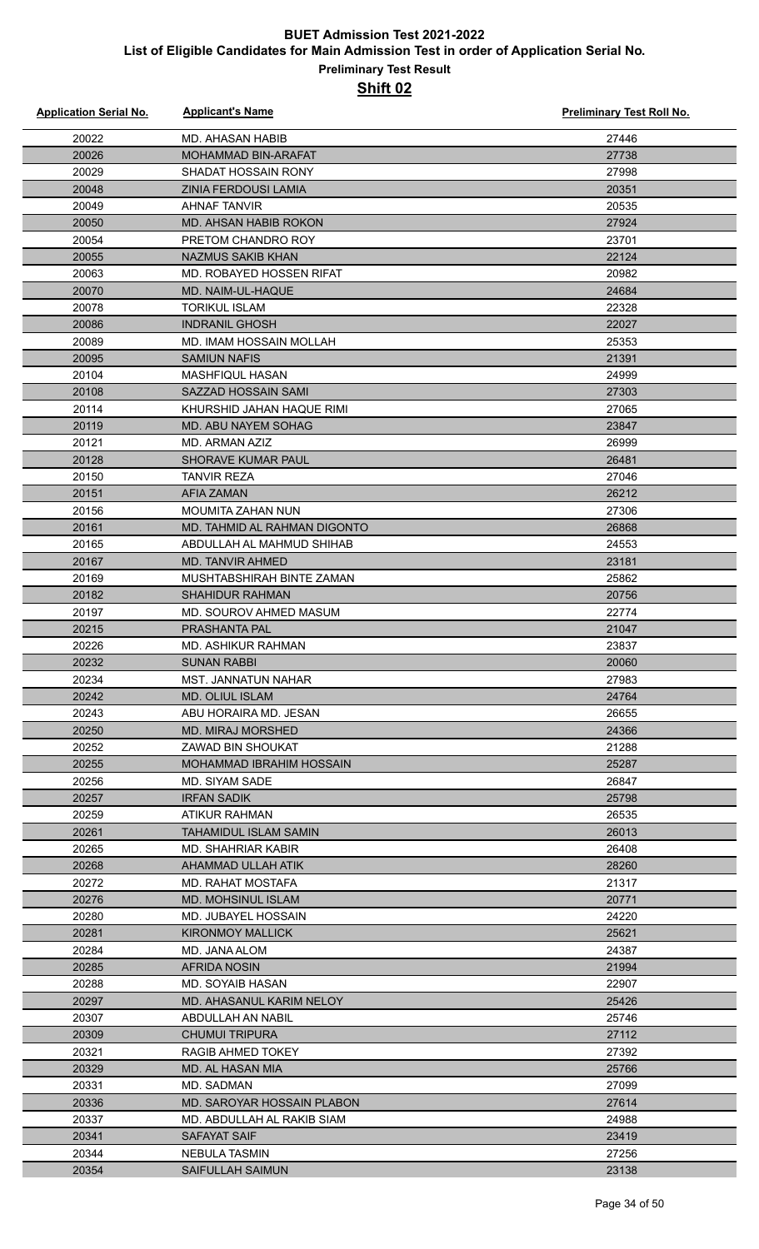#### **Preliminary Test Result Shift 02**

| <b>Application Serial No.</b> | <b>Applicant's Name</b>                           | Preliminary Test Roll No. |
|-------------------------------|---------------------------------------------------|---------------------------|
| 20022                         | <b>MD. AHASAN HABIB</b>                           | 27446                     |
| 20026                         | <b>MOHAMMAD BIN-ARAFAT</b>                        | 27738                     |
| 20029                         | SHADAT HOSSAIN RONY                               | 27998                     |
| 20048                         | ZINIA FERDOUSI LAMIA                              | 20351                     |
| 20049                         | <b>AHNAF TANVIR</b>                               | 20535                     |
| 20050                         | <b>MD. AHSAN HABIB ROKON</b>                      | 27924                     |
| 20054                         | PRETOM CHANDRO ROY                                | 23701                     |
| 20055                         | <b>NAZMUS SAKIB KHAN</b>                          | 22124                     |
| 20063                         | MD. ROBAYED HOSSEN RIFAT                          | 20982                     |
| 20070                         | MD. NAIM-UL-HAQUE                                 | 24684                     |
| 20078                         | <b>TORIKUL ISLAM</b>                              | 22328                     |
| 20086                         | <b>INDRANIL GHOSH</b>                             | 22027                     |
| 20089                         | MD. IMAM HOSSAIN MOLLAH                           | 25353                     |
| 20095                         | <b>SAMIUN NAFIS</b>                               | 21391                     |
| 20104                         | <b>MASHFIQUL HASAN</b>                            | 24999                     |
| 20108                         | SAZZAD HOSSAIN SAMI                               | 27303                     |
| 20114                         | KHURSHID JAHAN HAQUE RIMI                         | 27065                     |
| 20119                         | MD. ABU NAYEM SOHAG                               | 23847                     |
| 20121                         | MD. ARMAN AZIZ                                    | 26999                     |
| 20128                         | <b>SHORAVE KUMAR PAUL</b>                         | 26481                     |
| 20150                         | TANVIR REZA                                       | 27046                     |
| 20151                         | AFIA ZAMAN                                        | 26212                     |
| 20156                         | <b>MOUMITA ZAHAN NUN</b>                          | 27306                     |
| 20161                         | MD. TAHMID AL RAHMAN DIGONTO                      | 26868                     |
| 20165                         | ABDULLAH AL MAHMUD SHIHAB                         | 24553                     |
| 20167                         | MD. TANVIR AHMED                                  | 23181                     |
| 20169                         | MUSHTABSHIRAH BINTE ZAMAN                         | 25862                     |
|                               | <b>SHAHIDUR RAHMAN</b>                            | 20756                     |
| 20182                         | MD. SOUROV AHMED MASUM                            |                           |
| 20197                         |                                                   | 22774                     |
| 20215                         | <b>PRASHANTA PAL</b>                              | 21047                     |
| 20226<br>20232                | MD. ASHIKUR RAHMAN<br><b>SUNAN RABBI</b>          | 23837<br>20060            |
|                               |                                                   |                           |
| 20234                         | MST. JANNATUN NAHAR                               | 27983<br>24764            |
| 20242                         | MD. OLIUL ISLAM                                   | 26655                     |
| 20243<br>20250                | ABU HORAIRA MD. JESAN<br><b>MD. MIRAJ MORSHED</b> | 24366                     |
| 20252                         | ZAWAD BIN SHOUKAT                                 | 21288                     |
| 20255                         | <b>MOHAMMAD IBRAHIM HOSSAIN</b>                   | 25287                     |
| 20256                         | <b>MD. SIYAM SADE</b>                             | 26847                     |
| 20257                         |                                                   |                           |
| 20259                         | <b>IRFAN SADIK</b><br>ATIKUR RAHMAN               | 25798<br>26535            |
| 20261                         | TAHAMIDUL ISLAM SAMIN                             | 26013                     |
| 20265                         |                                                   | 26408                     |
|                               | MD. SHAHRIAR KABIR                                |                           |
| 20268                         | AHAMMAD ULLAH ATIK                                | 28260                     |
| 20272                         | MD. RAHAT MOSTAFA                                 | 21317                     |
| 20276                         | <b>MD. MOHSINUL ISLAM</b>                         | 20771                     |
| 20280                         | MD. JUBAYEL HOSSAIN                               | 24220                     |
| 20281<br>20284                | <b>KIRONMOY MALLICK</b><br>MD. JANA ALOM          | 25621<br>24387            |
|                               |                                                   |                           |
| 20285                         | <b>AFRIDA NOSIN</b>                               | 21994                     |
| 20288<br>20297                | MD. SOYAIB HASAN                                  | 22907                     |
|                               | MD. AHASANUL KARIM NELOY                          | 25426                     |
| 20307                         | ABDULLAH AN NABIL                                 | 25746                     |
| 20309                         | <b>CHUMUI TRIPURA</b>                             | 27112                     |
| 20321                         | RAGIB AHMED TOKEY                                 | 27392                     |
| 20329                         | <b>MD. AL HASAN MIA</b>                           | 25766                     |
| 20331                         | MD. SADMAN                                        | 27099                     |
| 20336                         | MD. SAROYAR HOSSAIN PLABON                        | 27614                     |
| 20337                         | MD. ABDULLAH AL RAKIB SIAM                        | 24988                     |
| 20341                         | SAFAYAT SAIF                                      | 23419                     |
| 20344                         | NEBULA TASMIN                                     | 27256                     |
| 20354                         | <b>SAIFULLAH SAIMUN</b>                           | 23138                     |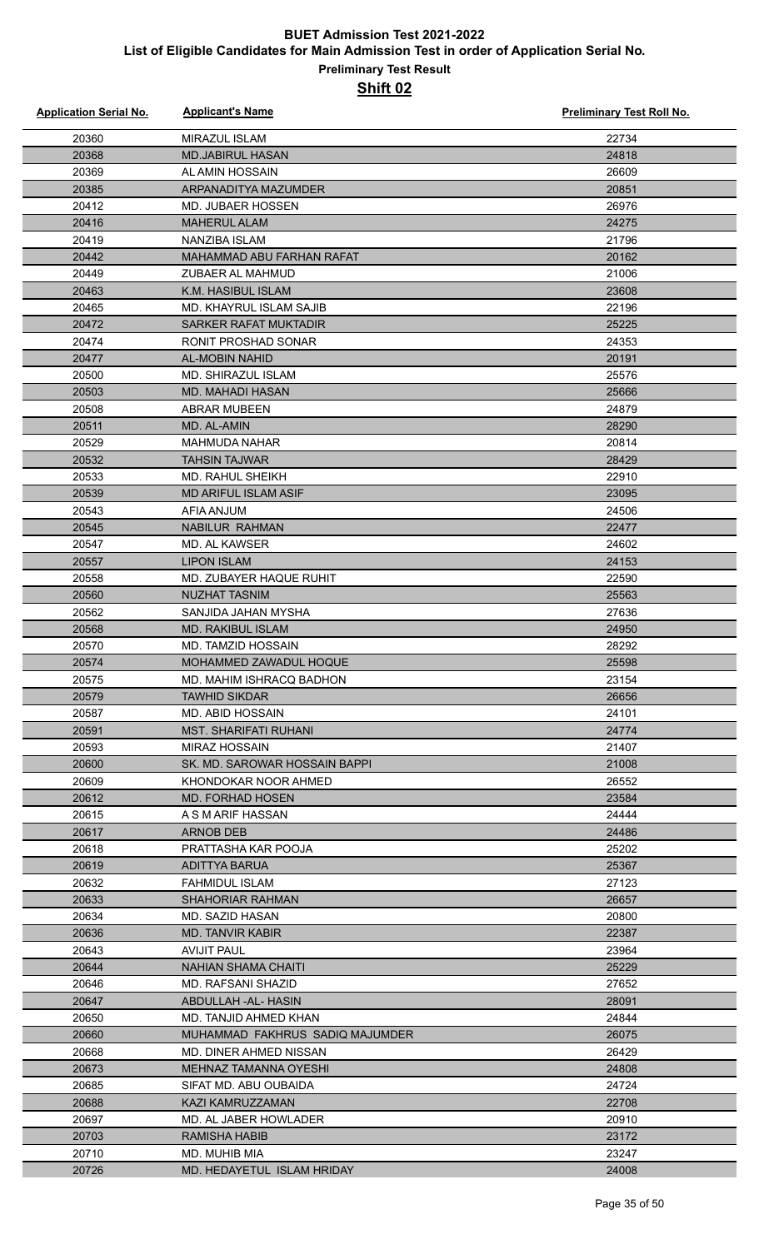| <b>Application Serial No.</b> | <b>Applicant's Name</b>                     | Preliminary Test Roll No. |
|-------------------------------|---------------------------------------------|---------------------------|
| 20360                         | MIRAZUL ISLAM                               | 22734                     |
| 20368                         | <b>MD.JABIRUL HASAN</b>                     | 24818                     |
| 20369                         | AL AMIN HOSSAIN                             | 26609                     |
| 20385                         | ARPANADITYA MAZUMDER                        | 20851                     |
| 20412                         | <b>MD. JUBAER HOSSEN</b>                    | 26976                     |
| 20416                         | <b>MAHERUL ALAM</b>                         | 24275                     |
| 20419                         | NANZIBA ISLAM                               | 21796                     |
| 20442                         | MAHAMMAD ABU FARHAN RAFAT                   | 20162                     |
| 20449                         | ZUBAER AL MAHMUD                            | 21006                     |
| 20463                         | K.M. HASIBUL ISLAM                          | 23608                     |
| 20465                         | <b>MD. KHAYRUL ISLAM SAJIB</b>              | 22196                     |
| 20472                         | SARKER RAFAT MUKTADIR                       | 25225                     |
| 20474                         | RONIT PROSHAD SONAR                         | 24353                     |
| 20477                         | <b>AL-MOBIN NAHID</b>                       | 20191                     |
| 20500                         | <b>MD. SHIRAZUL ISLAM</b>                   | 25576                     |
| 20503                         | <b>MD. MAHADI HASAN</b>                     | 25666                     |
| 20508                         | <b>ABRAR MUBEEN</b>                         | 24879                     |
| 20511                         | MD. AL-AMIN                                 | 28290                     |
| 20529                         | <b>MAHMUDA NAHAR</b>                        | 20814                     |
| 20532                         | <b>TAHSIN TAJWAR</b>                        | 28429                     |
| 20533                         | MD. RAHUL SHEIKH                            | 22910                     |
| 20539                         | <b>MD ARIFUL ISLAM ASIF</b>                 | 23095                     |
| 20543                         | AFIA ANJUM                                  | 24506                     |
| 20545                         | <b>NABILUR RAHMAN</b>                       | 22477                     |
| 20547                         | MD. AL KAWSER                               | 24602                     |
| 20557                         | <b>LIPON ISLAM</b>                          | 24153                     |
| 20558<br>20560                | MD. ZUBAYER HAQUE RUHIT                     | 22590                     |
| 20562                         | <b>NUZHAT TASNIM</b><br>SANJIDA JAHAN MYSHA | 25563<br>27636            |
| 20568                         | <b>MD. RAKIBUL ISLAM</b>                    | 24950                     |
| 20570                         | MD. TAMZID HOSSAIN                          | 28292                     |
| 20574                         | MOHAMMED ZAWADUL HOQUE                      | 25598                     |
| 20575                         | MD. MAHIM ISHRACQ BADHON                    | 23154                     |
| 20579                         | <b>TAWHID SIKDAR</b>                        | 26656                     |
| 20587                         | MD. ABID HOSSAIN                            | 24101                     |
| 20591                         | <b>MST. SHARIFATI RUHANI</b>                | 24774                     |
| 20593                         | MIRAZ HOSSAIN                               | 21407                     |
| 20600                         | SK. MD. SAROWAR HOSSAIN BAPPI               | 21008                     |
| 20609                         | KHONDOKAR NOOR AHMED                        | 26552                     |
| 20612                         | <b>MD. FORHAD HOSEN</b>                     | 23584                     |
| 20615                         | A S M ARIF HASSAN                           | 24444                     |
| 20617                         | <b>ARNOB DEB</b>                            | 24486                     |
| 20618                         | PRATTASHA KAR POOJA                         | 25202                     |
| 20619                         | ADITTYA BARUA                               | 25367                     |
| 20632                         | FAHMIDUL ISLAM                              | 27123                     |
| 20633                         | <b>SHAHORIAR RAHMAN</b>                     | 26657                     |
| 20634                         | MD. SAZID HASAN                             | 20800                     |
| 20636                         | <b>MD. TANVIR KABIR</b>                     | 22387                     |
| 20643                         | <b>AVIJIT PAUL</b>                          | 23964                     |
| 20644                         | <b>NAHIAN SHAMA CHAITI</b>                  | 25229                     |
| 20646<br>20647                | MD. RAFSANI SHAZID<br>ABDULLAH-AL-HASIN     | 27652<br>28091            |
| 20650                         | MD. TANJID AHMED KHAN                       | 24844                     |
| 20660                         | MUHAMMAD FAKHRUS SADIQ MAJUMDER             | 26075                     |
| 20668                         | MD. DINER AHMED NISSAN                      | 26429                     |
| 20673                         | MEHNAZ TAMANNA OYESHI                       | 24808                     |
| 20685                         | SIFAT MD. ABU OUBAIDA                       | 24724                     |
| 20688                         | KAZI KAMRUZZAMAN                            | 22708                     |
| 20697                         | MD. AL JABER HOWLADER                       | 20910                     |
| 20703                         | <b>RAMISHA HABIB</b>                        | 23172                     |
| 20710                         | MD. MUHIB MIA                               | 23247                     |
| 20726                         | MD. HEDAYETUL ISLAM HRIDAY                  | 24008                     |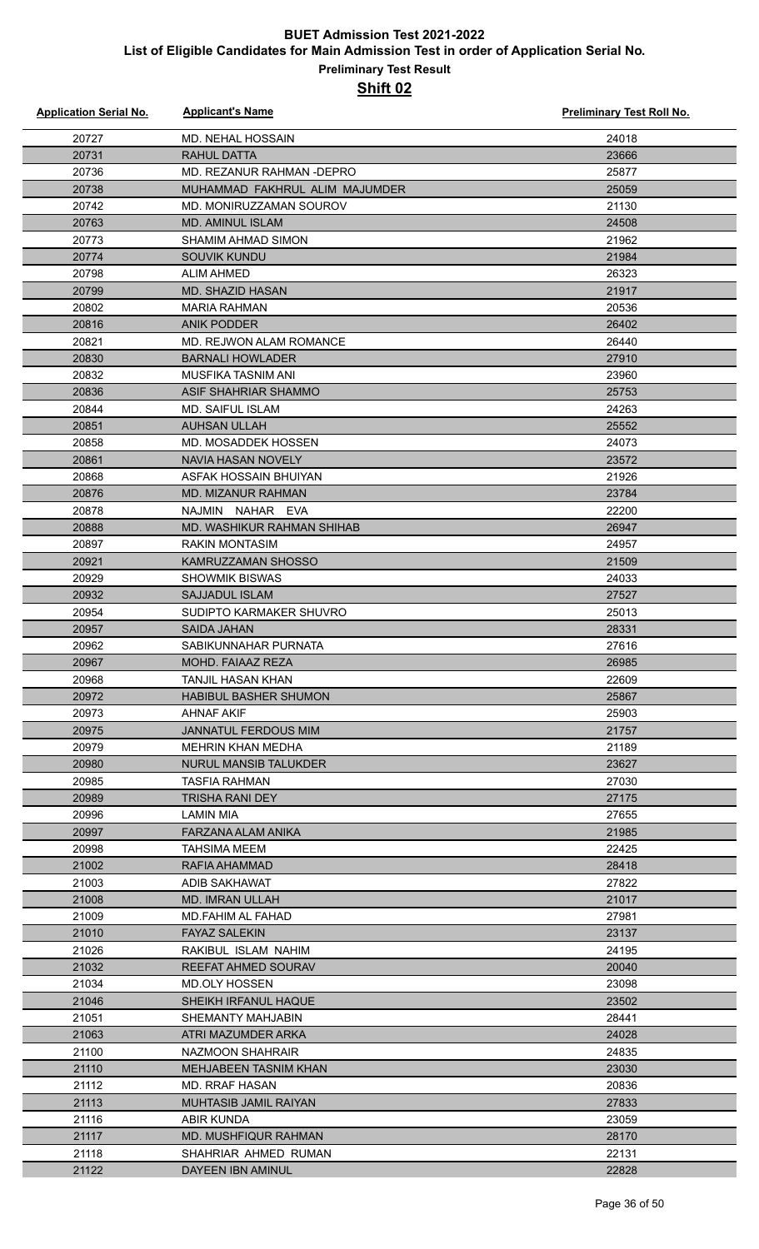| <b>Application Serial No.</b> | <b>Applicant's Name</b>        | <b>Preliminary Test Roll No.</b> |
|-------------------------------|--------------------------------|----------------------------------|
| 20727                         | <b>MD. NEHAL HOSSAIN</b>       | 24018                            |
| 20731                         | <b>RAHUL DATTA</b>             | 23666                            |
| 20736                         | MD. REZANUR RAHMAN - DEPRO     | 25877                            |
| 20738                         | MUHAMMAD FAKHRUL ALIM MAJUMDER | 25059                            |
| 20742                         | MD. MONIRUZZAMAN SOUROV        | 21130                            |
| 20763                         | <b>MD. AMINUL ISLAM</b>        | 24508                            |
| 20773                         | SHAMIM AHMAD SIMON             | 21962                            |
| 20774                         | <b>SOUVIK KUNDU</b>            | 21984                            |
| 20798                         | <b>ALIM AHMED</b>              | 26323                            |
| 20799                         | <b>MD. SHAZID HASAN</b>        | 21917                            |
| 20802                         | <b>MARIA RAHMAN</b>            | 20536                            |
| 20816                         | <b>ANIK PODDER</b>             | 26402                            |
| 20821                         | MD. REJWON ALAM ROMANCE        | 26440                            |
|                               |                                | 27910                            |
| 20830                         | <b>BARNALI HOWLADER</b>        |                                  |
| 20832                         | MUSFIKA TASNIM ANI             | 23960                            |
| 20836<br>20844                | ASIF SHAHRIAR SHAMMO           | 25753                            |
|                               | <b>MD. SAIFUL ISLAM</b>        | 24263                            |
| 20851                         | <b>AUHSAN ULLAH</b>            | 25552                            |
| 20858                         | MD. MOSADDEK HOSSEN            | 24073                            |
| 20861                         | <b>NAVIA HASAN NOVELY</b>      | 23572                            |
| 20868                         | ASFAK HOSSAIN BHUIYAN          | 21926                            |
| 20876                         | <b>MD. MIZANUR RAHMAN</b>      | 23784                            |
| 20878                         | NAJMIN<br>NAHAR EVA            | 22200                            |
| 20888                         | MD. WASHIKUR RAHMAN SHIHAB     | 26947                            |
| 20897                         | <b>RAKIN MONTASIM</b>          | 24957                            |
| 20921                         | <b>KAMRUZZAMAN SHOSSO</b>      | 21509                            |
| 20929                         | <b>SHOWMIK BISWAS</b>          | 24033                            |
| 20932                         | <b>SAJJADUL ISLAM</b>          | 27527                            |
| 20954                         | SUDIPTO KARMAKER SHUVRO        | 25013                            |
| 20957                         | SAIDA JAHAN                    | 28331                            |
| 20962                         | SABIKUNNAHAR PURNATA           | 27616                            |
| 20967                         | MOHD. FAIAAZ REZA              | 26985                            |
| 20968                         | TANJIL HASAN KHAN              | 22609                            |
| 20972                         | <b>HABIBUL BASHER SHUMON</b>   | 25867                            |
| 20973                         | AHNAF AKIF                     | 25903                            |
| 20975                         | <b>JANNATUL FERDOUS MIM</b>    | 21757                            |
| 20979                         | MEHRIN KHAN MEDHA              | 21189                            |
| 20980                         | <b>NURUL MANSIB TALUKDER</b>   | 23627                            |
| 20985                         | <b>TASFIA RAHMAN</b>           | 27030                            |
| 20989                         | <b>TRISHA RANI DEY</b>         | 27175                            |
| 20996                         | LAMIN MIA                      | 27655                            |
| 20997                         | FARZANA ALAM ANIKA             | 21985                            |
| 20998                         | TAHSIMA MEEM                   | 22425                            |
| 21002                         | RAFIA AHAMMAD                  | 28418                            |
| 21003                         | ADIB SAKHAWAT                  | 27822                            |
| 21008                         | <b>MD. IMRAN ULLAH</b>         | 21017                            |
| 21009                         | MD.FAHIM AL FAHAD              | 27981                            |
| 21010                         | <b>FAYAZ SALEKIN</b>           | 23137                            |
| 21026                         | RAKIBUL ISLAM NAHIM            | 24195                            |
| 21032                         | <b>REEFAT AHMED SOURAV</b>     | 20040                            |
| 21034                         | MD.OLY HOSSEN                  | 23098                            |
| 21046                         | SHEIKH IRFANUL HAQUE           | 23502                            |
| 21051                         | SHEMANTY MAHJABIN              | 28441                            |
| 21063                         | ATRI MAZUMDER ARKA             | 24028                            |
| 21100                         | NAZMOON SHAHRAIR               | 24835                            |
| 21110                         | <b>MEHJABEEN TASNIM KHAN</b>   | 23030                            |
| 21112                         | <b>MD. RRAF HASAN</b>          | 20836                            |
| 21113                         | <b>MUHTASIB JAMIL RAIYAN</b>   | 27833                            |
| 21116                         | ABIR KUNDA                     | 23059                            |
| 21117                         | <b>MD. MUSHFIQUR RAHMAN</b>    | 28170                            |
| 21118                         | SHAHRIAR AHMED RUMAN           | 22131                            |
| 21122                         | <b>DAYEEN IBN AMINUL</b>       | 22828                            |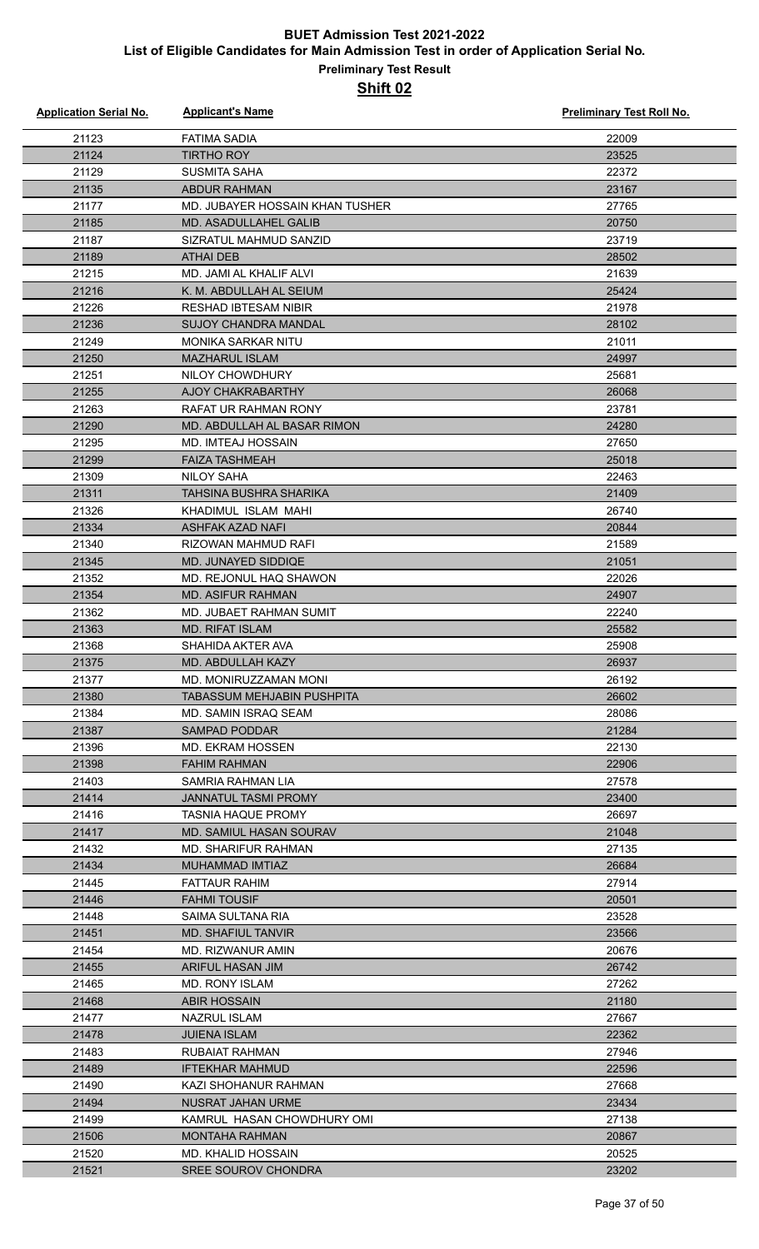| <b>Application Serial No.</b> | <b>Applicant's Name</b>                          | <b>Preliminary Test Roll No.</b> |
|-------------------------------|--------------------------------------------------|----------------------------------|
| 21123                         | <b>FATIMA SADIA</b>                              | 22009                            |
| 21124                         | <b>TIRTHO ROY</b>                                | 23525                            |
| 21129                         | <b>SUSMITA SAHA</b>                              | 22372                            |
| 21135                         | ABDUR RAHMAN                                     | 23167                            |
| 21177                         | MD. JUBAYER HOSSAIN KHAN TUSHER                  | 27765                            |
| 21185                         | <b>MD. ASADULLAHEL GALIB</b>                     | 20750                            |
| 21187                         | SIZRATUL MAHMUD SANZID                           | 23719                            |
| 21189                         | <b>ATHAI DEB</b>                                 | 28502                            |
| 21215                         | MD. JAMI AL KHALIF ALVI                          | 21639                            |
| 21216                         | K. M. ABDULLAH AL SEIUM                          | 25424                            |
| 21226                         | <b>RESHAD IBTESAM NIBIR</b>                      | 21978                            |
| 21236                         | <b>SUJOY CHANDRA MANDAL</b>                      | 28102                            |
| 21249                         | <b>MONIKA SARKAR NITU</b>                        | 21011                            |
| 21250                         | <b>MAZHARUL ISLAM</b>                            | 24997                            |
| 21251                         | NILOY CHOWDHURY                                  | 25681                            |
| 21255                         | <b>AJOY CHAKRABARTHY</b>                         | 26068                            |
| 21263                         | <b>RAFAT UR RAHMAN RONY</b>                      | 23781                            |
| 21290                         | MD. ABDULLAH AL BASAR RIMON                      | 24280                            |
| 21295                         | <b>MD. IMTEAJ HOSSAIN</b>                        | 27650                            |
| 21299                         | <b>FAIZA TASHMEAH</b>                            | 25018                            |
| 21309                         | <b>NILOY SAHA</b>                                | 22463                            |
| 21311                         | <b>TAHSINA BUSHRA SHARIKA</b>                    | 21409                            |
| 21326                         | KHADIMUL ISLAM MAHI                              | 26740                            |
| 21334                         | <b>ASHFAK AZAD NAFI</b>                          | 20844                            |
| 21340                         | RIZOWAN MAHMUD RAFI                              | 21589                            |
| 21345                         | <b>MD. JUNAYED SIDDIQE</b>                       | 21051                            |
| 21352                         | MD. REJONUL HAQ SHAWON                           | 22026                            |
| 21354                         | <b>MD. ASIFUR RAHMAN</b>                         | 24907                            |
| 21362                         | MD. JUBAET RAHMAN SUMIT                          | 22240                            |
| 21363                         | <b>MD. RIFAT ISLAM</b>                           | 25582                            |
| 21368                         | SHAHIDA AKTER AVA                                | 25908                            |
| 21375                         | MD. ABDULLAH KAZY                                | 26937                            |
| 21377                         | MD. MONIRUZZAMAN MONI                            | 26192                            |
| 21380                         | TABASSUM MEHJABIN PUSHPITA                       | 26602                            |
| 21384                         | MD. SAMIN ISRAQ SEAM                             | 28086                            |
| 21387                         | <b>SAMPAD PODDAR</b>                             | 21284                            |
| 21396                         | MD. EKRAM HOSSEN                                 | 22130                            |
| 21398                         | <b>FAHIM RAHMAN</b>                              | 22906                            |
| 21403                         | SAMRIA RAHMAN LIA<br><b>JANNATUL TASMI PROMY</b> | 27578                            |
| 21414<br>21416                | <b>TASNIA HAQUE PROMY</b>                        | 23400<br>26697                   |
| 21417                         | MD. SAMIUL HASAN SOURAV                          | 21048                            |
| 21432                         | MD. SHARIFUR RAHMAN                              | 27135                            |
| 21434                         | MUHAMMAD IMTIAZ                                  | 26684                            |
| 21445                         | <b>FATTAUR RAHIM</b>                             | 27914                            |
| 21446                         | <b>FAHMI TOUSIF</b>                              | 20501                            |
| 21448                         | SAIMA SULTANA RIA                                | 23528                            |
| 21451                         | <b>MD. SHAFIUL TANVIR</b>                        | 23566                            |
| 21454                         | MD. RIZWANUR AMIN                                | 20676                            |
| 21455                         | <b>ARIFUL HASAN JIM</b>                          | 26742                            |
| 21465                         | MD. RONY ISLAM                                   | 27262                            |
| 21468                         | ABIR HOSSAIN                                     | 21180                            |
| 21477                         | NAZRUL ISLAM                                     | 27667                            |
| 21478                         | <b>JUIENA ISLAM</b>                              | 22362                            |
| 21483                         | RUBAIAT RAHMAN                                   | 27946                            |
| 21489                         | <b>IFTEKHAR MAHMUD</b>                           | 22596                            |
| 21490                         | KAZI SHOHANUR RAHMAN                             | 27668                            |
| 21494                         | <b>NUSRAT JAHAN URME</b>                         | 23434                            |
| 21499                         | KAMRUL HASAN CHOWDHURY OMI                       | 27138                            |
| 21506                         | <b>MONTAHA RAHMAN</b>                            | 20867                            |
| 21520                         | MD. KHALID HOSSAIN                               | 20525                            |
| 21521                         | <b>SREE SOUROV CHONDRA</b>                       | 23202                            |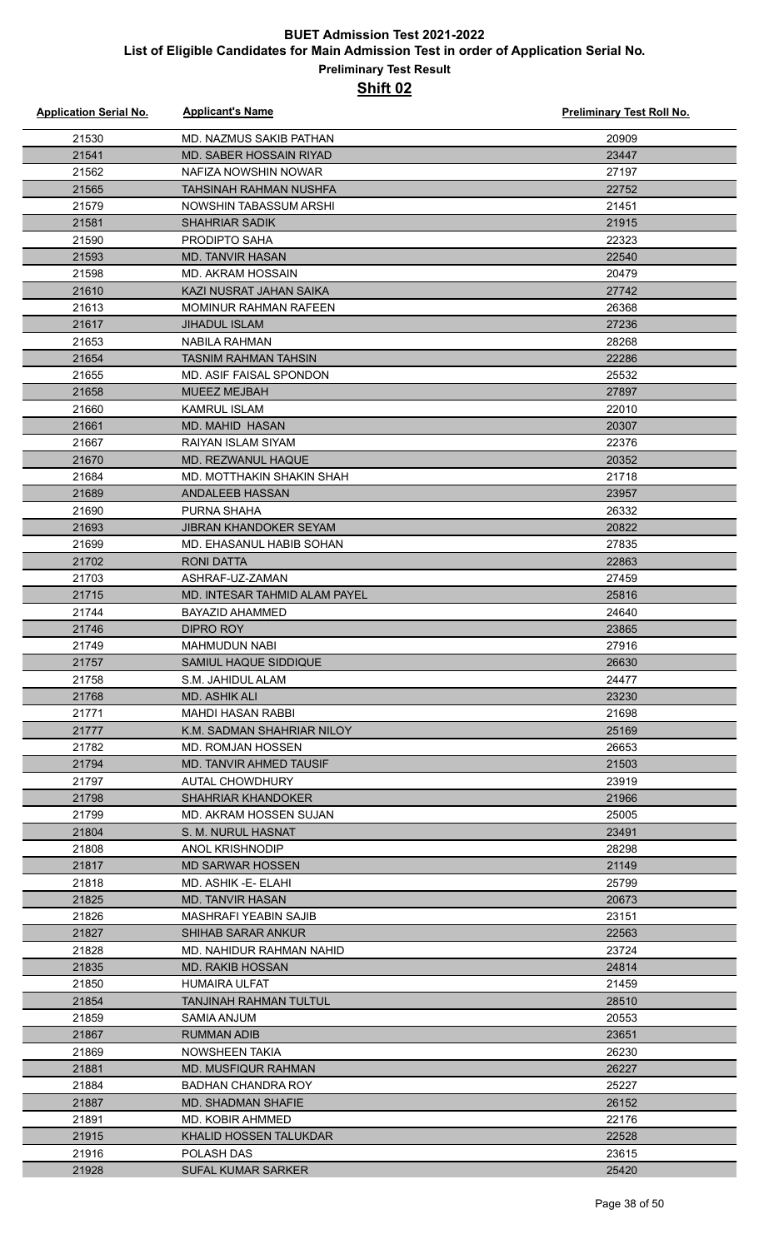| <b>Application Serial No.</b> | <b>Applicant's Name</b>       | <b>Preliminary Test Roll No.</b> |
|-------------------------------|-------------------------------|----------------------------------|
| 21530                         | MD. NAZMUS SAKIB PATHAN       | 20909                            |
| 21541                         | MD. SABER HOSSAIN RIYAD       | 23447                            |
| 21562                         | NAFIZA NOWSHIN NOWAR          | 27197                            |
| 21565                         | <b>TAHSINAH RAHMAN NUSHFA</b> | 22752                            |
| 21579                         | NOWSHIN TABASSUM ARSHI        | 21451                            |
| 21581                         | <b>SHAHRIAR SADIK</b>         | 21915                            |
| 21590                         | PRODIPTO SAHA                 | 22323                            |
| 21593                         | <b>MD. TANVIR HASAN</b>       | 22540                            |
| 21598                         | MD. AKRAM HOSSAIN             | 20479                            |
| 21610                         | KAZI NUSRAT JAHAN SAIKA       | 27742                            |
| 21613                         | <b>MOMINUR RAHMAN RAFEEN</b>  | 26368                            |
| 21617                         | <b>JIHADUL ISLAM</b>          | 27236                            |
| 21653                         | NABILA RAHMAN                 | 28268                            |
| 21654                         | <b>TASNIM RAHMAN TAHSIN</b>   | 22286                            |
| 21655                         | MD. ASIF FAISAL SPONDON       | 25532                            |
| 21658                         | MUEEZ MEJBAH                  | 27897                            |
| 21660                         | <b>KAMRUL ISLAM</b>           | 22010                            |
| 21661                         | <b>MD. MAHID HASAN</b>        | 20307                            |
| 21667                         | RAIYAN ISLAM SIYAM            | 22376                            |
| 21670                         | MD. REZWANUL HAQUE            | 20352                            |
| 21684                         | MD. MOTTHAKIN SHAKIN SHAH     | 21718                            |
| 21689                         | <b>ANDALEEB HASSAN</b>        | 23957                            |
| 21690                         | PURNA SHAHA                   | 26332                            |
| 21693                         | JIBRAN KHANDOKER SEYAM        | 20822                            |
| 21699                         | MD. EHASANUL HABIB SOHAN      | 27835                            |
| 21702                         | <b>RONI DATTA</b>             | 22863                            |
| 21703                         | ASHRAF-UZ-ZAMAN               | 27459                            |
| 21715                         | MD. INTESAR TAHMID ALAM PAYEL | 25816                            |
| 21744                         | <b>BAYAZID AHAMMED</b>        | 24640                            |
| 21746                         | <b>DIPRO ROY</b>              | 23865                            |
| 21749                         | <b>MAHMUDUN NABI</b>          | 27916                            |
| 21757                         | SAMIUL HAQUE SIDDIQUE         | 26630                            |
| 21758                         | S.M. JAHIDUL ALAM             | 24477                            |
| 21768                         | <b>MD. ASHIK ALI</b>          | 23230                            |
| 21771                         | <b>MAHDI HASAN RABBI</b>      | 21698                            |
| 21777                         | K.M. SADMAN SHAHRIAR NILOY    | 25169                            |
| 21782                         | MD. ROMJAN HOSSEN             | 26653                            |
| 21794                         | MD. TANVIR AHMED TAUSIF       | 21503                            |
| 21797                         | AUTAL CHOWDHURY               | 23919                            |
| 21798                         | <b>SHAHRIAR KHANDOKER</b>     | 21966                            |
| 21799                         | MD. AKRAM HOSSEN SUJAN        | 25005                            |
| 21804                         | S. M. NURUL HASNAT            | 23491                            |
| 21808                         | <b>ANOL KRISHNODIP</b>        | 28298                            |
| 21817                         | <b>MD SARWAR HOSSEN</b>       | 21149                            |
| 21818                         | MD. ASHIK -E- ELAHI           | 25799                            |
| 21825                         | <b>MD. TANVIR HASAN</b>       | 20673                            |
| 21826                         | MASHRAFI YEABIN SAJIB         | 23151                            |
| 21827                         | <b>SHIHAB SARAR ANKUR</b>     | 22563                            |
| 21828                         | MD. NAHIDUR RAHMAN NAHID      | 23724                            |
| 21835                         | <b>MD. RAKIB HOSSAN</b>       | 24814                            |
| 21850                         | <b>HUMAIRA ULFAT</b>          | 21459                            |
| 21854                         | TANJINAH RAHMAN TULTUL        | 28510                            |
| 21859                         | SAMIA ANJUM                   | 20553                            |
| 21867                         | RUMMAN ADIB                   | 23651                            |
| 21869                         | NOWSHEEN TAKIA                | 26230                            |
| 21881                         | MD. MUSFIQUR RAHMAN           | 26227                            |
| 21884                         | BADHAN CHANDRA ROY            | 25227                            |
| 21887                         | <b>MD. SHADMAN SHAFIE</b>     | 26152                            |
| 21891                         | MD. KOBIR AHMMED              | 22176                            |
| 21915                         | KHALID HOSSEN TALUKDAR        | 22528                            |
| 21916                         | POLASH DAS                    | 23615                            |
| 21928                         | <b>SUFAL KUMAR SARKER</b>     | 25420                            |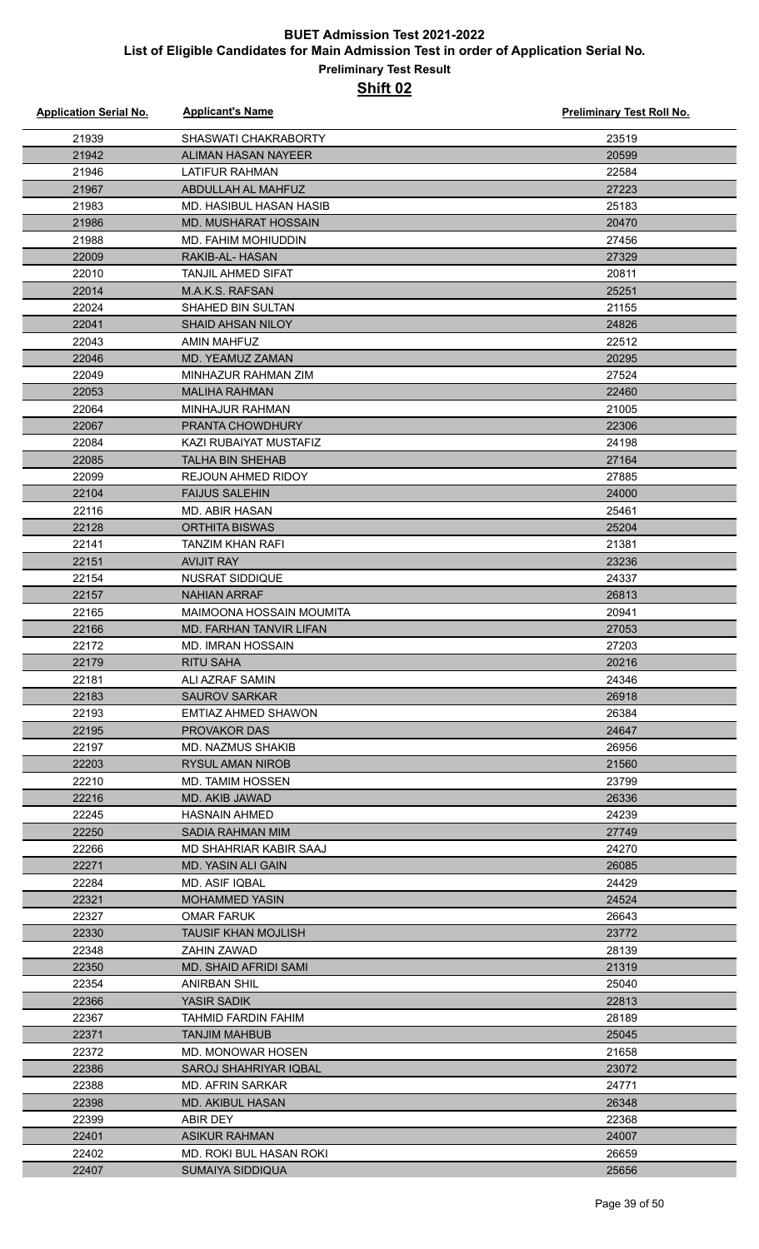| <b>Application Serial No.</b> | <b>Applicant's Name</b>      | <b>Preliminary Test Roll No.</b> |
|-------------------------------|------------------------------|----------------------------------|
| 21939                         | SHASWATI CHAKRABORTY         | 23519                            |
| 21942                         | ALIMAN HASAN NAYEER          | 20599                            |
| 21946                         | LATIFUR RAHMAN               | 22584                            |
| 21967                         | ABDULLAH AL MAHFUZ           | 27223                            |
| 21983                         | MD. HASIBUL HASAN HASIB      | 25183                            |
| 21986                         | <b>MD. MUSHARAT HOSSAIN</b>  | 20470                            |
| 21988                         | MD. FAHIM MOHIUDDIN          | 27456                            |
| 22009                         | RAKIB-AL-HASAN               | 27329                            |
| 22010                         | <b>TANJIL AHMED SIFAT</b>    | 20811                            |
| 22014                         | M.A.K.S. RAFSAN              | 25251                            |
| 22024                         | SHAHED BIN SULTAN            | 21155                            |
| 22041                         | <b>SHAID AHSAN NILOY</b>     | 24826                            |
| 22043                         | <b>AMIN MAHFUZ</b>           | 22512                            |
| 22046                         | MD. YEAMUZ ZAMAN             | 20295                            |
| 22049                         | MINHAZUR RAHMAN ZIM          | 27524                            |
| 22053                         | <b>MALIHA RAHMAN</b>         | 22460                            |
| 22064                         | <b>MINHAJUR RAHMAN</b>       | 21005                            |
| 22067                         | PRANTA CHOWDHURY             | 22306                            |
| 22084                         | KAZI RUBAIYAT MUSTAFIZ       | 24198                            |
| 22085                         | <b>TALHA BIN SHEHAB</b>      | 27164                            |
| 22099                         | <b>REJOUN AHMED RIDOY</b>    | 27885                            |
| 22104                         | <b>FAIJUS SALEHIN</b>        | 24000                            |
| 22116                         | MD. ABIR HASAN               | 25461                            |
| 22128                         | <b>ORTHITA BISWAS</b>        | 25204                            |
| 22141                         | TANZIM KHAN RAFI             | 21381                            |
| 22151                         | <b>AVIJIT RAY</b>            | 23236                            |
| 22154                         | <b>NUSRAT SIDDIQUE</b>       | 24337                            |
| 22157                         | <b>NAHIAN ARRAF</b>          | 26813                            |
| 22165                         | MAIMOONA HOSSAIN MOUMITA     | 20941                            |
| 22166                         | MD. FARHAN TANVIR LIFAN      | 27053                            |
| 22172                         | <b>MD. IMRAN HOSSAIN</b>     | 27203                            |
| 22179                         | <b>RITU SAHA</b>             | 20216                            |
| 22181                         | ALI AZRAF SAMIN              | 24346                            |
| 22183                         | <b>SAUROV SARKAR</b>         | 26918                            |
| 22193                         | EMTIAZ AHMED SHAWON          | 26384                            |
| 22195                         | <b>PROVAKOR DAS</b>          | 24647                            |
| 22197                         | <b>MD. NAZMUS SHAKIB</b>     | 26956                            |
| 22203                         | <b>RYSUL AMAN NIROB</b>      | 21560                            |
| 22210                         | <b>MD. TAMIM HOSSEN</b>      | 23799                            |
| 22216                         | <b>MD. AKIB JAWAD</b>        | 26336                            |
| 22245                         | <b>HASNAIN AHMED</b>         | 24239                            |
| 22250                         | <b>SADIA RAHMAN MIM</b>      | 27749                            |
| 22266                         | MD SHAHRIAR KABIR SAAJ       | 24270                            |
| 22271                         | <b>MD. YASIN ALI GAIN</b>    | 26085                            |
| 22284                         | MD. ASIF IQBAL               | 24429                            |
| 22321                         | <b>MOHAMMED YASIN</b>        | 24524                            |
| 22327                         | <b>OMAR FARUK</b>            | 26643                            |
| 22330                         | <b>TAUSIF KHAN MOJLISH</b>   | 23772                            |
| 22348                         | ZAHIN ZAWAD                  | 28139                            |
| 22350                         | <b>MD. SHAID AFRIDI SAMI</b> | 21319                            |
| 22354                         | ANIRBAN SHIL                 | 25040                            |
| 22366                         | YASIR SADIK                  | 22813                            |
| 22367                         | TAHMID FARDIN FAHIM          | 28189                            |
| 22371                         | <b>TANJIM MAHBUB</b>         | 25045                            |
| 22372                         | <b>MD. MONOWAR HOSEN</b>     | 21658                            |
| 22386                         | SAROJ SHAHRIYAR IQBAL        | 23072                            |
| 22388<br>22398                | MD. AFRIN SARKAR             | 24771                            |
| 22399                         | MD. AKIBUL HASAN<br>ABIR DEY | 26348<br>22368                   |
| 22401                         | <b>ASIKUR RAHMAN</b>         | 24007                            |
| 22402                         | MD. ROKI BUL HASAN ROKI      | 26659                            |
| 22407                         | <b>SUMAIYA SIDDIQUA</b>      | 25656                            |
|                               |                              |                                  |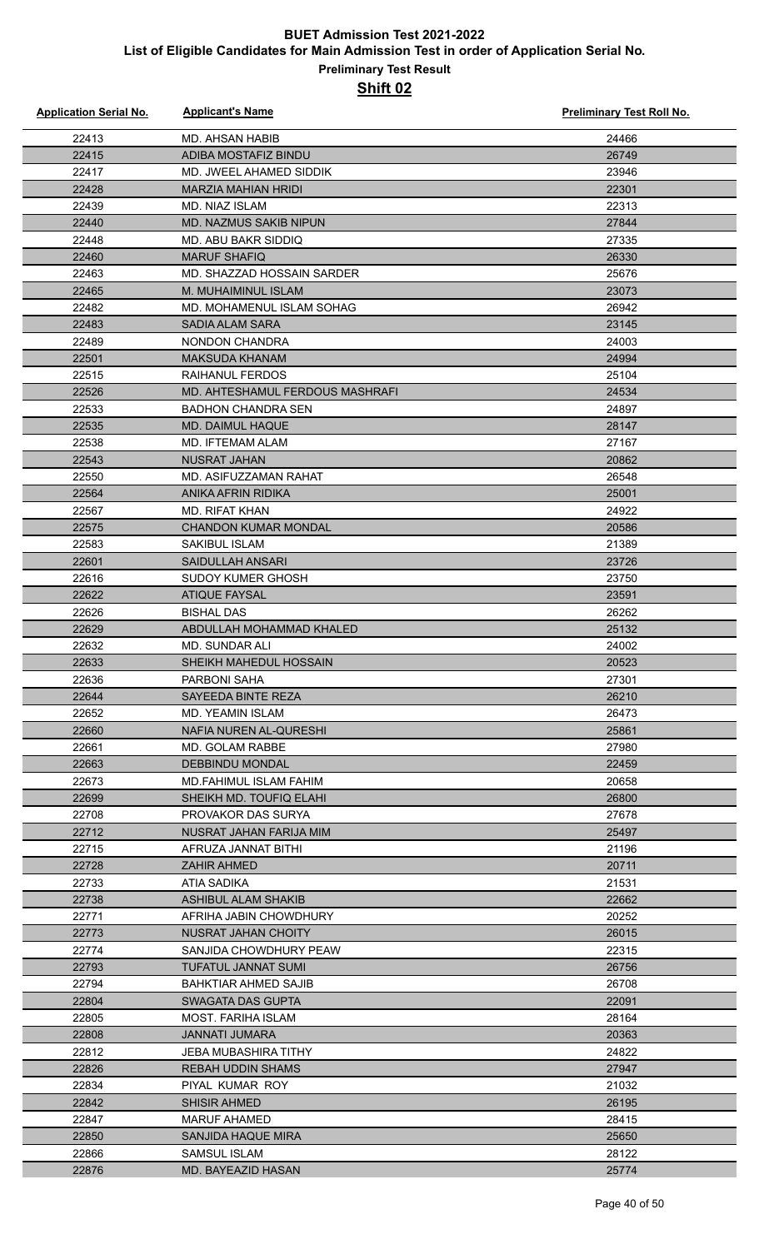#### **Preliminary Test Result Shift 02**

| <b>Application Serial No.</b> | <b>Applicant's Name</b>                          | <b>Preliminary Test Roll No.</b> |
|-------------------------------|--------------------------------------------------|----------------------------------|
| 22413                         | <b>MD. AHSAN HABIB</b>                           | 24466                            |
| 22415                         | ADIBA MOSTAFIZ BINDU                             | 26749                            |
| 22417                         | MD. JWEEL AHAMED SIDDIK                          | 23946                            |
| 22428                         | <b>MARZIA MAHIAN HRIDI</b>                       | 22301                            |
| 22439                         | <b>MD. NIAZ ISLAM</b>                            | 22313                            |
| 22440                         | <b>MD. NAZMUS SAKIB NIPUN</b>                    | 27844                            |
| 22448                         | MD. ABU BAKR SIDDIQ                              | 27335                            |
| 22460                         | <b>MARUF SHAFIQ</b>                              | 26330                            |
| 22463                         | MD. SHAZZAD HOSSAIN SARDER                       | 25676                            |
| 22465                         | M. MUHAIMINUL ISLAM                              | 23073                            |
| 22482                         | MD. MOHAMENUL ISLAM SOHAG                        | 26942                            |
| 22483                         | <b>SADIA ALAM SARA</b>                           | 23145                            |
| 22489                         | <b>NONDON CHANDRA</b>                            | 24003                            |
| 22501                         | <b>MAKSUDA KHANAM</b>                            | 24994                            |
| 22515                         | <b>RAIHANUL FERDOS</b>                           | 25104                            |
| 22526                         | MD. AHTESHAMUL FERDOUS MASHRAFI                  | 24534                            |
| 22533                         | <b>BADHON CHANDRA SEN</b>                        | 24897                            |
| 22535                         | <b>MD. DAIMUL HAQUE</b>                          | 28147                            |
| 22538                         | MD. IFTEMAM ALAM                                 | 27167                            |
| 22543                         | <b>NUSRAT JAHAN</b>                              | 20862                            |
| 22550                         | MD. ASIFUZZAMAN RAHAT                            | 26548                            |
| 22564                         | ANIKA AFRIN RIDIKA                               | 25001                            |
| 22567                         | <b>MD. RIFAT KHAN</b>                            | 24922                            |
| 22575                         | <b>CHANDON KUMAR MONDAL</b>                      | 20586                            |
| 22583                         | SAKIBUL ISLAM                                    | 21389                            |
| 22601                         | SAIDULLAH ANSARI                                 | 23726                            |
| 22616                         | SUDOY KUMER GHOSH                                | 23750                            |
| 22622                         | <b>ATIQUE FAYSAL</b>                             | 23591                            |
| 22626                         | <b>BISHAL DAS</b>                                | 26262                            |
| 22629                         | ABDULLAH MOHAMMAD KHALED                         | 25132                            |
| 22632                         | MD. SUNDAR ALI                                   | 24002                            |
| 22633                         | SHEIKH MAHEDUL HOSSAIN                           | 20523                            |
| 22636                         | PARBONI SAHA                                     | 27301                            |
| 22644                         | SAYEEDA BINTE REZA                               | 26210                            |
| 22652                         | MD. YEAMIN ISLAM                                 | 26473                            |
| 22660<br>22661                | NAFIA NUREN AL-QURESHI                           | 25861<br>27980                   |
| 22663                         | MD. GOLAM RABBE                                  |                                  |
| 22673                         | <b>DEBBINDU MONDAL</b><br>MD.FAHIMUL ISLAM FAHIM | 22459<br>20658                   |
| 22699                         | SHEIKH MD. TOUFIQ ELAHI                          | 26800                            |
| 22708                         | PROVAKOR DAS SURYA                               | 27678                            |
| 22712                         | NUSRAT JAHAN FARIJA MIM                          | 25497                            |
| 22715                         | AFRUZA JANNAT BITHI                              | 21196                            |
| 22728                         | <b>ZAHIR AHMED</b>                               | 20711                            |
| 22733                         | ATIA SADIKA                                      | 21531                            |
| 22738                         | ASHIBUL ALAM SHAKIB                              | 22662                            |
| 22771                         | AFRIHA JABIN CHOWDHURY                           | 20252                            |
| 22773                         | NUSRAT JAHAN CHOITY                              | 26015                            |
| 22774                         | SANJIDA CHOWDHURY PEAW                           | 22315                            |
| 22793                         | <b>TUFATUL JANNAT SUMI</b>                       | 26756                            |
| 22794                         | BAHKTIAR AHMED SAJIB                             | 26708                            |
| 22804                         | SWAGATA DAS GUPTA                                | 22091                            |
| 22805                         | MOST. FARIHA ISLAM                               | 28164                            |
| 22808                         | <b>JANNATI JUMARA</b>                            | 20363                            |
| 22812                         | JEBA MUBASHIRA TITHY                             | 24822                            |
| 22826                         | REBAH UDDIN SHAMS                                | 27947                            |
| 22834                         | PIYAL KUMAR ROY                                  | 21032                            |
| 22842                         | <b>SHISIR AHMED</b>                              | 26195                            |
| 22847                         | <b>MARUF AHAMED</b>                              | 28415                            |
| 22850                         | <b>SANJIDA HAQUE MIRA</b>                        | 25650                            |
| 22866                         | <b>SAMSUL ISLAM</b>                              | 28122                            |
| 22876                         | <b>MD. BAYEAZID HASAN</b>                        | 25774                            |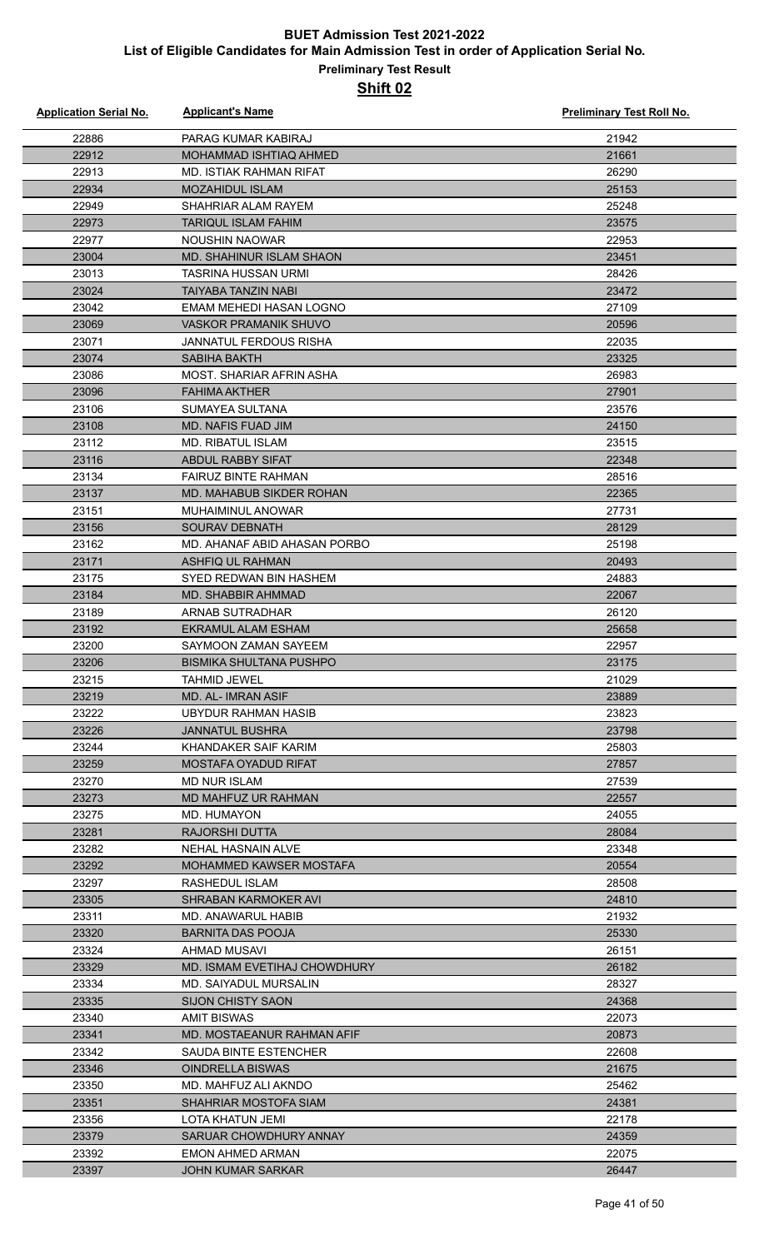#### **Preliminary Test Result Shift 02**

| <b>Application Serial No.</b> | <b>Applicant's Name</b>                           | <b>Preliminary Test Roll No.</b> |
|-------------------------------|---------------------------------------------------|----------------------------------|
| 22886                         | PARAG KUMAR KABIRAJ                               | 21942                            |
| 22912                         | <b>MOHAMMAD ISHTIAQ AHMED</b>                     | 21661                            |
| 22913                         | MD. ISTIAK RAHMAN RIFAT                           | 26290                            |
| 22934                         | <b>MOZAHIDUL ISLAM</b>                            | 25153                            |
| 22949                         | SHAHRIAR ALAM RAYEM                               | 25248                            |
| 22973                         | <b>TARIQUL ISLAM FAHIM</b>                        | 23575                            |
| 22977                         | <b>NOUSHIN NAOWAR</b>                             | 22953                            |
| 23004                         | MD. SHAHINUR ISLAM SHAON                          | 23451                            |
| 23013                         | TASRINA HUSSAN URMI                               | 28426                            |
| 23024                         | TAIYABA TANZIN NABI                               | 23472                            |
| 23042                         | EMAM MEHEDI HASAN LOGNO                           | 27109                            |
| 23069                         | <b>VASKOR PRAMANIK SHUVO</b>                      | 20596                            |
| 23071                         | JANNATUL FERDOUS RISHA                            | 22035                            |
| 23074                         | <b>SABIHA BAKTH</b>                               | 23325                            |
| 23086                         | MOST. SHARIAR AFRIN ASHA                          | 26983                            |
| 23096                         | <b>FAHIMA AKTHER</b>                              | 27901                            |
| 23106                         | SUMAYEA SULTANA                                   | 23576                            |
| 23108                         | MD. NAFIS FUAD JIM                                | 24150                            |
| 23112                         | <b>MD. RIBATUL ISLAM</b>                          | 23515                            |
| 23116                         | <b>ABDUL RABBY SIFAT</b>                          | 22348                            |
| 23134                         | <b>FAIRUZ BINTE RAHMAN</b>                        | 28516                            |
| 23137                         | MD. MAHABUB SIKDER ROHAN                          | 22365                            |
| 23151                         | <b>MUHAIMINUL ANOWAR</b>                          | 27731                            |
| 23156                         | SOURAV DEBNATH                                    | 28129                            |
| 23162                         | MD. AHANAF ABID AHASAN PORBO                      | 25198                            |
| 23171                         | ASHFIQ UL RAHMAN                                  | 20493                            |
| 23175                         | SYED REDWAN BIN HASHEM                            | 24883                            |
| 23184                         | <b>MD. SHABBIR AHMMAD</b>                         | 22067                            |
| 23189                         | ARNAB SUTRADHAR                                   | 26120                            |
| 23192                         | <b>EKRAMUL ALAM ESHAM</b>                         | 25658                            |
| 23200                         | SAYMOON ZAMAN SAYEEM                              | 22957                            |
| 23206                         | <b>BISMIKA SHULTANA PUSHPO</b>                    | 23175                            |
| 23215                         | <b>TAHMID JEWEL</b>                               | 21029                            |
| 23219                         | <b>MD. AL-IMRAN ASIF</b>                          | 23889                            |
| 23222                         | UBYDUR RAHMAN HASIB                               | 23823                            |
| 23226                         | <b>JANNATUL BUSHRA</b>                            | 23798                            |
| 23244                         | KHANDAKER SAIF KARIM                              | 25803                            |
| 23259                         | MOSTAFA OYADUD RIFAT                              | 27857                            |
| 23270                         | <b>MD NUR ISLAM</b>                               | 27539                            |
| 23273                         | <b>MD MAHFUZ UR RAHMAN</b>                        | 22557                            |
| 23275                         | MD. HUMAYON                                       | 24055                            |
| 23281                         | RAJORSHI DUTTA                                    | 28084                            |
| 23282                         | NEHAL HASNAIN ALVE                                | 23348                            |
| 23292                         | MOHAMMED KAWSER MOSTAFA                           | 20554                            |
| 23297                         | RASHEDUL ISLAM                                    | 28508                            |
| 23305                         | SHRABAN KARMOKER AVI                              | 24810                            |
| 23311                         | MD. ANAWARUL HABIB                                | 21932                            |
| 23320                         | <b>BARNITA DAS POOJA</b>                          | 25330                            |
| 23324                         | AHMAD MUSAVI                                      | 26151                            |
| 23329                         | MD. ISMAM EVETIHAJ CHOWDHURY                      | 26182                            |
|                               |                                                   | 28327                            |
| 23334<br>23335                | MD. SAIYADUL MURSALIN<br><b>SIJON CHISTY SAON</b> | 24368                            |
|                               |                                                   |                                  |
| 23340<br>23341                | AMIT BISWAS<br>MD. MOSTAEANUR RAHMAN AFIF         | 22073<br>20873                   |
|                               |                                                   |                                  |
| 23342                         | <b>SAUDA BINTE ESTENCHER</b>                      | 22608                            |
| 23346                         | <b>OINDRELLA BISWAS</b>                           | 21675                            |
| 23350                         | MD. MAHFUZ ALI AKNDO                              | 25462                            |
| 23351                         | SHAHRIAR MOSTOFA SIAM                             | 24381                            |
| 23356                         | <b>LOTA KHATUN JEMI</b>                           | 22178                            |
| 23379                         | SARUAR CHOWDHURY ANNAY                            | 24359                            |
| 23392                         | <b>EMON AHMED ARMAN</b>                           | 22075                            |
| 23397                         | <b>JOHN KUMAR SARKAR</b>                          | 26447                            |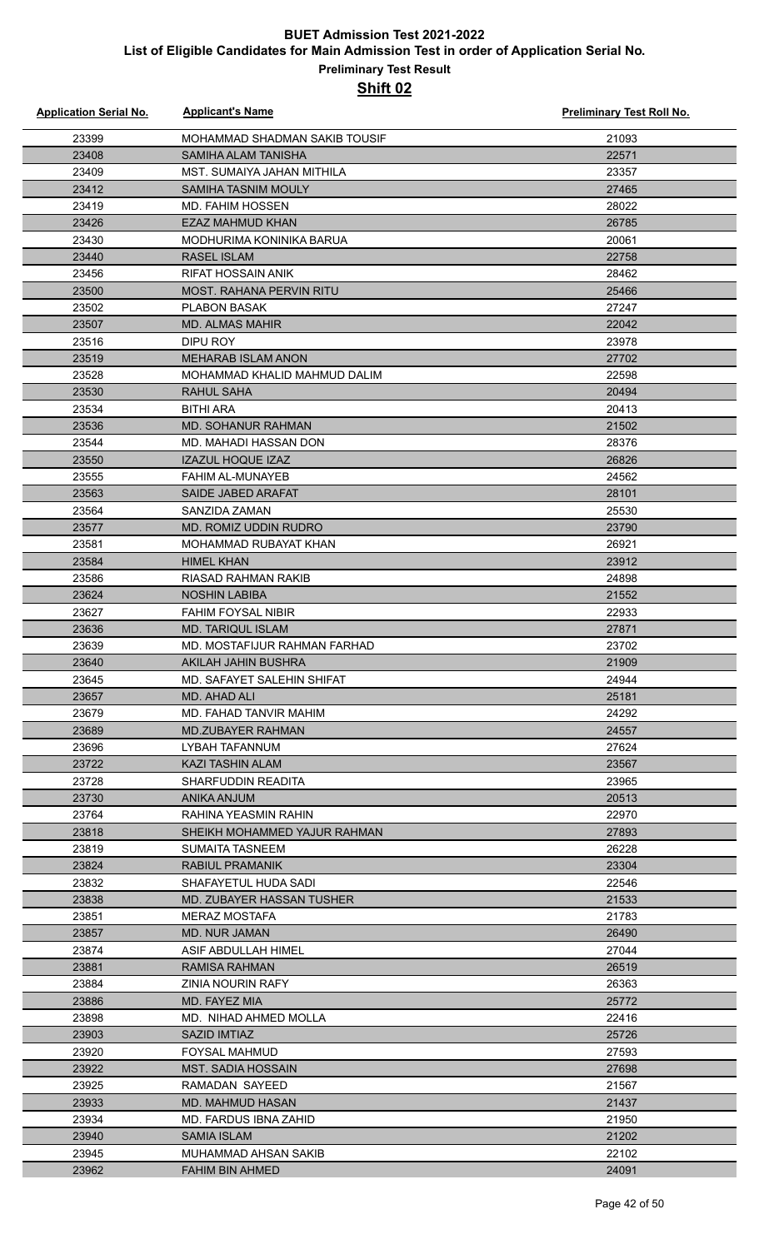| <b>Application Serial No.</b> | <b>Applicant's Name</b>            | <b>Preliminary Test Roll No.</b> |
|-------------------------------|------------------------------------|----------------------------------|
| 23399                         | MOHAMMAD SHADMAN SAKIB TOUSIF      | 21093                            |
| 23408                         | SAMIHA ALAM TANISHA                | 22571                            |
| 23409                         | MST. SUMAIYA JAHAN MITHILA         | 23357                            |
| 23412                         | <b>SAMIHA TASNIM MOULY</b>         | 27465                            |
| 23419                         | <b>MD. FAHIM HOSSEN</b>            | 28022                            |
| 23426                         | <b>EZAZ MAHMUD KHAN</b>            | 26785                            |
| 23430                         | MODHURIMA KONINIKA BARUA           | 20061                            |
| 23440                         | <b>RASEL ISLAM</b>                 | 22758                            |
| 23456                         | <b>RIFAT HOSSAIN ANIK</b>          | 28462                            |
| 23500                         | <b>MOST. RAHANA PERVIN RITU</b>    | 25466                            |
| 23502                         | <b>PLABON BASAK</b>                | 27247                            |
| 23507                         | <b>MD. ALMAS MAHIR</b>             | 22042                            |
| 23516                         | DIPU ROY                           | 23978                            |
| 23519                         | <b>MEHARAB ISLAM ANON</b>          | 27702                            |
| 23528                         | MOHAMMAD KHALID MAHMUD DALIM       | 22598                            |
| 23530                         | RAHUL SAHA                         | 20494                            |
| 23534                         | <b>BITHI ARA</b>                   | 20413                            |
| 23536                         | <b>MD. SOHANUR RAHMAN</b>          | 21502                            |
| 23544                         | MD. MAHADI HASSAN DON              | 28376                            |
| 23550                         | <b>IZAZUL HOQUE IZAZ</b>           | 26826                            |
| 23555                         | FAHIM AL-MUNAYEB                   | 24562                            |
| 23563                         | SAIDE JABED ARAFAT                 | 28101                            |
| 23564                         | SANZIDA ZAMAN                      | 25530                            |
| 23577                         | MD. ROMIZ UDDIN RUDRO              | 23790                            |
| 23581                         | MOHAMMAD RUBAYAT KHAN              | 26921                            |
| 23584                         | <b>HIMEL KHAN</b>                  | 23912                            |
| 23586                         | RIASAD RAHMAN RAKIB                | 24898                            |
| 23624                         | <b>NOSHIN LABIBA</b>               | 21552                            |
| 23627                         | <b>FAHIM FOYSAL NIBIR</b>          | 22933                            |
| 23636                         | <b>MD. TARIQUL ISLAM</b>           | 27871                            |
| 23639                         | MD. MOSTAFIJUR RAHMAN FARHAD       | 23702                            |
| 23640                         | AKILAH JAHIN BUSHRA                | 21909                            |
| 23645                         | MD. SAFAYET SALEHIN SHIFAT         | 24944                            |
| 23657                         | MD. AHAD ALI                       | 25181                            |
| 23679                         | MD. FAHAD TANVIR MAHIM             | 24292                            |
| 23689<br>23696                | <b>MD.ZUBAYER RAHMAN</b>           | 24557<br>27624                   |
| 23722                         | LYBAH TAFANNUM<br>KAZI TASHIN ALAM | 23567                            |
| 23728                         | SHARFUDDIN READITA                 | 23965                            |
| 23730                         | ANIKA ANJUM                        | 20513                            |
| 23764                         | RAHINA YEASMIN RAHIN               | 22970                            |
| 23818                         | SHEIKH MOHAMMED YAJUR RAHMAN       | 27893                            |
| 23819                         | SUMAITA TASNEEM                    | 26228                            |
| 23824                         | RABIUL PRAMANIK                    | 23304                            |
| 23832                         | SHAFAYETUL HUDA SADI               | 22546                            |
| 23838                         | MD. ZUBAYER HASSAN TUSHER          | 21533                            |
| 23851                         | MERAZ MOSTAFA                      | 21783                            |
| 23857                         | <b>MD. NUR JAMAN</b>               | 26490                            |
| 23874                         | ASIF ABDULLAH HIMEL                | 27044                            |
| 23881                         | RAMISA RAHMAN                      | 26519                            |
| 23884                         | ZINIA NOURIN RAFY                  | 26363                            |
| 23886                         | MD. FAYEZ MIA                      | 25772                            |
| 23898                         | MD. NIHAD AHMED MOLLA              | 22416                            |
| 23903                         | <b>SAZID IMTIAZ</b>                | 25726                            |
| 23920                         | <b>FOYSAL MAHMUD</b>               | 27593                            |
| 23922                         | MST. SADIA HOSSAIN                 | 27698                            |
| 23925                         | RAMADAN SAYEED                     | 21567                            |
| 23933                         | MD. MAHMUD HASAN                   | 21437                            |
| 23934                         | <b>MD. FARDUS IBNA ZAHID</b>       | 21950                            |
| 23940                         | <b>SAMIA ISLAM</b>                 | 21202                            |
| 23945                         | MUHAMMAD AHSAN SAKIB               | 22102                            |
| 23962                         | <b>FAHIM BIN AHMED</b>             | 24091                            |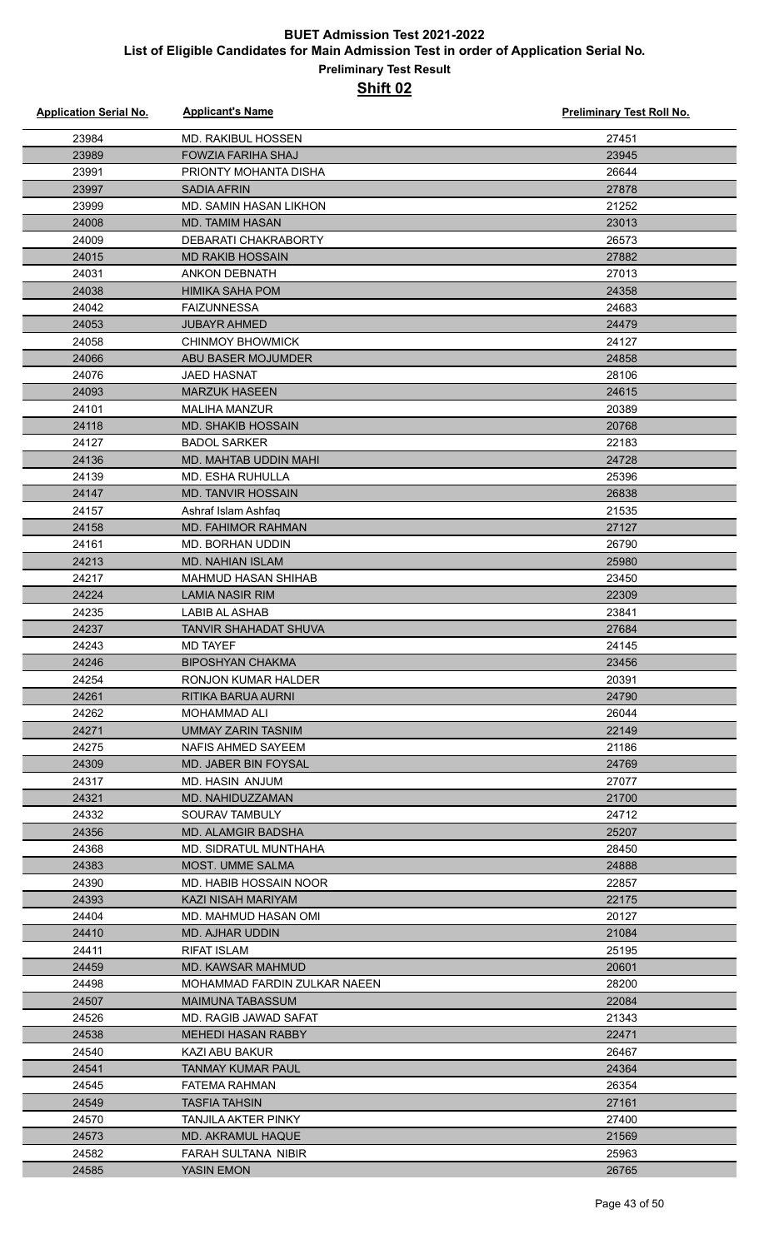| <b>Application Serial No.</b> | <b>Applicant's Name</b>                  | <b>Preliminary Test Roll No.</b> |
|-------------------------------|------------------------------------------|----------------------------------|
| 23984                         | MD. RAKIBUL HOSSEN                       | 27451                            |
| 23989                         | <b>FOWZIA FARIHA SHAJ</b>                | 23945                            |
| 23991                         | PRIONTY MOHANTA DISHA                    | 26644                            |
| 23997                         | <b>SADIA AFRIN</b>                       | 27878                            |
| 23999                         | MD. SAMIN HASAN LIKHON                   | 21252                            |
| 24008                         | <b>MD. TAMIM HASAN</b>                   | 23013                            |
| 24009                         | DEBARATI CHAKRABORTY                     | 26573                            |
| 24015                         | <b>MD RAKIB HOSSAIN</b>                  | 27882                            |
| 24031                         | <b>ANKON DEBNATH</b>                     | 27013                            |
| 24038                         | <b>HIMIKA SAHA POM</b>                   | 24358                            |
| 24042                         | <b>FAIZUNNESSA</b>                       | 24683                            |
| 24053                         | <b>JUBAYR AHMED</b>                      | 24479                            |
| 24058                         | CHINMOY BHOWMICK                         | 24127                            |
| 24066                         | ABU BASER MOJUMDER                       | 24858                            |
| 24076                         | <b>JAED HASNAT</b>                       | 28106                            |
| 24093                         | <b>MARZUK HASEEN</b>                     | 24615                            |
| 24101                         | <b>MALIHA MANZUR</b>                     | 20389                            |
| 24118                         | <b>MD. SHAKIB HOSSAIN</b>                | 20768                            |
| 24127                         | <b>BADOL SARKER</b>                      | 22183                            |
| 24136                         | <b>MD. MAHTAB UDDIN MAHI</b>             | 24728                            |
| 24139                         | MD. ESHA RUHULLA                         | 25396                            |
| 24147                         | <b>MD. TANVIR HOSSAIN</b>                | 26838                            |
| 24157                         | Ashraf Islam Ashfaq                      | 21535                            |
| 24158                         | <b>MD. FAHIMOR RAHMAN</b>                | 27127                            |
| 24161                         | MD. BORHAN UDDIN                         | 26790                            |
| 24213                         | <b>MD. NAHIAN ISLAM</b>                  | 25980                            |
| 24217                         | MAHMUD HASAN SHIHAB                      | 23450                            |
| 24224                         | <b>LAMIA NASIR RIM</b>                   | 22309                            |
| 24235                         | <b>LABIB AL ASHAB</b>                    | 23841                            |
| 24237<br>24243                | TANVIR SHAHADAT SHUVA<br><b>MD TAYEF</b> | 27684<br>24145                   |
| 24246                         | <b>BIPOSHYAN CHAKMA</b>                  | 23456                            |
| 24254                         | <b>RONJON KUMAR HALDER</b>               | 20391                            |
| 24261                         | RITIKA BARUA AURNI                       | 24790                            |
| 24262                         | MOHAMMAD ALI                             | 26044                            |
| 24271                         | UMMAY ZARIN TASNIM                       | 22149                            |
| 24275                         | NAFIS AHMED SAYEEM                       | 21186                            |
| 24309                         | <b>MD. JABER BIN FOYSAL</b>              | 24769                            |
| 24317                         | MD. HASIN ANJUM                          | 27077                            |
| 24321                         | MD. NAHIDUZZAMAN                         | 21700                            |
| 24332                         | <b>SOURAV TAMBULY</b>                    | 24712                            |
| 24356                         | <b>MD. ALAMGIR BADSHA</b>                | 25207                            |
| 24368                         | MD. SIDRATUL MUNTHAHA                    | 28450                            |
| 24383                         | <b>MOST. UMME SALMA</b>                  | 24888                            |
| 24390                         | MD. HABIB HOSSAIN NOOR                   | 22857                            |
| 24393                         | KAZI NISAH MARIYAM                       | 22175                            |
| 24404                         | MD. MAHMUD HASAN OMI                     | 20127                            |
| 24410                         | MD. AJHAR UDDIN                          | 21084                            |
| 24411                         | <b>RIFAT ISLAM</b>                       | 25195                            |
| 24459                         | MD. KAWSAR MAHMUD                        | 20601                            |
| 24498                         | MOHAMMAD FARDIN ZULKAR NAEEN             | 28200                            |
| 24507                         | MAIMUNA TABASSUM                         | 22084                            |
| 24526                         | MD. RAGIB JAWAD SAFAT                    | 21343                            |
| 24538                         | <b>MEHEDI HASAN RABBY</b>                | 22471                            |
| 24540                         | KAZI ABU BAKUR                           | 26467                            |
| 24541                         | <b>TANMAY KUMAR PAUL</b>                 | 24364                            |
| 24545                         | FATEMA RAHMAN                            | 26354                            |
| 24549                         | <b>TASFIA TAHSIN</b>                     | 27161                            |
| 24570                         | <b>TANJILA AKTER PINKY</b>               | 27400                            |
| 24573                         | <b>MD. AKRAMUL HAQUE</b>                 | 21569                            |
| 24582<br>24585                | FARAH SULTANA NIBIR<br><b>YASIN EMON</b> | 25963<br>26765                   |
|                               |                                          |                                  |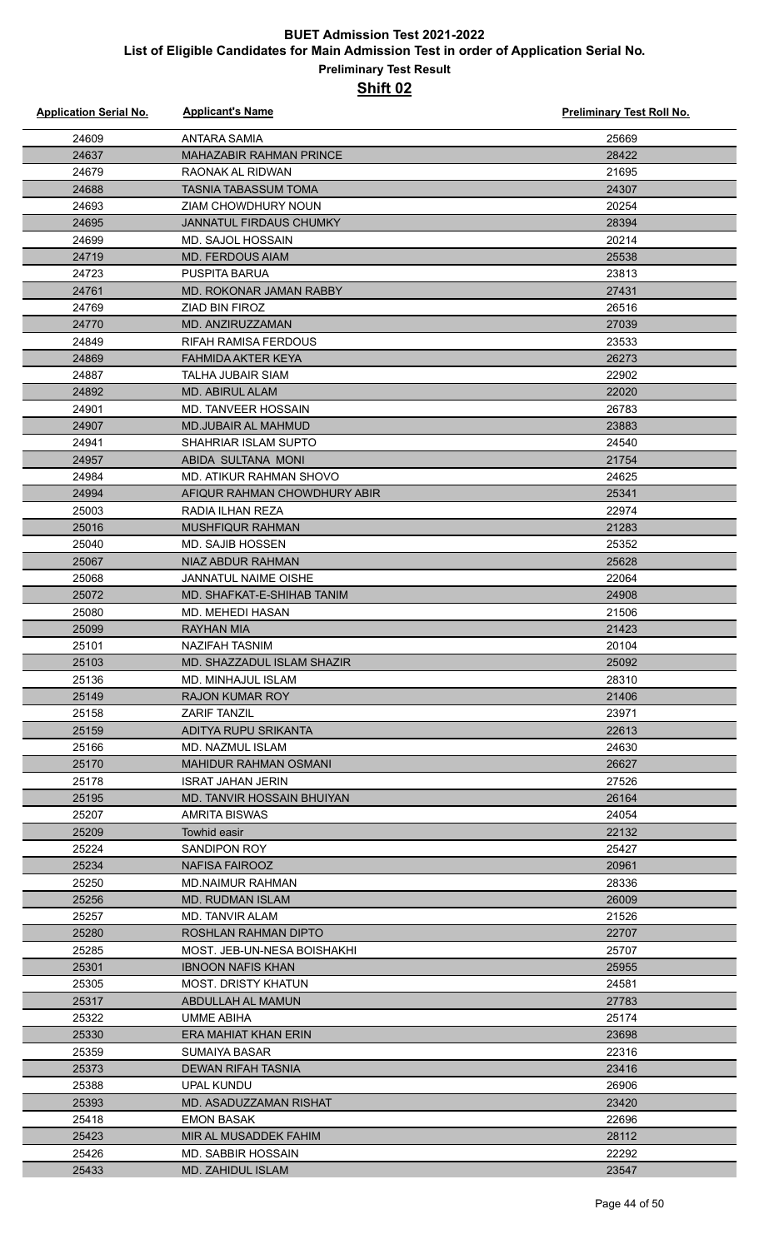| <b>Application Serial No.</b> | <b>Applicant's Name</b>                     | Preliminary Test Roll No. |
|-------------------------------|---------------------------------------------|---------------------------|
| 24609                         | <b>ANTARA SAMIA</b>                         | 25669                     |
| 24637                         | <b>MAHAZABIR RAHMAN PRINCE</b>              | 28422                     |
| 24679                         | RAONAK AL RIDWAN                            | 21695                     |
| 24688                         | <b>TASNIA TABASSUM TOMA</b>                 | 24307                     |
| 24693                         | ZIAM CHOWDHURY NOUN                         | 20254                     |
| 24695                         | <b>JANNATUL FIRDAUS CHUMKY</b>              | 28394                     |
| 24699                         | MD. SAJOL HOSSAIN                           | 20214                     |
| 24719                         | <b>MD. FERDOUS AIAM</b>                     | 25538                     |
| 24723                         | <b>PUSPITA BARUA</b>                        | 23813                     |
| 24761                         | MD. ROKONAR JAMAN RABBY                     | 27431                     |
| 24769                         | <b>ZIAD BIN FIROZ</b>                       | 26516                     |
| 24770                         | MD. ANZIRUZZAMAN                            | 27039                     |
| 24849                         | <b>RIFAH RAMISA FERDOUS</b>                 | 23533                     |
| 24869                         | <b>FAHMIDA AKTER KEYA</b>                   | 26273                     |
| 24887                         | TALHA JUBAIR SIAM                           | 22902                     |
| 24892                         | <b>MD. ABIRUL ALAM</b>                      | 22020                     |
| 24901                         | <b>MD. TANVEER HOSSAIN</b>                  | 26783                     |
| 24907                         | <b>MD.JUBAIR AL MAHMUD</b>                  | 23883                     |
| 24941                         | SHAHRIAR ISLAM SUPTO                        | 24540                     |
| 24957                         | ABIDA SULTANA MONI                          | 21754                     |
| 24984                         | MD. ATIKUR RAHMAN SHOVO                     | 24625                     |
| 24994                         | AFIQUR RAHMAN CHOWDHURY ABIR                | 25341                     |
| 25003                         | RADIA ILHAN REZA                            | 22974                     |
| 25016                         | MUSHFIQUR RAHMAN                            | 21283                     |
| 25040                         | <b>MD. SAJIB HOSSEN</b>                     | 25352                     |
| 25067                         | NIAZ ABDUR RAHMAN                           | 25628                     |
| 25068                         | <b>JANNATUL NAIME OISHE</b>                 | 22064                     |
| 25072                         | MD. SHAFKAT-E-SHIHAB TANIM                  | 24908                     |
| 25080                         | <b>MD. MEHEDI HASAN</b>                     | 21506                     |
| 25099                         | <b>RAYHAN MIA</b>                           | 21423                     |
| 25101                         | <b>NAZIFAH TASNIM</b>                       | 20104                     |
| 25103                         | MD. SHAZZADUL ISLAM SHAZIR                  | 25092                     |
| 25136                         | MD. MINHAJUL ISLAM                          | 28310<br>21406            |
| 25149                         | <b>RAJON KUMAR ROY</b>                      |                           |
| 25158<br>25159                | <b>ZARIF TANZIL</b><br>ADITYA RUPU SRIKANTA | 23971<br>22613            |
| 25166                         | MD. NAZMUL ISLAM                            | 24630                     |
| 25170                         | <b>MAHIDUR RAHMAN OSMANI</b>                | 26627                     |
| 25178                         | <b>ISRAT JAHAN JERIN</b>                    | 27526                     |
| 25195                         | MD. TANVIR HOSSAIN BHUIYAN                  | 26164                     |
| 25207                         | AMRITA BISWAS                               | 24054                     |
| 25209                         | Towhid easir                                | 22132                     |
| 25224                         | SANDIPON ROY                                | 25427                     |
| 25234                         | NAFISA FAIROOZ                              | 20961                     |
| 25250                         | <b>MD.NAIMUR RAHMAN</b>                     | 28336                     |
| 25256                         | <b>MD. RUDMAN ISLAM</b>                     | 26009                     |
| 25257                         | MD. TANVIR ALAM                             | 21526                     |
| 25280                         | ROSHLAN RAHMAN DIPTO                        | 22707                     |
| 25285                         | MOST. JEB-UN-NESA BOISHAKHI                 | 25707                     |
| 25301                         | <b>IBNOON NAFIS KHAN</b>                    | 25955                     |
| 25305                         | <b>MOST. DRISTY KHATUN</b>                  | 24581                     |
| 25317                         | ABDULLAH AL MAMUN                           | 27783                     |
| 25322                         | UMME ABIHA                                  | 25174                     |
| 25330                         | ERA MAHIAT KHAN ERIN                        | 23698                     |
| 25359                         | SUMAIYA BASAR                               | 22316                     |
| 25373                         | <b>DEWAN RIFAH TASNIA</b>                   | 23416                     |
| 25388                         | <b>UPAL KUNDU</b>                           | 26906                     |
| 25393                         | MD. ASADUZZAMAN RISHAT                      | 23420                     |
| 25418                         | <b>EMON BASAK</b>                           | 22696                     |
| 25423                         | MIR AL MUSADDEK FAHIM                       | 28112                     |
| 25426                         | MD. SABBIR HOSSAIN                          | 22292                     |
| 25433                         | <b>MD. ZAHIDUL ISLAM</b>                    | 23547                     |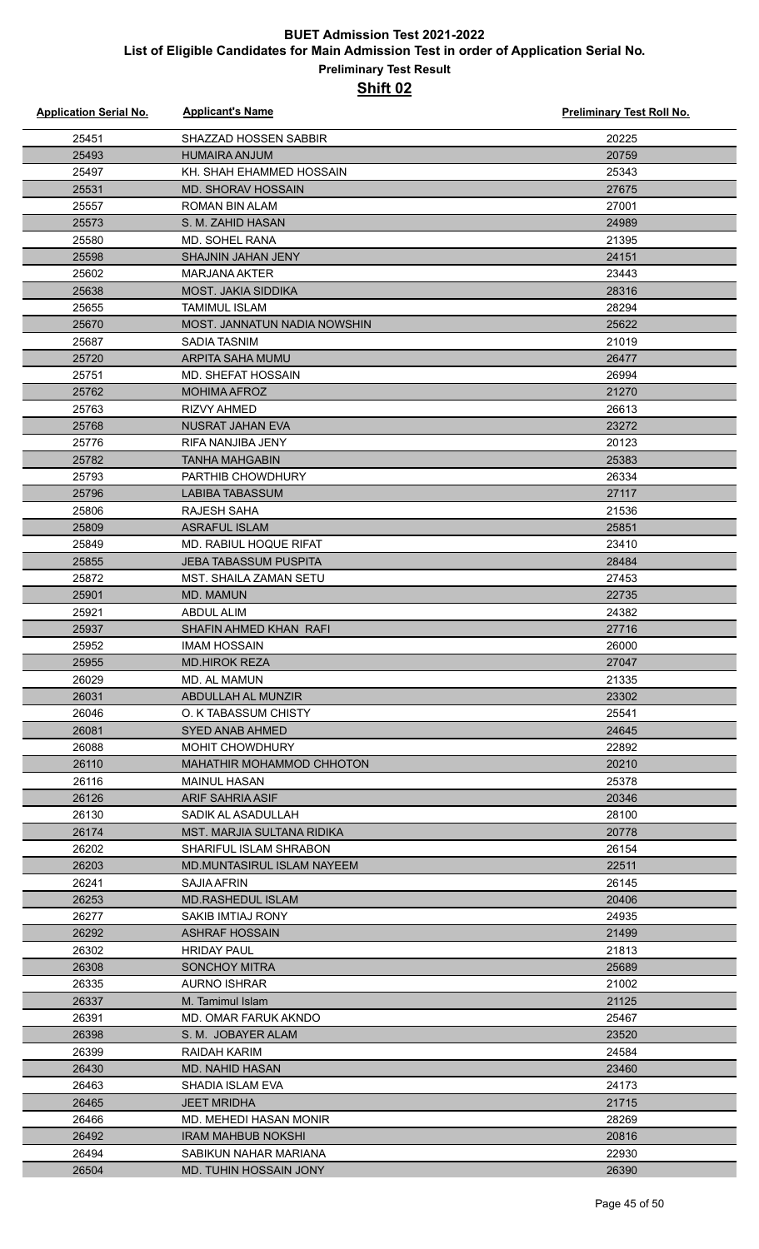| <b>Application Serial No.</b> | <b>Applicant's Name</b>              | <b>Preliminary Test Roll No.</b> |
|-------------------------------|--------------------------------------|----------------------------------|
| 25451                         | SHAZZAD HOSSEN SABBIR                | 20225                            |
| 25493                         | <b>HUMAIRA ANJUM</b>                 | 20759                            |
| 25497                         | KH. SHAH EHAMMED HOSSAIN             | 25343                            |
| 25531                         | <b>MD. SHORAV HOSSAIN</b>            | 27675                            |
| 25557                         | <b>ROMAN BIN ALAM</b>                | 27001                            |
| 25573                         | S. M. ZAHID HASAN                    | 24989                            |
| 25580                         | MD. SOHEL RANA                       | 21395                            |
| 25598                         | <b>SHAJNIN JAHAN JENY</b>            | 24151                            |
| 25602                         | <b>MARJANA AKTER</b>                 | 23443                            |
| 25638                         | <b>MOST. JAKIA SIDDIKA</b>           | 28316                            |
| 25655                         | <b>TAMIMUL ISLAM</b>                 | 28294                            |
| 25670                         | MOST. JANNATUN NADIA NOWSHIN         | 25622                            |
| 25687                         | <b>SADIA TASNIM</b>                  | 21019                            |
| 25720                         | ARPITA SAHA MUMU                     | 26477                            |
| 25751                         | <b>MD. SHEFAT HOSSAIN</b>            | 26994                            |
| 25762                         | <b>MOHIMA AFROZ</b>                  | 21270                            |
| 25763                         | <b>RIZVY AHMED</b>                   | 26613                            |
| 25768                         | NUSRAT JAHAN EVA                     | 23272                            |
| 25776                         | RIFA NANJIBA JENY                    | 20123                            |
| 25782                         | <b>TANHA MAHGABIN</b>                | 25383                            |
| 25793                         | PARTHIB CHOWDHURY                    | 26334                            |
| 25796                         | <b>LABIBA TABASSUM</b>               | 27117                            |
| 25806                         | RAJESH SAHA                          | 21536                            |
| 25809                         | <b>ASRAFUL ISLAM</b>                 | 25851                            |
| 25849                         | <b>MD. RABIUL HOQUE RIFAT</b>        | 23410                            |
| 25855                         | <b>JEBA TABASSUM PUSPITA</b>         | 28484                            |
| 25872                         | <b>MST. SHAILA ZAMAN SETU</b>        | 27453                            |
| 25901                         | MD. MAMUN                            | 22735                            |
| 25921                         | <b>ABDUL ALIM</b>                    | 24382                            |
| 25937                         | SHAFIN AHMED KHAN RAFI               | 27716                            |
| 25952                         | <b>IMAM HOSSAIN</b>                  | 26000                            |
| 25955                         | <b>MD.HIROK REZA</b>                 | 27047                            |
| 26029                         | MD. AL MAMUN                         | 21335                            |
| 26031                         | ABDULLAH AL MUNZIR                   | 23302                            |
| 26046                         | O. K TABASSUM CHISTY                 | 25541                            |
| 26081                         | <b>SYED ANAB AHMED</b>               | 24645                            |
| 26088                         | <b>MOHIT CHOWDHURY</b>               | 22892                            |
| 26110                         | MAHATHIR MOHAMMOD CHHOTON            | 20210                            |
| 26116                         | <b>MAINUL HASAN</b>                  | 25378                            |
| 26126                         | <b>ARIF SAHRIA ASIF</b>              | 20346                            |
| 26130                         | SADIK AL ASADULLAH                   | 28100                            |
| 26174                         | <b>MST. MARJIA SULTANA RIDIKA</b>    | 20778                            |
| 26202                         | SHARIFUL ISLAM SHRABON               | 26154                            |
| 26203                         | MD.MUNTASIRUL ISLAM NAYEEM           | 22511                            |
| 26241                         | <b>SAJIA AFRIN</b>                   | 26145                            |
| 26253                         | <b>MD.RASHEDUL ISLAM</b>             | 20406                            |
| 26277                         | SAKIB IMTIAJ RONY                    | 24935                            |
| 26292<br>26302                | ASHRAF HOSSAIN<br><b>HRIDAY PAUL</b> | 21499<br>21813                   |
| 26308                         | <b>SONCHOY MITRA</b>                 | 25689                            |
| 26335                         | <b>AURNO ISHRAR</b>                  | 21002                            |
| 26337                         | M. Tamimul Islam                     | 21125                            |
| 26391                         | MD. OMAR FARUK AKNDO                 | 25467                            |
| 26398                         | S. M. JOBAYER ALAM                   | 23520                            |
| 26399                         | RAIDAH KARIM                         | 24584                            |
| 26430                         | MD. NAHID HASAN                      | 23460                            |
| 26463                         | SHADIA ISLAM EVA                     | 24173                            |
| 26465                         | <b>JEET MRIDHA</b>                   | 21715                            |
| 26466                         | MD. MEHEDI HASAN MONIR               | 28269                            |
| 26492                         | <b>IRAM MAHBUB NOKSHI</b>            | 20816                            |
| 26494                         | SABIKUN NAHAR MARIANA                | 22930                            |
| 26504                         | MD. TUHIN HOSSAIN JONY               | 26390                            |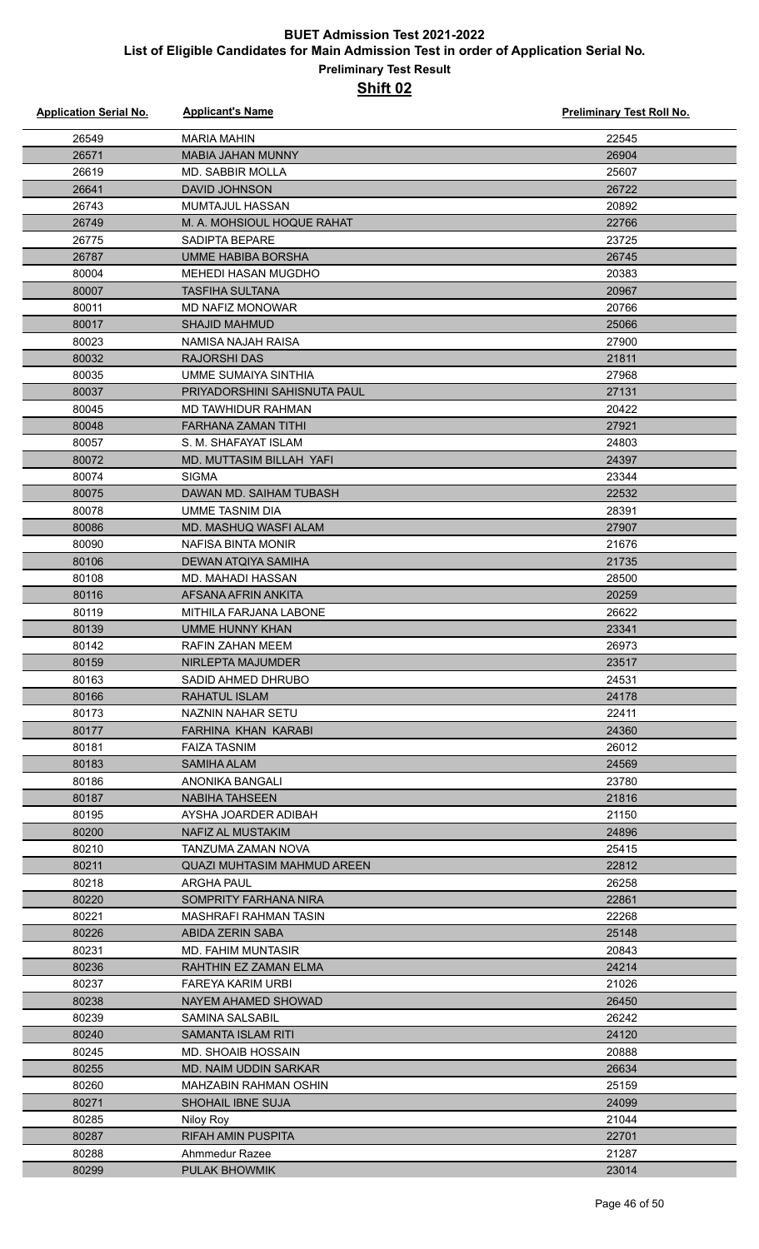| <b>Application Serial No.</b> | <b>Applicant's Name</b>                       | <b>Preliminary Test Roll No.</b> |
|-------------------------------|-----------------------------------------------|----------------------------------|
| 26549                         | <b>MARIA MAHIN</b>                            | 22545                            |
| 26571                         | <b>MABIA JAHAN MUNNY</b>                      | 26904                            |
| 26619                         | <b>MD. SABBIR MOLLA</b>                       | 25607                            |
| 26641                         | <b>DAVID JOHNSON</b>                          | 26722                            |
| 26743                         | MUMTAJUL HASSAN                               | 20892                            |
| 26749                         | M. A. MOHSIOUL HOQUE RAHAT                    | 22766                            |
| 26775                         | SADIPTA BEPARE                                | 23725                            |
| 26787                         | <b>UMME HABIBA BORSHA</b>                     | 26745                            |
| 80004                         | <b>MEHEDI HASAN MUGDHO</b>                    | 20383                            |
| 80007                         | <b>TASFIHA SULTANA</b>                        | 20967                            |
| 80011                         | MD NAFIZ MONOWAR                              | 20766                            |
| 80017                         | <b>SHAJID MAHMUD</b>                          | 25066                            |
| 80023                         | NAMISA NAJAH RAISA                            | 27900                            |
| 80032                         | <b>RAJORSHI DAS</b>                           | 21811                            |
| 80035                         | UMME SUMAIYA SINTHIA                          | 27968                            |
| 80037                         | PRIYADORSHINI SAHISNUTA PAUL                  | 27131                            |
| 80045                         | MD TAWHIDUR RAHMAN                            | 20422                            |
| 80048                         | FARHANA ZAMAN TITHI                           | 27921                            |
| 80057                         | S. M. SHAFAYAT ISLAM                          | 24803                            |
| 80072                         | MD. MUTTASIM BILLAH YAFI                      | 24397                            |
| 80074                         | <b>SIGMA</b>                                  | 23344                            |
| 80075                         | DAWAN MD. SAIHAM TUBASH                       | 22532                            |
| 80078                         | UMME TASNIM DIA                               | 28391                            |
| 80086                         | MD. MASHUQ WASFI ALAM                         | 27907                            |
| 80090                         | NAFISA BINTA MONIR                            | 21676                            |
| 80106                         | DEWAN ATQIYA SAMIHA                           | 21735                            |
| 80108                         | MD. MAHADI HASSAN                             | 28500                            |
| 80116                         | AFSANA AFRIN ANKITA                           | 20259                            |
| 80119                         | MITHILA FARJANA LABONE                        | 26622                            |
| 80139                         | <b>UMME HUNNY KHAN</b>                        | 23341                            |
| 80142                         | <b>RAFIN ZAHAN MEEM</b>                       | 26973                            |
| 80159                         | NIRLEPTA MAJUMDER                             | 23517                            |
| 80163                         | SADID AHMED DHRUBO                            | 24531                            |
| 80166                         | <b>RAHATUL ISLAM</b>                          | 24178                            |
| 80173                         | NAZNIN NAHAR SETU                             | 22411                            |
| 80177                         | FARHINA KHAN KARABI                           | 24360                            |
| 80181                         | <b>FAIZA TASNIM</b>                           | 26012                            |
| 80183                         | SAMIHA ALAM                                   | 24569                            |
| 80186                         | <b>ANONIKA BANGALI</b>                        | 23780                            |
| 80187                         | <b>NABIHA TAHSEEN</b><br>AYSHA JOARDER ADIBAH | 21816                            |
| 80195                         |                                               | 21150                            |
| 80200<br>80210                | NAFIZ AL MUSTAKIM<br>TANZUMA ZAMAN NOVA       | 24896<br>25415                   |
| 80211                         | <b>QUAZI MUHTASIM MAHMUD AREEN</b>            | 22812                            |
| 80218                         | ARGHA PAUL                                    | 26258                            |
| 80220                         | SOMPRITY FARHANA NIRA                         | 22861                            |
| 80221                         | MASHRAFI RAHMAN TASIN                         | 22268                            |
| 80226                         | ABIDA ZERIN SABA                              | 25148                            |
| 80231                         | MD. FAHIM MUNTASIR                            | 20843                            |
| 80236                         | RAHTHIN EZ ZAMAN ELMA                         | 24214                            |
| 80237                         | FAREYA KARIM URBI                             | 21026                            |
| 80238                         | NAYEM AHAMED SHOWAD                           | 26450                            |
| 80239                         | SAMINA SALSABIL                               | 26242                            |
| 80240                         | SAMANTA ISLAM RITI                            | 24120                            |
| 80245                         | MD. SHOAIB HOSSAIN                            | 20888                            |
| 80255                         | MD. NAIM UDDIN SARKAR                         | 26634                            |
| 80260                         | MAHZABIN RAHMAN OSHIN                         | 25159                            |
| 80271                         | SHOHAIL IBNE SUJA                             | 24099                            |
| 80285                         | Niloy Roy                                     | 21044                            |
| 80287                         | <b>RIFAH AMIN PUSPITA</b>                     | 22701                            |
| 80288                         | Ahmmedur Razee                                | 21287                            |
| 80299                         | <b>PULAK BHOWMIK</b>                          | 23014                            |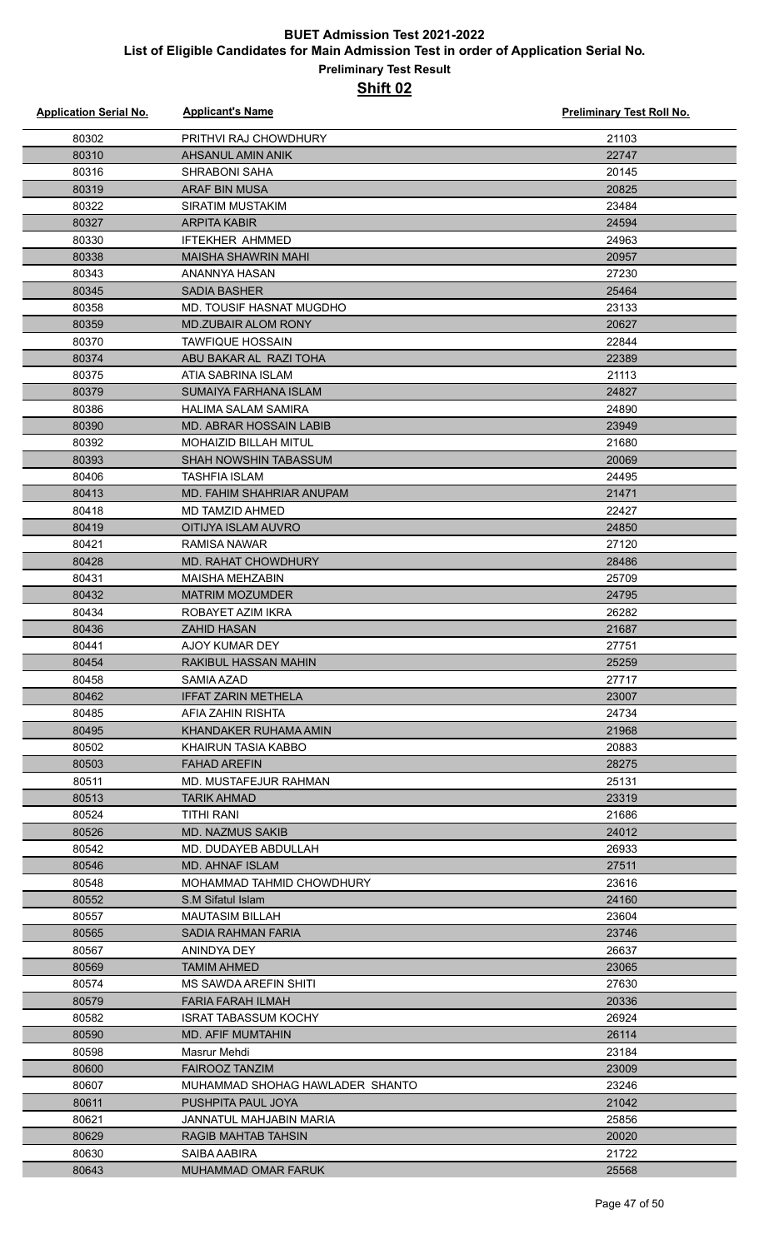| <b>Application Serial No.</b> | <b>Applicant's Name</b>                       | <b>Preliminary Test Roll No.</b> |
|-------------------------------|-----------------------------------------------|----------------------------------|
| 80302                         | PRITHVI RAJ CHOWDHURY                         | 21103                            |
| 80310                         | AHSANUL AMIN ANIK                             | 22747                            |
| 80316                         | <b>SHRABONI SAHA</b>                          | 20145                            |
| 80319                         | <b>ARAF BIN MUSA</b>                          | 20825                            |
| 80322                         | <b>SIRATIM MUSTAKIM</b>                       | 23484                            |
| 80327                         | <b>ARPITA KABIR</b>                           | 24594                            |
| 80330                         | <b>IFTEKHER AHMMED</b>                        | 24963                            |
| 80338                         | MAISHA SHAWRIN MAHI                           | 20957                            |
| 80343                         | ANANNYA HASAN                                 | 27230                            |
| 80345                         | <b>SADIA BASHER</b>                           | 25464                            |
| 80358                         | MD. TOUSIF HASNAT MUGDHO                      | 23133                            |
| 80359                         | <b>MD.ZUBAIR ALOM RONY</b>                    | 20627                            |
| 80370                         | <b>TAWFIQUE HOSSAIN</b>                       | 22844                            |
| 80374                         | ABU BAKAR AL RAZI TOHA                        | 22389                            |
| 80375                         | ATIA SABRINA ISLAM                            | 21113                            |
| 80379                         | <b>SUMAIYA FARHANA ISLAM</b>                  | 24827                            |
| 80386                         | HALIMA SALAM SAMIRA                           | 24890                            |
| 80390                         | MD. ABRAR HOSSAIN LABIB                       | 23949                            |
| 80392                         | <b>MOHAIZID BILLAH MITUL</b>                  | 21680                            |
| 80393                         | SHAH NOWSHIN TABASSUM                         | 20069                            |
| 80406                         | <b>TASHFIA ISLAM</b>                          | 24495                            |
| 80413                         | MD. FAHIM SHAHRIAR ANUPAM                     | 21471                            |
| 80418                         | <b>MD TAMZID AHMED</b>                        | 22427                            |
| 80419                         | OITIJYA ISLAM AUVRO                           | 24850                            |
| 80421                         | <b>RAMISA NAWAR</b>                           | 27120                            |
| 80428                         | <b>MD. RAHAT CHOWDHURY</b>                    | 28486                            |
| 80431                         | <b>MAISHA MEHZABIN</b>                        | 25709                            |
| 80432                         |                                               | 24795                            |
| 80434                         | <b>MATRIM MOZUMDER</b><br>ROBAYET AZIM IKRA   | 26282                            |
|                               |                                               |                                  |
| 80436                         | <b>ZAHID HASAN</b>                            | 21687                            |
| 80441<br>80454                | <b>AJOY KUMAR DEY</b><br>RAKIBUL HASSAN MAHIN | 27751<br>25259                   |
|                               |                                               |                                  |
| 80458                         | SAMIA AZAD                                    | 27717                            |
| 80462                         | <b>IFFAT ZARIN METHELA</b>                    | 23007<br>24734                   |
| 80485                         | AFIA ZAHIN RISHTA                             | 21968                            |
| 80495<br>80502                | KHANDAKER RUHAMA AMIN<br>KHAIRUN TASIA KABBO  | 20883                            |
|                               | <b>FAHAD AREFIN</b>                           | 28275                            |
| 80503<br>80511                | MD. MUSTAFEJUR RAHMAN                         | 25131                            |
|                               |                                               |                                  |
| 80513                         | TARIK AHMAD                                   | 23319                            |
| 80524                         | TITHI RANI<br><b>MD. NAZMUS SAKIB</b>         | 21686                            |
| 80526                         |                                               | 24012                            |
| 80542                         | MD. DUDAYEB ABDULLAH                          | 26933                            |
| 80546                         | <b>MD. AHNAF ISLAM</b>                        | 27511                            |
| 80548                         | MOHAMMAD TAHMID CHOWDHURY                     | 23616                            |
| 80552                         | S.M Sifatul Islam                             | 24160                            |
| 80557                         | <b>MAUTASIM BILLAH</b>                        | 23604                            |
| 80565                         | SADIA RAHMAN FARIA                            | 23746                            |
| 80567                         | ANINDYA DEY                                   | 26637                            |
| 80569                         | <b>TAMIM AHMED</b>                            | 23065                            |
| 80574                         | <b>MS SAWDA AREFIN SHITI</b>                  | 27630                            |
| 80579                         | FARIA FARAH ILMAH                             | 20336                            |
| 80582                         | <b>ISRAT TABASSUM KOCHY</b>                   | 26924                            |
| 80590                         | <b>MD. AFIF MUMTAHIN</b>                      | 26114                            |
| 80598                         | Masrur Mehdi                                  | 23184                            |
| 80600                         | <b>FAIROOZ TANZIM</b>                         | 23009                            |
| 80607                         | MUHAMMAD SHOHAG HAWLADER SHANTO               | 23246                            |
| 80611                         | PUSHPITA PAUL JOYA                            | 21042                            |
| 80621                         | JANNATUL MAHJABIN MARIA                       | 25856                            |
| 80629                         | <b>RAGIB MAHTAB TAHSIN</b>                    | 20020                            |
| 80630                         | SAIBA AABIRA                                  | 21722                            |
| 80643                         | MUHAMMAD OMAR FARUK                           | 25568                            |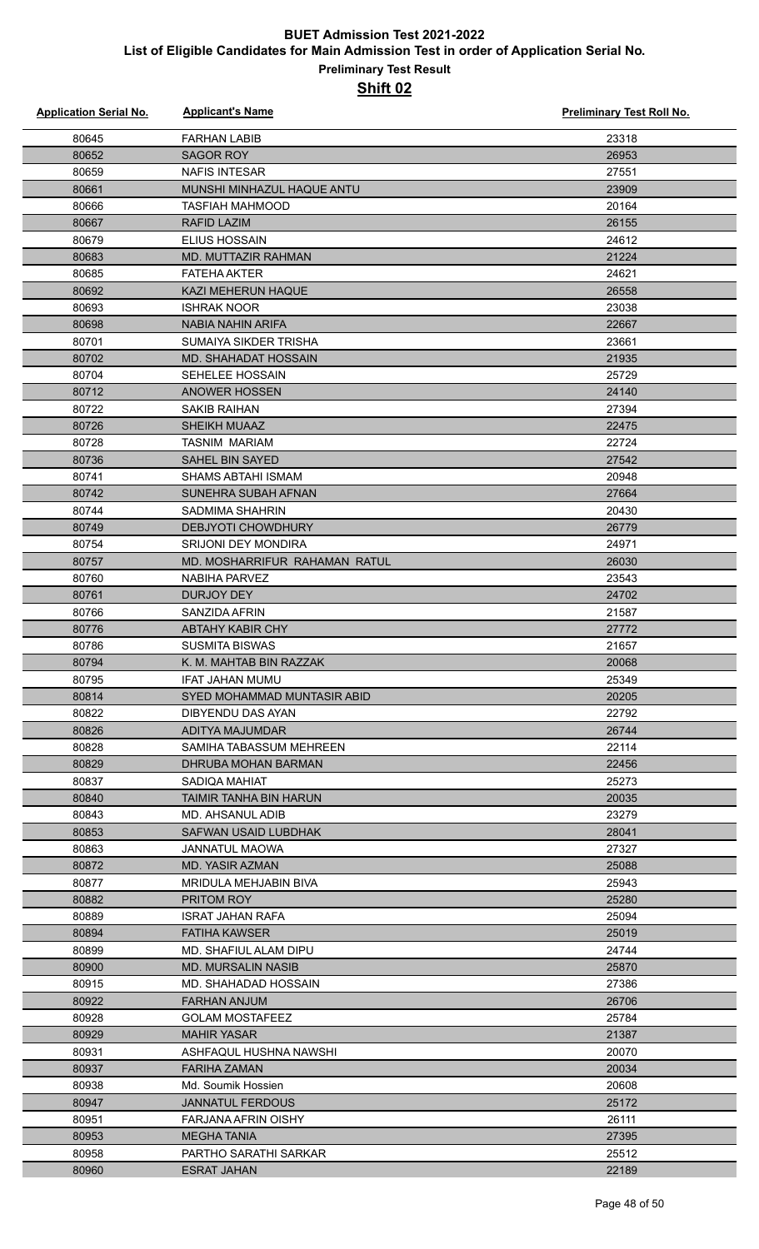| <b>Application Serial No.</b> | <b>Applicant's Name</b>                        | <b>Preliminary Test Roll No.</b> |
|-------------------------------|------------------------------------------------|----------------------------------|
| 80645                         | <b>FARHAN LABIB</b>                            | 23318                            |
| 80652                         | <b>SAGOR ROY</b>                               | 26953                            |
| 80659                         | <b>NAFIS INTESAR</b>                           | 27551                            |
| 80661                         | MUNSHI MINHAZUL HAQUE ANTU                     | 23909                            |
| 80666                         | <b>TASFIAH MAHMOOD</b>                         | 20164                            |
| 80667                         | <b>RAFID LAZIM</b>                             | 26155                            |
| 80679                         | <b>ELIUS HOSSAIN</b>                           | 24612                            |
| 80683                         | <b>MD. MUTTAZIR RAHMAN</b>                     | 21224                            |
| 80685                         | <b>FATEHA AKTER</b>                            | 24621                            |
| 80692                         | <b>KAZI MEHERUN HAQUE</b>                      | 26558                            |
| 80693                         | <b>ISHRAK NOOR</b>                             | 23038                            |
| 80698                         | <b>NABIA NAHIN ARIFA</b>                       | 22667                            |
| 80701                         | <b>SUMAIYA SIKDER TRISHA</b>                   | 23661                            |
| 80702                         | <b>MD. SHAHADAT HOSSAIN</b>                    | 21935                            |
| 80704                         | SEHELEE HOSSAIN                                | 25729                            |
| 80712                         | <b>ANOWER HOSSEN</b>                           | 24140                            |
| 80722                         | <b>SAKIB RAIHAN</b>                            | 27394                            |
| 80726                         | <b>SHEIKH MUAAZ</b>                            | 22475                            |
| 80728                         | <b>TASNIM MARIAM</b>                           | 22724                            |
| 80736                         | <b>SAHEL BIN SAYED</b>                         | 27542                            |
| 80741                         | <b>SHAMS ABTAHI ISMAM</b>                      | 20948                            |
| 80742                         | SUNEHRA SUBAH AFNAN                            | 27664                            |
| 80744                         | <b>SADMIMA SHAHRIN</b>                         | 20430                            |
| 80749                         | <b>DEBJYOTI CHOWDHURY</b>                      | 26779                            |
| 80754                         | <b>SRIJONI DEY MONDIRA</b>                     | 24971                            |
| 80757                         | MD. MOSHARRIFUR RAHAMAN RATUL                  | 26030                            |
| 80760                         | NABIHA PARVEZ                                  | 23543                            |
| 80761                         | <b>DURJOY DEY</b>                              | 24702                            |
| 80766                         | SANZIDA AFRIN                                  | 21587                            |
| 80776                         | <b>ABTAHY KABIR CHY</b>                        | 27772                            |
| 80786                         | <b>SUSMITA BISWAS</b>                          | 21657                            |
| 80794<br>80795                | K. M. MAHTAB BIN RAZZAK                        | 20068<br>25349                   |
| 80814                         | IFAT JAHAN MUMU<br>SYED MOHAMMAD MUNTASIR ABID | 20205                            |
| 80822                         | DIBYENDU DAS AYAN                              | 22792                            |
| 80826                         | ADITYA MAJUMDAR                                | 26744                            |
| 80828                         | SAMIHA TABASSUM MEHREEN                        | 22114                            |
| 80829                         | DHRUBA MOHAN BARMAN                            | 22456                            |
| 80837                         | SADIOA MAHIAT                                  | 25273                            |
| 80840                         | <b>TAIMIR TANHA BIN HARUN</b>                  | 20035                            |
| 80843                         | MD. AHSANUL ADIB                               | 23279                            |
| 80853                         | SAFWAN USAID LUBDHAK                           | 28041                            |
| 80863                         | JANNATUL MAOWA                                 | 27327                            |
| 80872                         | MD. YASIR AZMAN                                | 25088                            |
| 80877                         | MRIDULA MEHJABIN BIVA                          | 25943                            |
| 80882                         | PRITOM ROY                                     | 25280                            |
| 80889                         | ISRAT JAHAN RAFA                               | 25094                            |
| 80894                         | <b>FATIHA KAWSER</b>                           | 25019                            |
| 80899                         | MD. SHAFIUL ALAM DIPU                          | 24744                            |
| 80900                         | <b>MD. MURSALIN NASIB</b>                      | 25870                            |
| 80915                         | MD. SHAHADAD HOSSAIN                           | 27386                            |
| 80922                         | <b>FARHAN ANJUM</b>                            | 26706                            |
| 80928                         | <b>GOLAM MOSTAFEEZ</b>                         | 25784                            |
| 80929                         | <b>MAHIR YASAR</b>                             | 21387                            |
| 80931                         | ASHFAQUL HUSHNA NAWSHI                         | 20070                            |
| 80937                         | <b>FARIHA ZAMAN</b>                            | 20034                            |
| 80938                         | Md. Soumik Hossien                             | 20608                            |
| 80947                         | <b>JANNATUL FERDOUS</b>                        | 25172                            |
| 80951                         | FARJANA AFRIN OISHY                            | 26111                            |
| 80953                         | <b>MEGHA TANIA</b>                             | 27395                            |
| 80958                         | PARTHO SARATHI SARKAR                          | 25512                            |
| 80960                         | <b>ESRAT JAHAN</b>                             | 22189                            |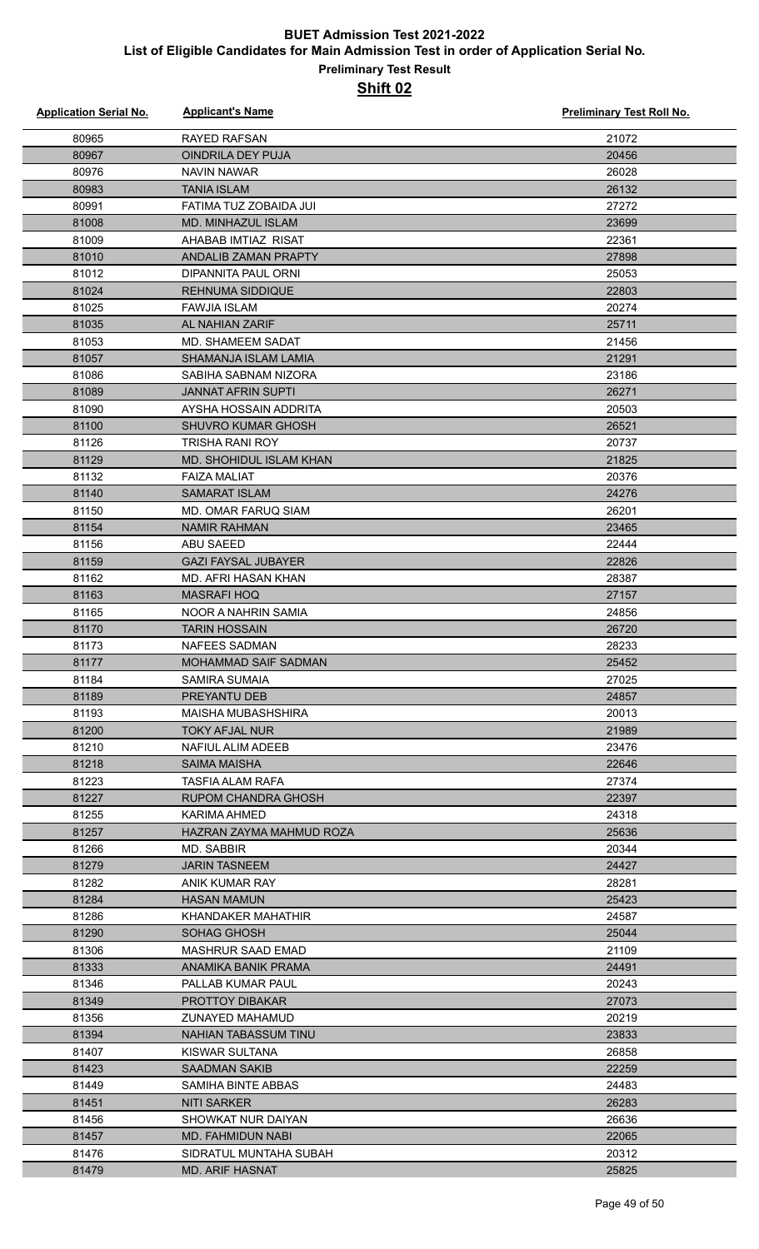| <b>Application Serial No.</b> | <b>Applicant's Name</b>                | <b>Preliminary Test Roll No.</b> |
|-------------------------------|----------------------------------------|----------------------------------|
| 80965                         | RAYED RAFSAN                           | 21072                            |
| 80967                         | <b>OINDRILA DEY PUJA</b>               | 20456                            |
| 80976                         | NAVIN NAWAR                            | 26028                            |
| 80983                         | <b>TANIA ISLAM</b>                     | 26132                            |
| 80991                         | FATIMA TUZ ZOBAIDA JUI                 | 27272                            |
| 81008                         | MD. MINHAZUL ISLAM                     | 23699                            |
| 81009                         | AHABAB IMTIAZ RISAT                    | 22361                            |
| 81010                         | <b>ANDALIB ZAMAN PRAPTY</b>            | 27898                            |
| 81012                         | DIPANNITA PAUL ORNI                    | 25053                            |
| 81024                         | <b>REHNUMA SIDDIQUE</b>                | 22803                            |
| 81025                         | <b>FAWJIA ISLAM</b>                    | 20274                            |
| 81035                         | AL NAHIAN ZARIF                        | 25711                            |
| 81053                         | <b>MD. SHAMEEM SADAT</b>               | 21456                            |
| 81057                         | SHAMANJA ISLAM LAMIA                   | 21291                            |
| 81086                         | SABIHA SABNAM NIZORA                   | 23186                            |
| 81089                         | <b>JANNAT AFRIN SUPTI</b>              | 26271                            |
| 81090                         | AYSHA HOSSAIN ADDRITA                  | 20503                            |
| 81100                         | <b>SHUVRO KUMAR GHOSH</b>              | 26521                            |
| 81126                         | <b>TRISHA RANI ROY</b>                 | 20737                            |
| 81129                         | MD. SHOHIDUL ISLAM KHAN                | 21825                            |
| 81132                         | <b>FAIZA MALIAT</b>                    | 20376                            |
| 81140                         | <b>SAMARAT ISLAM</b>                   | 24276                            |
| 81150                         | MD. OMAR FARUQ SIAM                    | 26201                            |
| 81154                         | <b>NAMIR RAHMAN</b>                    | 23465                            |
| 81156                         | <b>ABU SAEED</b>                       | 22444                            |
| 81159                         | <b>GAZI FAYSAL JUBAYER</b>             | 22826                            |
| 81162                         | MD. AFRI HASAN KHAN                    | 28387                            |
| 81163                         | <b>MASRAFI HOQ</b>                     | 27157                            |
| 81165                         | NOOR A NAHRIN SAMIA                    | 24856                            |
| 81170                         | <b>TARIN HOSSAIN</b>                   | 26720                            |
| 81173                         | <b>NAFEES SADMAN</b>                   | 28233                            |
| 81177                         | MOHAMMAD SAIF SADMAN                   | 25452                            |
| 81184                         | SAMIRA SUMAIA                          | 27025                            |
| 81189                         | <b>PREYANTU DEB</b>                    | 24857                            |
| 81193                         | <b>MAISHA MUBASHSHIRA</b>              | 20013                            |
| 81200                         | <b>TOKY AFJAL NUR</b>                  | 21989                            |
| 81210                         | NAFIUL ALIM ADEEB                      | 23476                            |
| 81218                         | <b>SAIMA MAISHA</b>                    | 22646                            |
| 81223                         | TASFIA ALAM RAFA                       | 27374                            |
| 81227                         | RUPOM CHANDRA GHOSH                    | 22397                            |
| 81255                         | KARIMA AHMED                           | 24318                            |
| 81257                         | HAZRAN ZAYMA MAHMUD ROZA               | 25636                            |
| 81266                         | MD. SABBIR                             | 20344                            |
| 81279                         | <b>JARIN TASNEEM</b>                   | 24427                            |
| 81282                         | ANIK KUMAR RAY                         | 28281                            |
| 81284                         | <b>HASAN MAMUN</b>                     | 25423                            |
| 81286                         | KHANDAKER MAHATHIR                     | 24587                            |
| 81290                         | SOHAG GHOSH                            | 25044                            |
| 81306                         | <b>MASHRUR SAAD EMAD</b>               | 21109                            |
| 81333                         | ANAMIKA BANIK PRAMA                    | 24491                            |
| 81346                         | PALLAB KUMAR PAUL                      | 20243                            |
| 81349                         | <b>PROTTOY DIBAKAR</b>                 | 27073                            |
| 81356                         | <b>ZUNAYED MAHAMUD</b>                 | 20219                            |
| 81394                         | <b>NAHIAN TABASSUM TINU</b>            | 23833                            |
| 81407<br>81423                | KISWAR SULTANA<br><b>SAADMAN SAKIB</b> | 26858<br>22259                   |
| 81449                         | SAMIHA BINTE ABBAS                     | 24483                            |
| 81451                         | NITI SARKER                            | 26283                            |
| 81456                         | SHOWKAT NUR DAIYAN                     | 26636                            |
| 81457                         | MD. FAHMIDUN NABI                      | 22065                            |
| 81476                         | SIDRATUL MUNTAHA SUBAH                 | 20312                            |
| 81479                         | <b>MD. ARIF HASNAT</b>                 | 25825                            |
|                               |                                        |                                  |